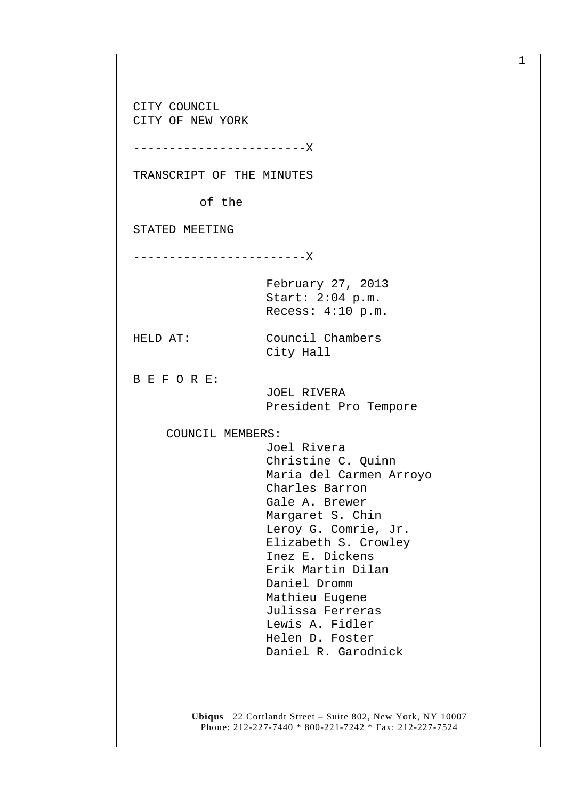CITY COUNCIL CITY OF NEW YORK

------------------------X

TRANSCRIPT OF THE MINUTES

of the

STATED MEETING

------------------------X

February 27, 2013 Start: 2:04 p.m. Recess: 4:10 p.m.

City Hall

HELD AT: Council Chambers

B E F O R E:

 JOEL RIVERA President Pro Tempore

COUNCIL MEMBERS:

 Joel Rivera Christine C. Quinn Maria del Carmen Arroyo Charles Barron Gale A. Brewer Margaret S. Chin Leroy G. Comrie, Jr. Elizabeth S. Crowley Inez E. Dickens Erik Martin Dilan Daniel Dromm Mathieu Eugene Julissa Ferreras Lewis A. Fidler Helen D. Foster Daniel R. Garodnick

**Ubiqus** 22 Cortlandt Street – Suite 802, New York, NY 10007 Phone: 212-227-7440 \* 800-221-7242 \* Fax: 212-227-7524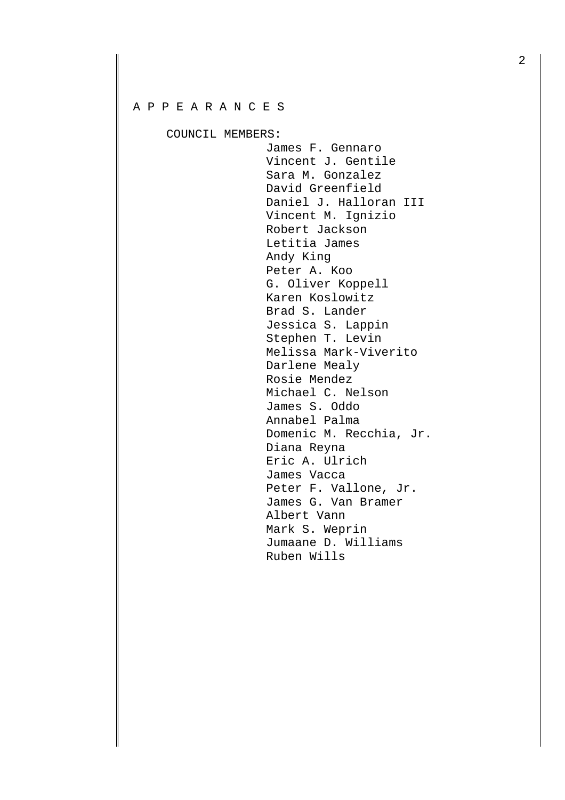## A P P E A R A N C E S

COUNCIL MEMBERS:

 James F. Gennaro Vincent J. Gentile Sara M. Gonzalez David Greenfield Daniel J. Halloran III Vincent M. Ignizio Robert Jackson Letitia James Andy King Peter A. Koo G. Oliver Koppell Karen Koslowitz Brad S. Lander Jessica S. Lappin Stephen T. Levin Melissa Mark-Viverito Darlene Mealy Rosie Mendez Michael C. Nelson James S. Oddo Annabel Palma Domenic M. Recchia, Jr. Diana Reyna Eric A. Ulrich James Vacca Peter F. Vallone, Jr. James G. Van Bramer Albert Vann Mark S. Weprin Jumaane D. Williams Ruben Wills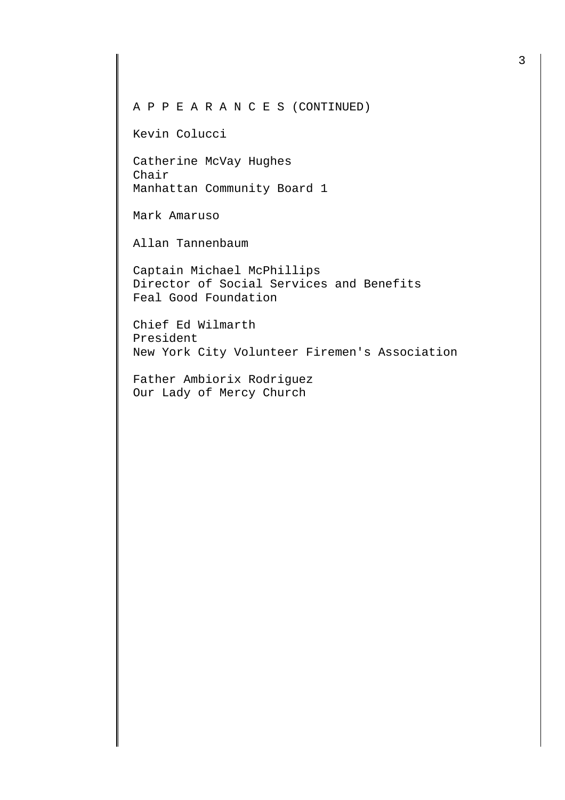A P P E A R A N C E S (CONTINUED)

Kevin Colucci

Catherine McVay Hughes Chair Manhattan Community Board 1

Mark Amaruso

Allan Tannenbaum

Captain Michael McPhillips Director of Social Services and Benefits Feal Good Foundation

Chief Ed Wilmarth President New York City Volunteer Firemen's Association

Father Ambiorix Rodriguez Our Lady of Mercy Church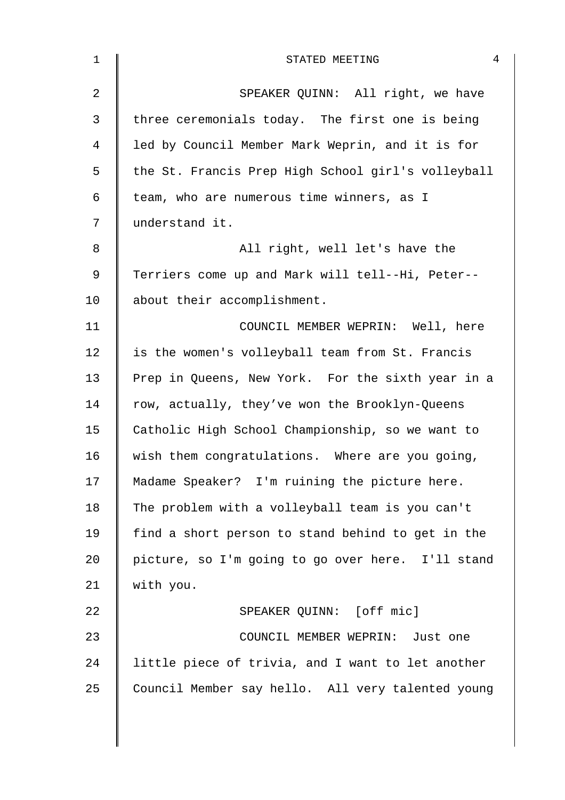| 1  | 4<br>STATED MEETING                                |
|----|----------------------------------------------------|
| 2  | SPEAKER QUINN: All right, we have                  |
| 3  | three ceremonials today. The first one is being    |
| 4  | led by Council Member Mark Weprin, and it is for   |
| 5  | the St. Francis Prep High School girl's volleyball |
| 6  | team, who are numerous time winners, as I          |
| 7  | understand it.                                     |
| 8  | All right, well let's have the                     |
| 9  | Terriers come up and Mark will tell--Hi, Peter--   |
| 10 | about their accomplishment.                        |
| 11 | COUNCIL MEMBER WEPRIN: Well, here                  |
| 12 | is the women's volleyball team from St. Francis    |
| 13 | Prep in Queens, New York. For the sixth year in a  |
| 14 | row, actually, they've won the Brooklyn-Queens     |
| 15 | Catholic High School Championship, so we want to   |
| 16 | wish them congratulations. Where are you going,    |
| 17 | Madame Speaker? I'm ruining the picture here.      |
| 18 | The problem with a volleyball team is you can't    |
| 19 | find a short person to stand behind to get in the  |
| 20 | picture, so I'm going to go over here. I'll stand  |
| 21 | with you.                                          |
| 22 | SPEAKER QUINN: [off mic]                           |
| 23 | COUNCIL MEMBER WEPRIN: Just one                    |
| 24 | little piece of trivia, and I want to let another  |
| 25 | Council Member say hello. All very talented young  |
|    |                                                    |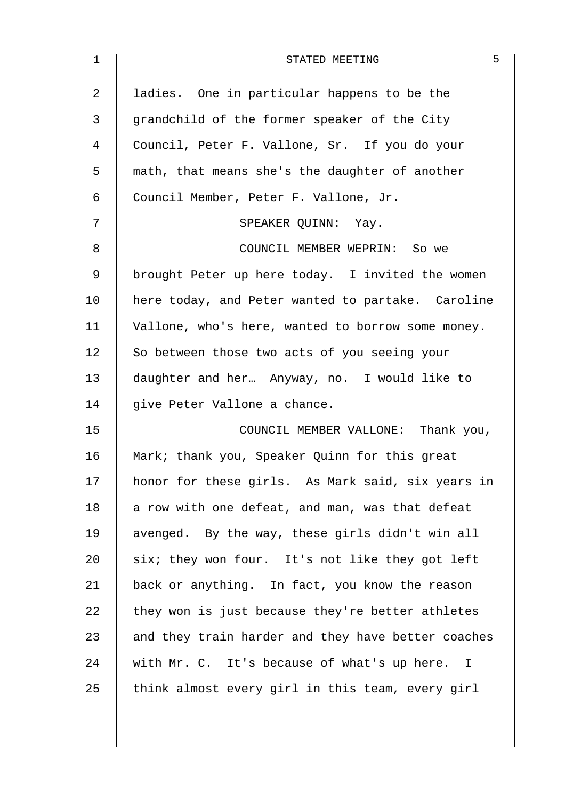| 1              | 5<br>STATED MEETING                                |
|----------------|----------------------------------------------------|
| $\overline{a}$ | ladies. One in particular happens to be the        |
| 3              | grandchild of the former speaker of the City       |
| 4              | Council, Peter F. Vallone, Sr. If you do your      |
| 5              | math, that means she's the daughter of another     |
| 6              | Council Member, Peter F. Vallone, Jr.              |
| 7              | SPEAKER QUINN: Yay.                                |
| 8              | COUNCIL MEMBER WEPRIN: So we                       |
| 9              | brought Peter up here today. I invited the women   |
| 10             | here today, and Peter wanted to partake. Caroline  |
| 11             | Vallone, who's here, wanted to borrow some money.  |
| 12             | So between those two acts of you seeing your       |
| 13             | daughter and her Anyway, no. I would like to       |
| 14             | give Peter Vallone a chance.                       |
| 15             | COUNCIL MEMBER VALLONE: Thank you,                 |
| 16             | Mark; thank you, Speaker Quinn for this great      |
| 17             | honor for these girls. As Mark said, six years in  |
| 18             | a row with one defeat, and man, was that defeat    |
| 19             | avenged. By the way, these girls didn't win all    |
| 20             | six; they won four. It's not like they got left    |
| 21             | back or anything. In fact, you know the reason     |
| 22             | they won is just because they're better athletes   |
| 23             | and they train harder and they have better coaches |
| 24             | with Mr. C. It's because of what's up here. I      |
| 25             | think almost every girl in this team, every girl   |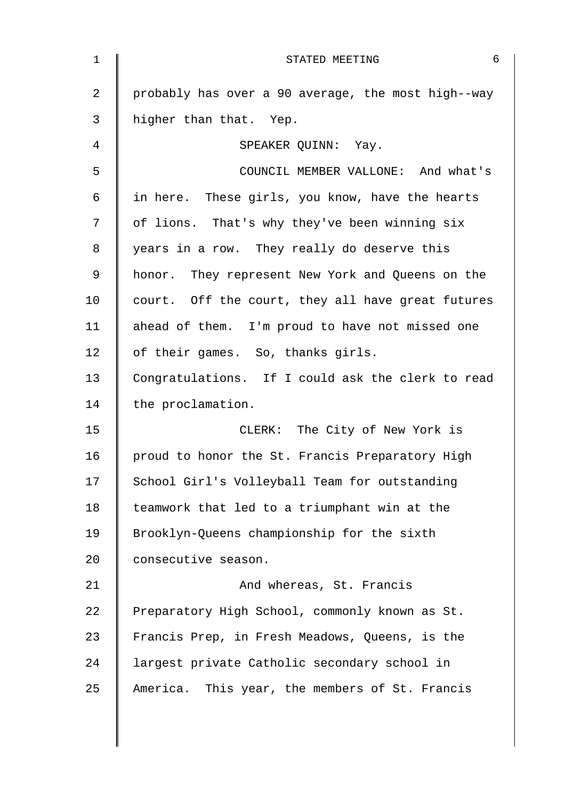| 1              | 6<br>STATED MEETING                                |
|----------------|----------------------------------------------------|
| $\overline{a}$ | probably has over a 90 average, the most high--way |
| 3              | higher than that. Yep.                             |
| 4              | SPEAKER QUINN: Yay.                                |
| 5              | COUNCIL MEMBER VALLONE: And what's                 |
| 6              | in here. These girls, you know, have the hearts    |
| 7              | of lions. That's why they've been winning six      |
| 8              | years in a row. They really do deserve this        |
| 9              | honor. They represent New York and Queens on the   |
| 10             | court. Off the court, they all have great futures  |
| 11             | ahead of them. I'm proud to have not missed one    |
| 12             | of their games. So, thanks girls.                  |
| 13             | Congratulations. If I could ask the clerk to read  |
| 14             | the proclamation.                                  |
| 15             | CLERK: The City of New York is                     |
| 16             | proud to honor the St. Francis Preparatory High    |
| 17             | School Girl's Volleyball Team for outstanding      |
| 18             | teamwork that led to a triumphant win at the       |
| 19             | Brooklyn-Queens championship for the sixth         |
| 20             | consecutive season.                                |
| 21             | And whereas, St. Francis                           |
| 22             | Preparatory High School, commonly known as St.     |
| 23             | Francis Prep, in Fresh Meadows, Queens, is the     |
| 24             | largest private Catholic secondary school in       |
| 25             | America. This year, the members of St. Francis     |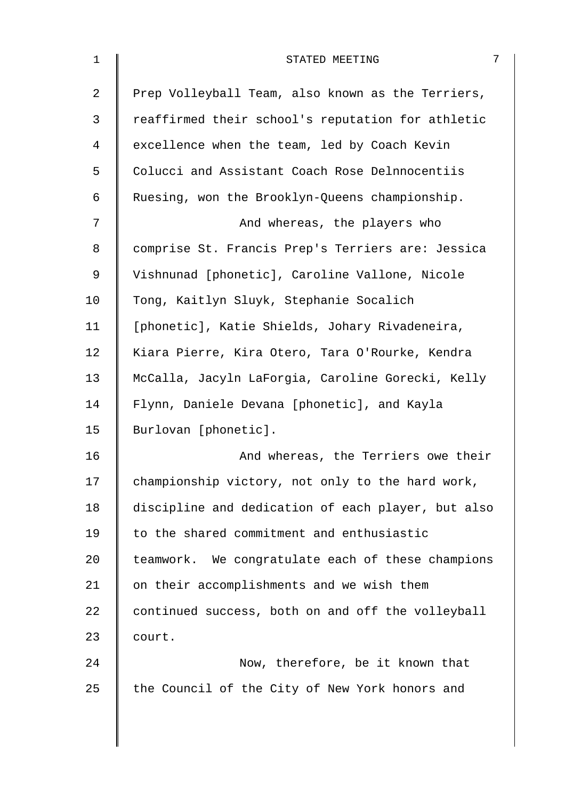| $\mathbf 1$    | 7<br>STATED MEETING                                |
|----------------|----------------------------------------------------|
| $\overline{a}$ | Prep Volleyball Team, also known as the Terriers,  |
| 3              | reaffirmed their school's reputation for athletic  |
| 4              | excellence when the team, led by Coach Kevin       |
| 5              | Colucci and Assistant Coach Rose Delnnocentiis     |
| 6              | Ruesing, won the Brooklyn-Queens championship.     |
| 7              | And whereas, the players who                       |
| 8              | comprise St. Francis Prep's Terriers are: Jessica  |
| $\mathsf 9$    | Vishnunad [phonetic], Caroline Vallone, Nicole     |
| 10             | Tong, Kaitlyn Sluyk, Stephanie Socalich            |
| 11             | [phonetic], Katie Shields, Johary Rivadeneira,     |
| 12             | Kiara Pierre, Kira Otero, Tara O'Rourke, Kendra    |
| 13             | McCalla, Jacyln LaForgia, Caroline Gorecki, Kelly  |
| 14             | Flynn, Daniele Devana [phonetic], and Kayla        |
| 15             | Burlovan [phonetic].                               |
| 16             | And whereas, the Terriers owe their                |
| 17             | championship victory, not only to the hard work,   |
| 18             | discipline and dedication of each player, but also |
| 19             | to the shared commitment and enthusiastic          |
| 20             | teamwork. We congratulate each of these champions  |
| 21             | on their accomplishments and we wish them          |
| 22             | continued success, both on and off the volleyball  |
| 23             | court.                                             |
| 24             | Now, therefore, be it known that                   |
| 25             | the Council of the City of New York honors and     |
|                |                                                    |
|                |                                                    |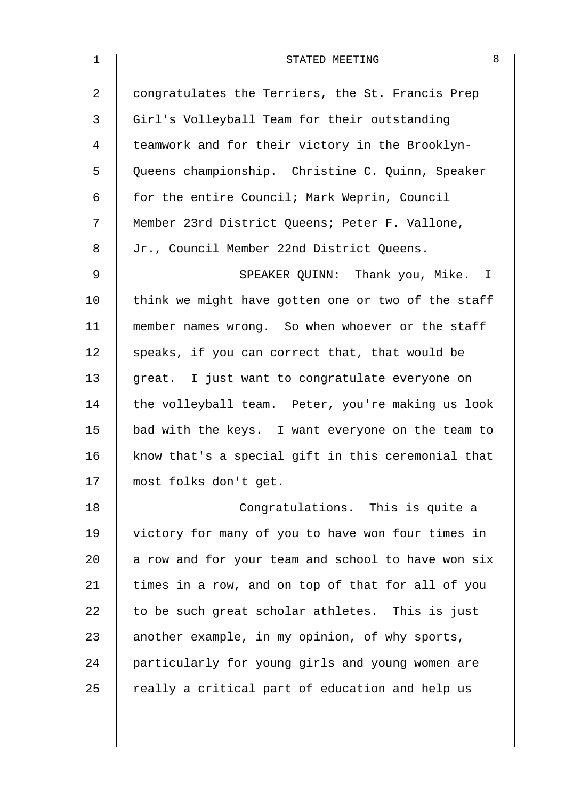| 8<br>STATED MEETING                                |
|----------------------------------------------------|
| congratulates the Terriers, the St. Francis Prep   |
| Girl's Volleyball Team for their outstanding       |
| teamwork and for their victory in the Brooklyn-    |
| Queens championship. Christine C. Quinn, Speaker   |
| for the entire Council; Mark Weprin, Council       |
| Member 23rd District Queens; Peter F. Vallone,     |
| Jr., Council Member 22nd District Queens.          |
| SPEAKER QUINN: Thank you, Mike. I                  |
| think we might have gotten one or two of the staff |
| member names wrong. So when whoever or the staff   |
| speaks, if you can correct that, that would be     |
| great. I just want to congratulate everyone on     |
| the volleyball team. Peter, you're making us look  |
| bad with the keys. I want everyone on the team to  |
| know that's a special gift in this ceremonial that |
| most folks don't get.                              |
| Congratulations. This is quite a                   |
| victory for many of you to have won four times in  |
| a row and for your team and school to have won six |
| times in a row, and on top of that for all of you  |
| to be such great scholar athletes. This is just    |
| another example, in my opinion, of why sports,     |
| particularly for young girls and young women are   |
| really a critical part of education and help us    |
|                                                    |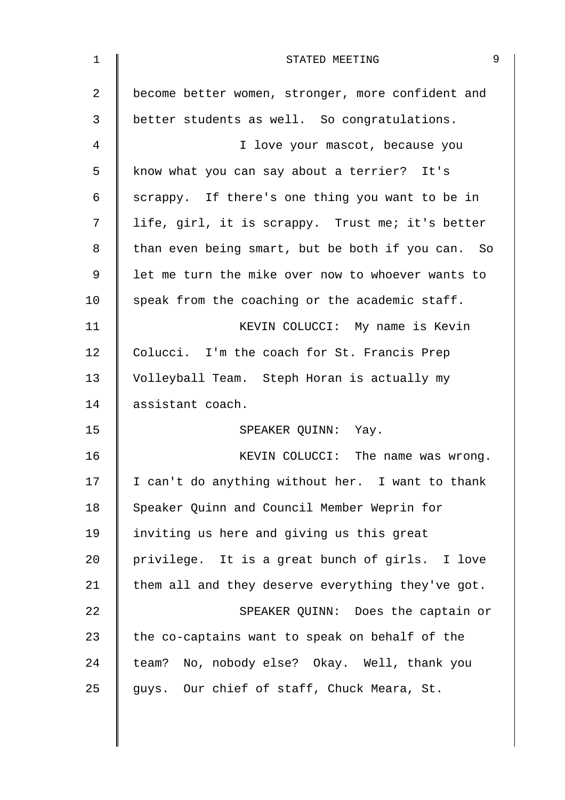| $\mathbf{1}$ | 9<br>STATED MEETING                               |
|--------------|---------------------------------------------------|
| 2            | become better women, stronger, more confident and |
| 3            | better students as well. So congratulations.      |
| 4            | I love your mascot, because you                   |
| 5            | know what you can say about a terrier? It's       |
| 6            | scrappy. If there's one thing you want to be in   |
| 7            | life, girl, it is scrappy. Trust me; it's better  |
| 8            | than even being smart, but be both if you can. So |
| 9            | let me turn the mike over now to whoever wants to |
| 10           | speak from the coaching or the academic staff.    |
| 11           | KEVIN COLUCCI: My name is Kevin                   |
| 12           | Colucci. I'm the coach for St. Francis Prep       |
| 13           | Volleyball Team. Steph Horan is actually my       |
| 14           | assistant coach.                                  |
| 15           | SPEAKER QUINN: Yay.                               |
| 16           | KEVIN COLUCCI: The name was wrong.                |
| 17           | I can't do anything without her. I want to thank  |
| 18           | Speaker Quinn and Council Member Weprin for       |
| 19           | inviting us here and giving us this great         |
| 20           | privilege. It is a great bunch of girls. I love   |
| 21           | them all and they deserve everything they've got. |
| 22           | SPEAKER QUINN: Does the captain or                |
| 23           | the co-captains want to speak on behalf of the    |
| 24           | team? No, nobody else? Okay. Well, thank you      |
| 25           | guys. Our chief of staff, Chuck Meara, St.        |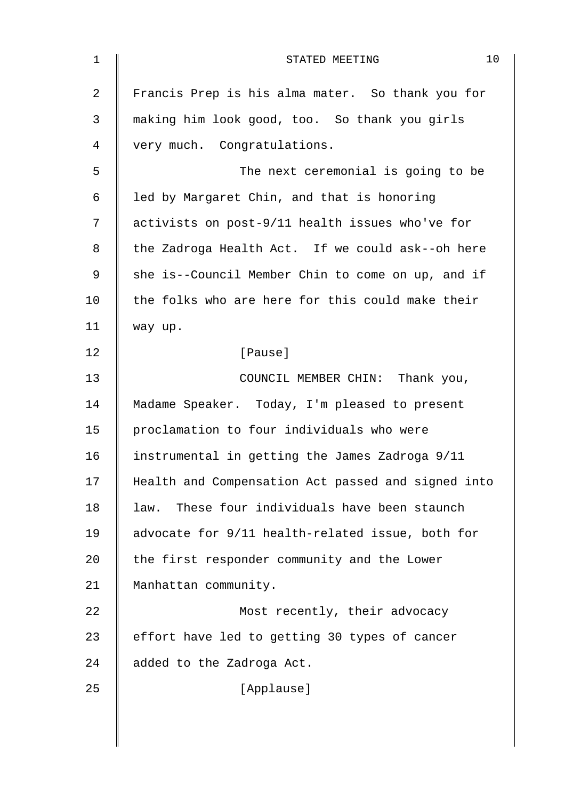| $\mathbf 1$ | 10<br>STATED MEETING                               |
|-------------|----------------------------------------------------|
| 2           | Francis Prep is his alma mater. So thank you for   |
| 3           | making him look good, too. So thank you girls      |
| 4           | very much. Congratulations.                        |
| 5           | The next ceremonial is going to be                 |
| 6           | led by Margaret Chin, and that is honoring         |
| 7           | activists on post-9/11 health issues who've for    |
| 8           | the Zadroga Health Act. If we could ask--oh here   |
| 9           | she is--Council Member Chin to come on up, and if  |
| 10          | the folks who are here for this could make their   |
| 11          | way up.                                            |
| 12          | [Pause]                                            |
| 13          | COUNCIL MEMBER CHIN: Thank you,                    |
| 14          | Madame Speaker. Today, I'm pleased to present      |
| 15          | proclamation to four individuals who were          |
| 16          | instrumental in getting the James Zadroga 9/11     |
| 17          | Health and Compensation Act passed and signed into |
| 18          | These four individuals have been staunch<br>law.   |
| 19          | advocate for 9/11 health-related issue, both for   |
| 20          | the first responder community and the Lower        |
| 21          | Manhattan community.                               |
| 22          | Most recently, their advocacy                      |
| 23          | effort have led to getting 30 types of cancer      |
| 24          | added to the Zadroga Act.                          |
| 25          | [Applause]                                         |
|             |                                                    |
|             |                                                    |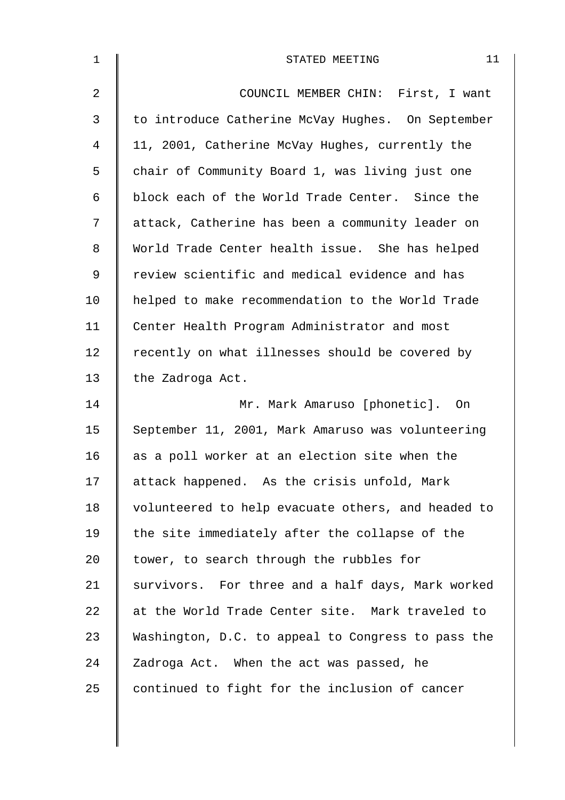| 1              | 11<br>STATED MEETING                               |
|----------------|----------------------------------------------------|
| $\overline{2}$ | COUNCIL MEMBER CHIN: First, I want                 |
| $\mathfrak{Z}$ | to introduce Catherine McVay Hughes. On September  |
| 4              | 11, 2001, Catherine McVay Hughes, currently the    |
| 5              | chair of Community Board 1, was living just one    |
| 6              | block each of the World Trade Center. Since the    |
| 7              | attack, Catherine has been a community leader on   |
| 8              | World Trade Center health issue. She has helped    |
| 9              | review scientific and medical evidence and has     |
| 10             | helped to make recommendation to the World Trade   |
| 11             | Center Health Program Administrator and most       |
| 12             | recently on what illnesses should be covered by    |
| 13             | the Zadroga Act.                                   |
| 14             | Mr. Mark Amaruso [phonetic]. On                    |
| 15             | September 11, 2001, Mark Amaruso was volunteering  |
| 16             | as a poll worker at an election site when the      |
| 17             | attack happened. As the crisis unfold, Mark        |
| 18             | volunteered to help evacuate others, and headed to |
| 19             | the site immediately after the collapse of the     |
| 20             | tower, to search through the rubbles for           |
| 21             | survivors. For three and a half days, Mark worked  |
| 22             | at the World Trade Center site. Mark traveled to   |
| 23             | Washington, D.C. to appeal to Congress to pass the |
| 24             | Zadroga Act. When the act was passed, he           |
| 25             | continued to fight for the inclusion of cancer     |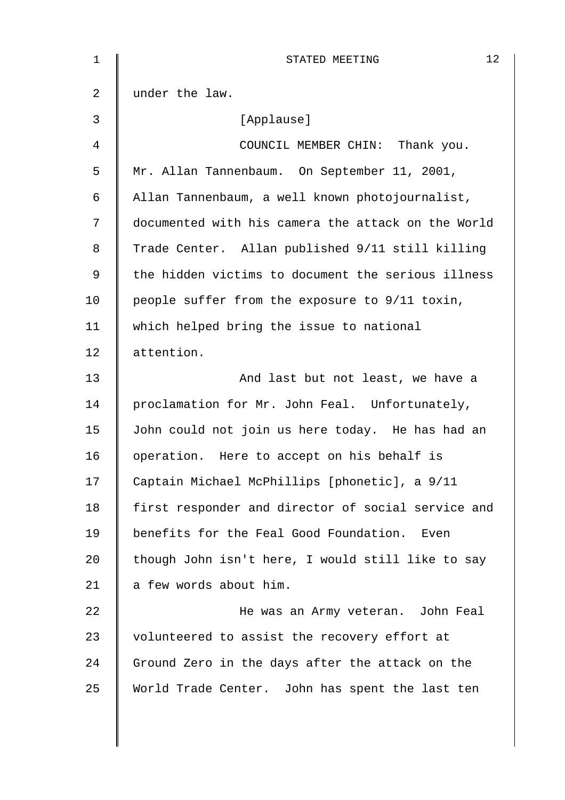| $\mathbf 1$ | 12<br>STATED MEETING                               |
|-------------|----------------------------------------------------|
| 2           | under the law.                                     |
| 3           | [Applause]                                         |
| 4           | COUNCIL MEMBER CHIN: Thank you.                    |
| 5           | Mr. Allan Tannenbaum. On September 11, 2001,       |
| 6           | Allan Tannenbaum, a well known photojournalist,    |
| 7           | documented with his camera the attack on the World |
| 8           | Trade Center. Allan published 9/11 still killing   |
| 9           | the hidden victims to document the serious illness |
| 10          | people suffer from the exposure to 9/11 toxin,     |
| 11          | which helped bring the issue to national           |
| 12          | attention.                                         |
| 13          | And last but not least, we have a                  |
| 14          | proclamation for Mr. John Feal. Unfortunately,     |
| 15          | John could not join us here today. He has had an   |
| 16          | operation. Here to accept on his behalf is         |
| 17          | Captain Michael McPhillips [phonetic], a 9/11      |
| 18          | first responder and director of social service and |
| 19          | benefits for the Feal Good Foundation.<br>Even     |
| 20          | though John isn't here, I would still like to say  |
| 21          | a few words about him.                             |
| 22          | He was an Army veteran. John Feal                  |
| 23          | volunteered to assist the recovery effort at       |
| 24          | Ground Zero in the days after the attack on the    |
| 25          | World Trade Center. John has spent the last ten    |
|             |                                                    |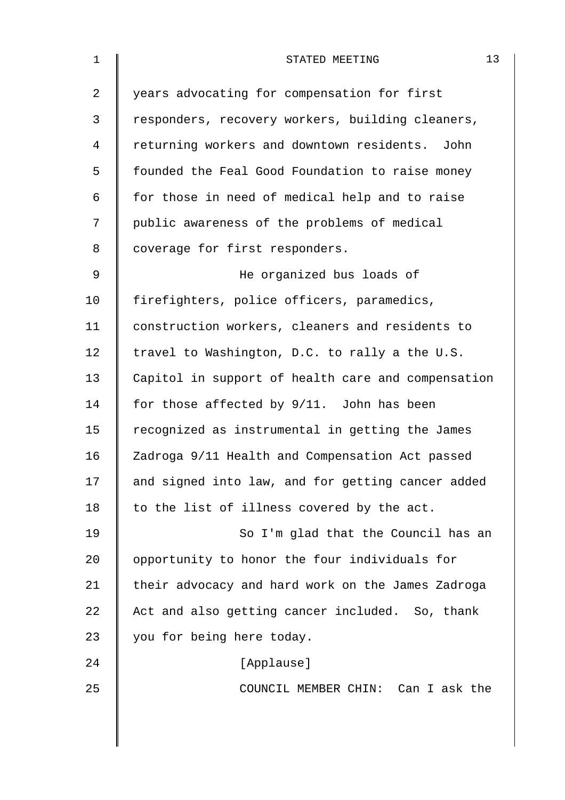| $\mathbf{1}$ | 13<br>STATED MEETING                               |
|--------------|----------------------------------------------------|
| 2            | years advocating for compensation for first        |
| 3            | responders, recovery workers, building cleaners,   |
| 4            | returning workers and downtown residents. John     |
| 5            | founded the Feal Good Foundation to raise money    |
| 6            | for those in need of medical help and to raise     |
| 7            | public awareness of the problems of medical        |
| 8            | coverage for first responders.                     |
| $\mathsf 9$  | He organized bus loads of                          |
| 10           | firefighters, police officers, paramedics,         |
| 11           | construction workers, cleaners and residents to    |
| 12           | travel to Washington, D.C. to rally a the U.S.     |
| 13           | Capitol in support of health care and compensation |
| 14           | for those affected by 9/11. John has been          |
| 15           | recognized as instrumental in getting the James    |
| 16           | Zadroga 9/11 Health and Compensation Act passed    |
| 17           | and signed into law, and for getting cancer added  |
| 18           | to the list of illness covered by the act.         |
| 19           | So I'm glad that the Council has an                |
| 20           | opportunity to honor the four individuals for      |
| 21           | their advocacy and hard work on the James Zadroga  |
| 22           | Act and also getting cancer included. So, thank    |
| 23           | you for being here today.                          |
| 24           | [Applause]                                         |
| 25           | COUNCIL MEMBER CHIN: Can I ask the                 |
|              |                                                    |
|              |                                                    |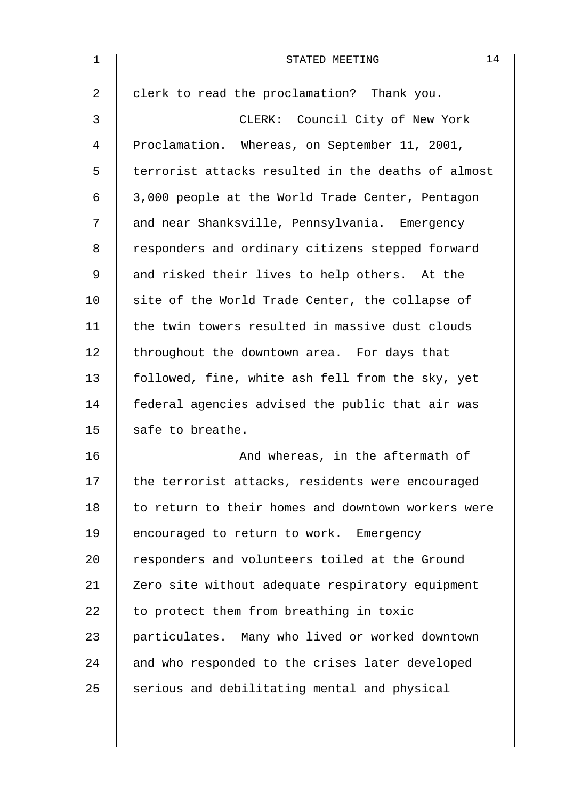| 1  | 14<br>STATED MEETING                               |
|----|----------------------------------------------------|
| 2  | clerk to read the proclamation? Thank you.         |
| 3  | CLERK: Council City of New York                    |
| 4  | Proclamation. Whereas, on September 11, 2001,      |
| 5  | terrorist attacks resulted in the deaths of almost |
| 6  | 3,000 people at the World Trade Center, Pentagon   |
| 7  | and near Shanksville, Pennsylvania. Emergency      |
| 8  | responders and ordinary citizens stepped forward   |
| 9  | and risked their lives to help others. At the      |
| 10 | site of the World Trade Center, the collapse of    |
| 11 | the twin towers resulted in massive dust clouds    |
| 12 | throughout the downtown area. For days that        |
| 13 | followed, fine, white ash fell from the sky, yet   |
| 14 | federal agencies advised the public that air was   |
| 15 | safe to breathe.                                   |
| 16 | And whereas, in the aftermath of                   |
| 17 | the terrorist attacks, residents were encouraged   |
| 18 | to return to their homes and downtown workers were |
| 19 | encouraged to return to work. Emergency            |
| 20 | responders and volunteers toiled at the Ground     |
| 21 | Zero site without adequate respiratory equipment   |
| 22 | to protect them from breathing in toxic            |
| 23 | particulates. Many who lived or worked downtown    |
| 24 | and who responded to the crises later developed    |
| 25 | serious and debilitating mental and physical       |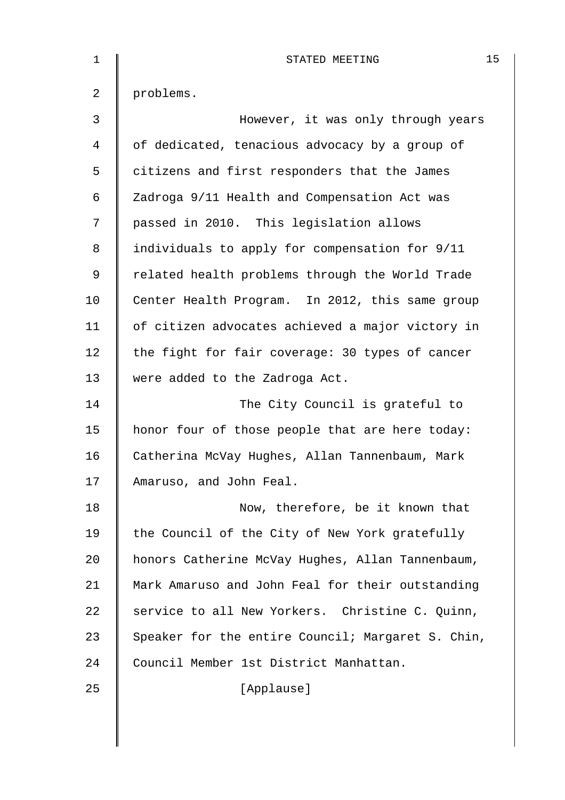| 1              | 15<br>STATED MEETING                              |
|----------------|---------------------------------------------------|
| $\overline{2}$ | problems.                                         |
| 3              | However, it was only through years                |
| 4              | of dedicated, tenacious advocacy by a group of    |
| 5              | citizens and first responders that the James      |
| 6              | Zadroga 9/11 Health and Compensation Act was      |
| 7              | passed in 2010. This legislation allows           |
| 8              | individuals to apply for compensation for 9/11    |
| 9              | related health problems through the World Trade   |
| 10             | Center Health Program. In 2012, this same group   |
| 11             | of citizen advocates achieved a major victory in  |
| 12             | the fight for fair coverage: 30 types of cancer   |
| 13             | were added to the Zadroga Act.                    |
| 14             | The City Council is grateful to                   |
| 15             | honor four of those people that are here today:   |
| 16             | Catherina McVay Hughes, Allan Tannenbaum, Mark    |
| 17             | Amaruso, and John Feal.                           |
| 18             | Now, therefore, be it known that                  |
| 19             | the Council of the City of New York gratefully    |
| 20             | honors Catherine McVay Hughes, Allan Tannenbaum,  |
| 21             | Mark Amaruso and John Feal for their outstanding  |
| 22             | service to all New Yorkers. Christine C. Quinn,   |
| 23             | Speaker for the entire Council; Margaret S. Chin, |
| 24             | Council Member 1st District Manhattan.            |
| 25             | [Applause]                                        |
|                |                                                   |
|                |                                                   |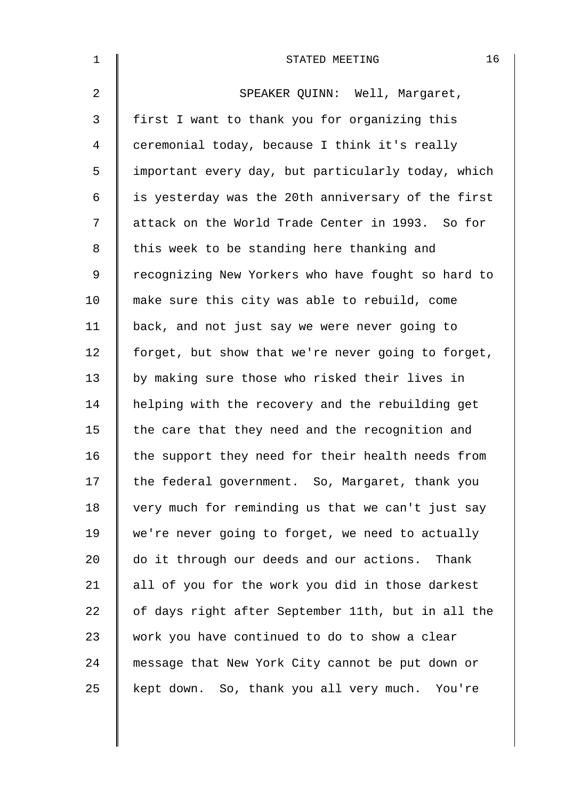| $\mathbf 1$    | 16<br>STATED MEETING                               |
|----------------|----------------------------------------------------|
| $\overline{a}$ | SPEAKER QUINN: Well, Margaret,                     |
| 3              | first I want to thank you for organizing this      |
| 4              | ceremonial today, because I think it's really      |
| 5              | important every day, but particularly today, which |
| 6              | is yesterday was the 20th anniversary of the first |
| 7              | attack on the World Trade Center in 1993. So for   |
| 8              | this week to be standing here thanking and         |
| 9              | recognizing New Yorkers who have fought so hard to |
| 10             | make sure this city was able to rebuild, come      |
| 11             | back, and not just say we were never going to      |
| 12             | forget, but show that we're never going to forget, |
| 13             | by making sure those who risked their lives in     |
| 14             | helping with the recovery and the rebuilding get   |
| 15             | the care that they need and the recognition and    |
| 16             | the support they need for their health needs from  |
| 17             | the federal government. So, Margaret, thank you    |
| 18             | very much for reminding us that we can't just say  |
| 19             | we're never going to forget, we need to actually   |
| 20             | do it through our deeds and our actions. Thank     |
| 21             | all of you for the work you did in those darkest   |
| 22             | of days right after September 11th, but in all the |
| 23             | work you have continued to do to show a clear      |
| 24             | message that New York City cannot be put down or   |
| 25             | kept down. So, thank you all very much. You're     |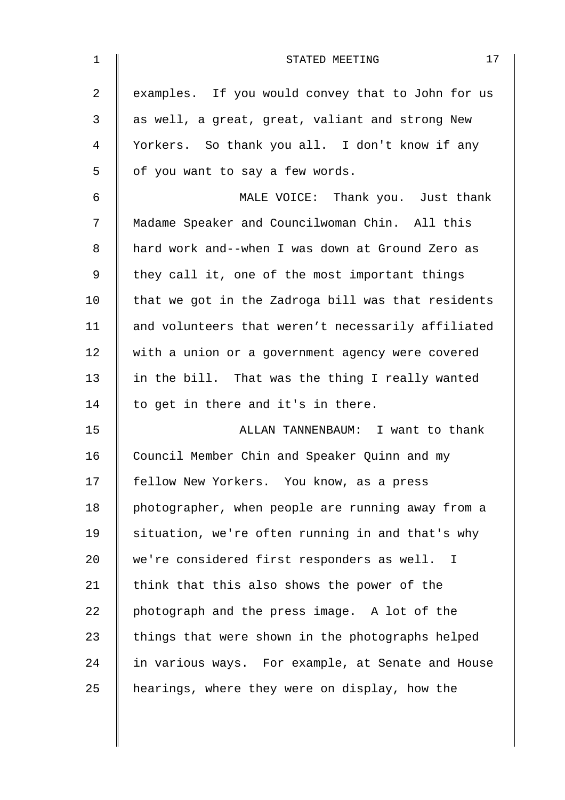| $\mathbf{1}$   | 17<br>STATED MEETING                               |
|----------------|----------------------------------------------------|
| $\overline{2}$ | examples. If you would convey that to John for us  |
| 3              | as well, a great, great, valiant and strong New    |
| 4              | Yorkers. So thank you all. I don't know if any     |
| 5              | of you want to say a few words.                    |
| 6              | MALE VOICE: Thank you. Just thank                  |
| 7              | Madame Speaker and Councilwoman Chin. All this     |
| 8              | hard work and--when I was down at Ground Zero as   |
| 9              | they call it, one of the most important things     |
| 10             | that we got in the Zadroga bill was that residents |
| 11             | and volunteers that weren't necessarily affiliated |
| 12             | with a union or a government agency were covered   |
| 13             | in the bill. That was the thing I really wanted    |
| 14             | to get in there and it's in there.                 |
| 15             | ALLAN TANNENBAUM: I want to thank                  |
| 16             | Council Member Chin and Speaker Quinn and my       |
| 17             | fellow New Yorkers. You know, as a press           |
| 18             | photographer, when people are running away from a  |
| 19             | situation, we're often running in and that's why   |
| 20             | we're considered first responders as well. I       |
| 21             | think that this also shows the power of the        |
| 22             | photograph and the press image. A lot of the       |
| 23             | things that were shown in the photographs helped   |
| 24             | in various ways. For example, at Senate and House  |
| 25             | hearings, where they were on display, how the      |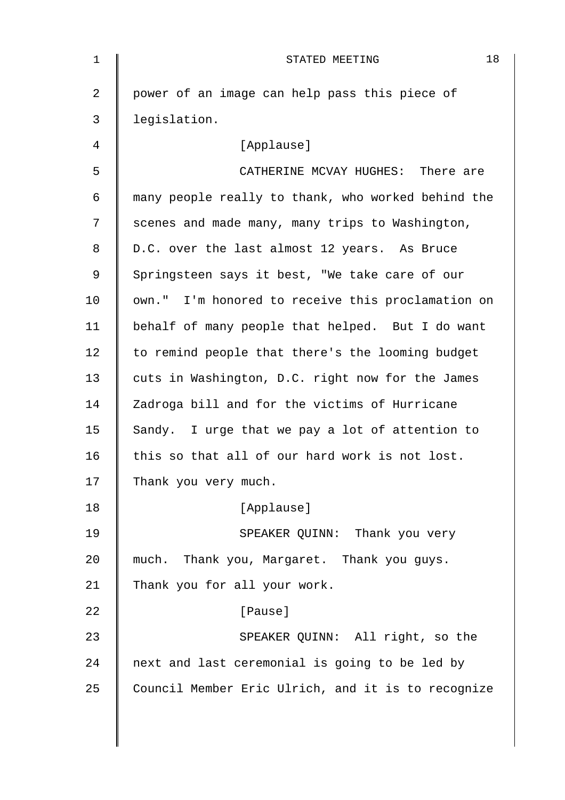| 1  | 18<br>STATED MEETING                               |
|----|----------------------------------------------------|
| 2  | power of an image can help pass this piece of      |
| 3  | legislation.                                       |
| 4  | [Applause]                                         |
| 5  | CATHERINE MCVAY HUGHES: There are                  |
| 6  | many people really to thank, who worked behind the |
| 7  | scenes and made many, many trips to Washington,    |
| 8  | D.C. over the last almost 12 years. As Bruce       |
| 9  | Springsteen says it best, "We take care of our     |
| 10 | own." I'm honored to receive this proclamation on  |
| 11 | behalf of many people that helped. But I do want   |
| 12 | to remind people that there's the looming budget   |
| 13 | cuts in Washington, D.C. right now for the James   |
| 14 | Zadroga bill and for the victims of Hurricane      |
| 15 | Sandy. I urge that we pay a lot of attention to    |
| 16 | this so that all of our hard work is not lost.     |
| 17 | Thank you very much.                               |
| 18 | [Applause]                                         |
| 19 | SPEAKER QUINN: Thank you very                      |
| 20 | much. Thank you, Margaret. Thank you guys.         |
| 21 | Thank you for all your work.                       |
| 22 | [Pause]                                            |
| 23 | SPEAKER QUINN: All right, so the                   |
| 24 | next and last ceremonial is going to be led by     |
| 25 | Council Member Eric Ulrich, and it is to recognize |
|    |                                                    |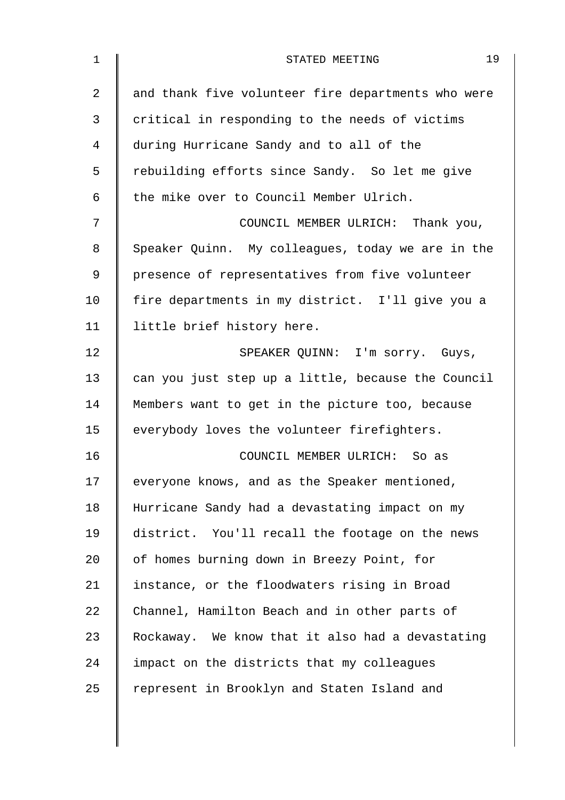| $\mathbf 1$ | 19<br>STATED MEETING                               |
|-------------|----------------------------------------------------|
| 2           | and thank five volunteer fire departments who were |
| 3           | critical in responding to the needs of victims     |
| 4           | during Hurricane Sandy and to all of the           |
| 5           | rebuilding efforts since Sandy. So let me give     |
| 6           | the mike over to Council Member Ulrich.            |
| 7           | COUNCIL MEMBER ULRICH: Thank you,                  |
| 8           | Speaker Quinn. My colleagues, today we are in the  |
| 9           | presence of representatives from five volunteer    |
| 10          | fire departments in my district. I'll give you a   |
| 11          | little brief history here.                         |
| 12          | SPEAKER QUINN: I'm sorry. Guys,                    |
| 13          | can you just step up a little, because the Council |
| 14          | Members want to get in the picture too, because    |
| 15          | everybody loves the volunteer firefighters.        |
| 16          | COUNCIL MEMBER ULRICH: So as                       |
| 17          | everyone knows, and as the Speaker mentioned,      |
| 18          | Hurricane Sandy had a devastating impact on my     |
| 19          | district. You'll recall the footage on the news    |
| 20          | of homes burning down in Breezy Point, for         |
| 21          | instance, or the floodwaters rising in Broad       |
| 22          | Channel, Hamilton Beach and in other parts of      |
| 23          | Rockaway. We know that it also had a devastating   |
| 24          | impact on the districts that my colleagues         |
| 25          | represent in Brooklyn and Staten Island and        |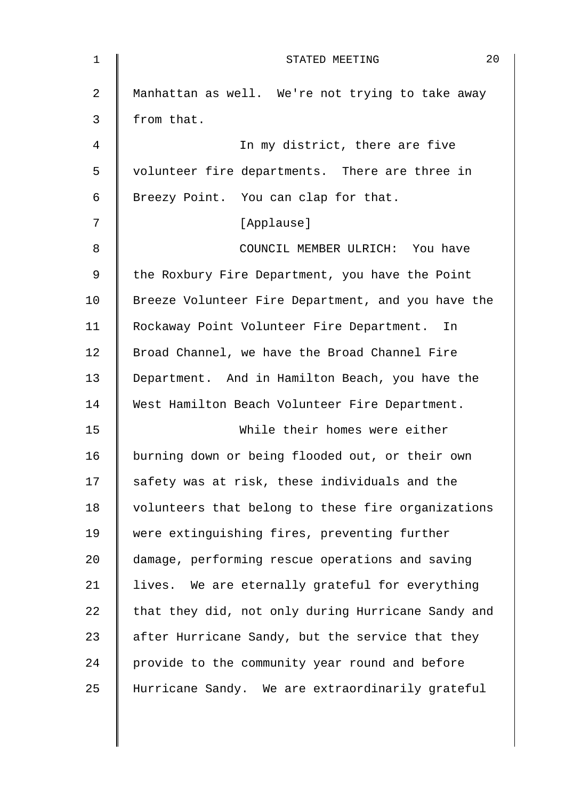| $\mathbf{1}$ | 20<br>STATED MEETING                               |
|--------------|----------------------------------------------------|
| 2            | Manhattan as well. We're not trying to take away   |
| 3            | from that.                                         |
| 4            | In my district, there are five                     |
| 5            | volunteer fire departments. There are three in     |
| 6            | Breezy Point. You can clap for that.               |
| 7            | [Applause]                                         |
| 8            | COUNCIL MEMBER ULRICH: You have                    |
| $\mathsf 9$  | the Roxbury Fire Department, you have the Point    |
| 10           | Breeze Volunteer Fire Department, and you have the |
| 11           | Rockaway Point Volunteer Fire Department. In       |
| 12           | Broad Channel, we have the Broad Channel Fire      |
| 13           | Department. And in Hamilton Beach, you have the    |
| 14           | West Hamilton Beach Volunteer Fire Department.     |
| 15           | While their homes were either                      |
| 16           | burning down or being flooded out, or their own    |
| 17           | safety was at risk, these individuals and the      |
| 18           | volunteers that belong to these fire organizations |
| 19           | were extinguishing fires, preventing further       |
| 20           | damage, performing rescue operations and saving    |
| 21           | lives. We are eternally grateful for everything    |
| 22           | that they did, not only during Hurricane Sandy and |
| 23           | after Hurricane Sandy, but the service that they   |
| 24           | provide to the community year round and before     |
| 25           | Hurricane Sandy. We are extraordinarily grateful   |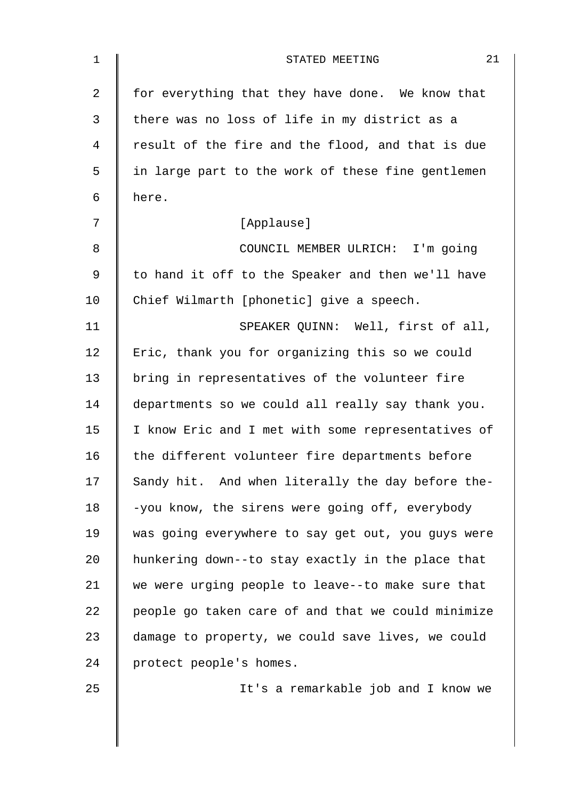| 1              | 21<br>STATED MEETING                               |
|----------------|----------------------------------------------------|
| $\overline{2}$ | for everything that they have done. We know that   |
| 3              | there was no loss of life in my district as a      |
| 4              | result of the fire and the flood, and that is due  |
| 5              | in large part to the work of these fine gentlemen  |
| 6              | here.                                              |
| 7              | [Applause]                                         |
| 8              | COUNCIL MEMBER ULRICH: I'm going                   |
| 9              | to hand it off to the Speaker and then we'll have  |
| 10             | Chief Wilmarth [phonetic] give a speech.           |
| 11             | SPEAKER QUINN: Well, first of all,                 |
| 12             | Eric, thank you for organizing this so we could    |
| 13             | bring in representatives of the volunteer fire     |
| 14             | departments so we could all really say thank you.  |
| 15             | I know Eric and I met with some representatives of |
| 16             | the different volunteer fire departments before    |
| 17             | Sandy hit. And when literally the day before the-  |
| 18             | -you know, the sirens were going off, everybody    |
| 19             | was going everywhere to say get out, you guys were |
| 20             | hunkering down--to stay exactly in the place that  |
| 21             | we were urging people to leave--to make sure that  |
| 22             | people go taken care of and that we could minimize |
| 23             | damage to property, we could save lives, we could  |
| 24             | protect people's homes.                            |
| 25             | It's a remarkable job and I know we                |
|                |                                                    |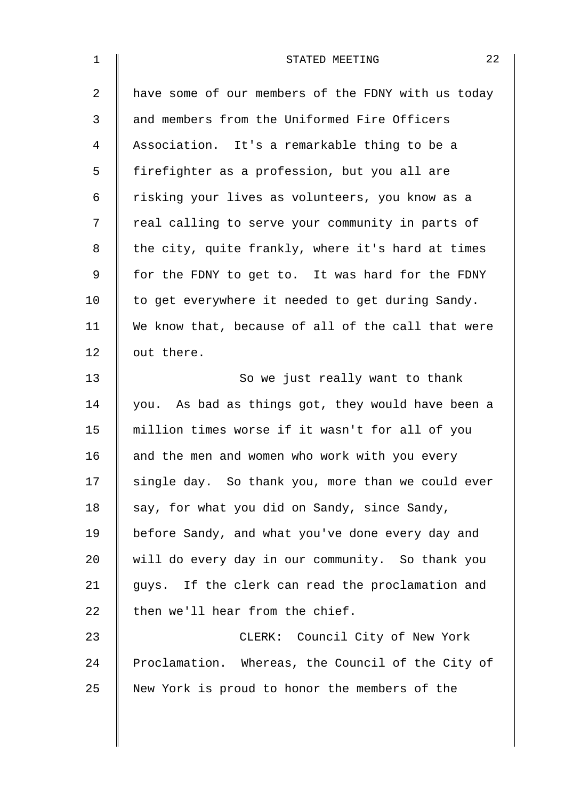| $\mathbf 1$ | 22<br>STATED MEETING                               |
|-------------|----------------------------------------------------|
| 2           | have some of our members of the FDNY with us today |
| 3           | and members from the Uniformed Fire Officers       |
| 4           | Association. It's a remarkable thing to be a       |
| 5           | firefighter as a profession, but you all are       |
| 6           | risking your lives as volunteers, you know as a    |
| 7           | real calling to serve your community in parts of   |
| 8           | the city, quite frankly, where it's hard at times  |
| 9           | for the FDNY to get to. It was hard for the FDNY   |
| 10          | to get everywhere it needed to get during Sandy.   |
| 11          | We know that, because of all of the call that were |
| 12          | out there.                                         |
| 13          | So we just really want to thank                    |
| 14          | you. As bad as things got, they would have been a  |
| 15          | million times worse if it wasn't for all of you    |
| 16          | and the men and women who work with you every      |
| 17          | single day. So thank you, more than we could ever  |
| 18          | say, for what you did on Sandy, since Sandy,       |
| 19          | before Sandy, and what you've done every day and   |
| 20          | will do every day in our community. So thank you   |
| 21          | guys. If the clerk can read the proclamation and   |
| 22          | then we'll hear from the chief.                    |
| 23          | CLERK: Council City of New York                    |
| 24          | Proclamation. Whereas, the Council of the City of  |
| 25          | New York is proud to honor the members of the      |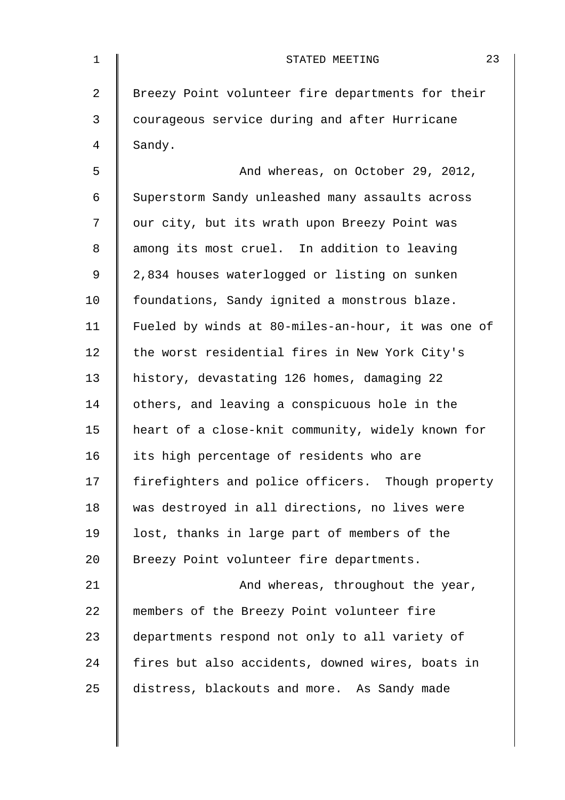| 1              | 23<br>STATED MEETING                               |
|----------------|----------------------------------------------------|
| $\overline{2}$ | Breezy Point volunteer fire departments for their  |
| 3              | courageous service during and after Hurricane      |
| 4              | Sandy.                                             |
| 5              | And whereas, on October 29, 2012,                  |
| 6              | Superstorm Sandy unleashed many assaults across    |
| 7              | our city, but its wrath upon Breezy Point was      |
| 8              | among its most cruel. In addition to leaving       |
| 9              | 2,834 houses waterlogged or listing on sunken      |
| 10             | foundations, Sandy ignited a monstrous blaze.      |
| 11             | Fueled by winds at 80-miles-an-hour, it was one of |
| 12             | the worst residential fires in New York City's     |
| 13             | history, devastating 126 homes, damaging 22        |
| 14             | others, and leaving a conspicuous hole in the      |
| 15             | heart of a close-knit community, widely known for  |
| 16             | its high percentage of residents who are           |
| 17             | firefighters and police officers. Though property  |
| 18             | was destroyed in all directions, no lives were     |
| 19             | lost, thanks in large part of members of the       |
| 20             | Breezy Point volunteer fire departments.           |
| 21             | And whereas, throughout the year,                  |
| 22             | members of the Breezy Point volunteer fire         |
| 23             | departments respond not only to all variety of     |
| 24             | fires but also accidents, downed wires, boats in   |
| 25             | distress, blackouts and more. As Sandy made        |
|                |                                                    |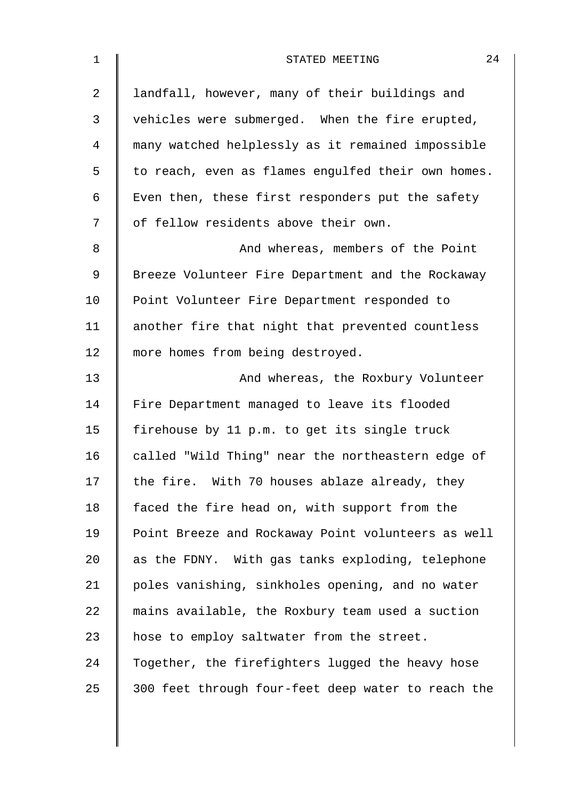| $\mathbf 1$ | 24<br>STATED MEETING                               |
|-------------|----------------------------------------------------|
| 2           | landfall, however, many of their buildings and     |
| 3           | vehicles were submerged. When the fire erupted,    |
| 4           | many watched helplessly as it remained impossible  |
| 5           | to reach, even as flames engulfed their own homes. |
| 6           | Even then, these first responders put the safety   |
| 7           | of fellow residents above their own.               |
| 8           | And whereas, members of the Point                  |
| 9           | Breeze Volunteer Fire Department and the Rockaway  |
| 10          | Point Volunteer Fire Department responded to       |
| 11          | another fire that night that prevented countless   |
| 12          | more homes from being destroyed.                   |
| 13          | And whereas, the Roxbury Volunteer                 |
| 14          | Fire Department managed to leave its flooded       |
| 15          | firehouse by 11 p.m. to get its single truck       |
| 16          | called "Wild Thing" near the northeastern edge of  |
| 17          | the fire. With 70 houses ablaze already, they      |
| 18          | faced the fire head on, with support from the      |
| 19          | Point Breeze and Rockaway Point volunteers as well |
| 20          | as the FDNY. With gas tanks exploding, telephone   |
| 21          | poles vanishing, sinkholes opening, and no water   |
| 22          | mains available, the Roxbury team used a suction   |
| 23          | hose to employ saltwater from the street.          |
| 24          | Together, the firefighters lugged the heavy hose   |
| 25          | 300 feet through four-feet deep water to reach the |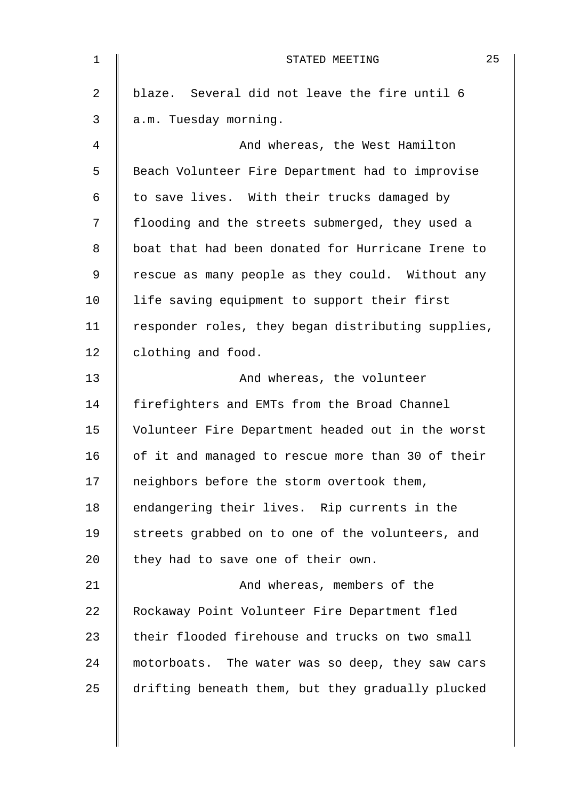| $\mathbf 1$    | 25<br>STATED MEETING                               |
|----------------|----------------------------------------------------|
| $\overline{2}$ | blaze. Several did not leave the fire until 6      |
| 3              | a.m. Tuesday morning.                              |
| $\overline{4}$ | And whereas, the West Hamilton                     |
| 5              | Beach Volunteer Fire Department had to improvise   |
| 6              | to save lives. With their trucks damaged by        |
| 7              | flooding and the streets submerged, they used a    |
| 8              | boat that had been donated for Hurricane Irene to  |
| 9              | rescue as many people as they could. Without any   |
| 10             | life saving equipment to support their first       |
| 11             | responder roles, they began distributing supplies, |
| 12             | clothing and food.                                 |
| 13             | And whereas, the volunteer                         |
| 14             | firefighters and EMTs from the Broad Channel       |
| 15             | Volunteer Fire Department headed out in the worst  |
| 16             | of it and managed to rescue more than 30 of their  |
| 17             | neighbors before the storm overtook them,          |
| 18             | endangering their lives. Rip currents in the       |
| 19             | streets grabbed on to one of the volunteers, and   |
| 20             | they had to save one of their own.                 |
| 21             | And whereas, members of the                        |
| 22             | Rockaway Point Volunteer Fire Department fled      |
| 23             | their flooded firehouse and trucks on two small    |
| 24             | motorboats. The water was so deep, they saw cars   |
| 25             | drifting beneath them, but they gradually plucked  |
|                |                                                    |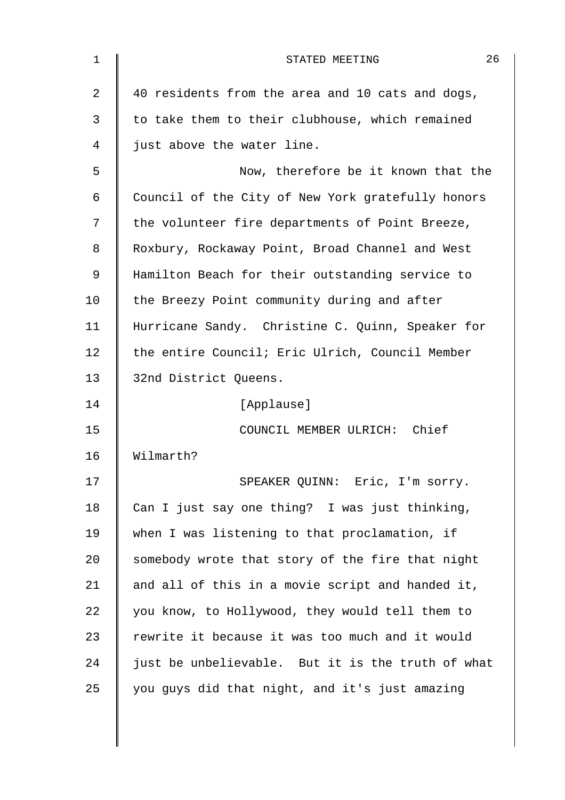| $\mathbf 1$    | 26<br>STATED MEETING                              |
|----------------|---------------------------------------------------|
| $\overline{a}$ | 40 residents from the area and 10 cats and dogs,  |
| 3              | to take them to their clubhouse, which remained   |
| 4              | just above the water line.                        |
| 5              | Now, therefore be it known that the               |
| 6              | Council of the City of New York gratefully honors |
| 7              | the volunteer fire departments of Point Breeze,   |
| 8              | Roxbury, Rockaway Point, Broad Channel and West   |
| 9              | Hamilton Beach for their outstanding service to   |
| 10             | the Breezy Point community during and after       |
| 11             | Hurricane Sandy. Christine C. Quinn, Speaker for  |
| 12             | the entire Council; Eric Ulrich, Council Member   |
| 13             | 32nd District Queens.                             |
| 14             | [Applause]                                        |
| 15             | COUNCIL MEMBER ULRICH: Chief                      |
| 16             | Wilmarth?                                         |
| 17             | SPEAKER QUINN: Eric, I'm sorry.                   |
| 18             | Can I just say one thing? I was just thinking,    |
| 19             | when I was listening to that proclamation, if     |
| 20             | somebody wrote that story of the fire that night  |
| 21             | and all of this in a movie script and handed it,  |
| 22             | you know, to Hollywood, they would tell them to   |
| 23             | rewrite it because it was too much and it would   |
| 24             | just be unbelievable. But it is the truth of what |
| 25             | you guys did that night, and it's just amazing    |
|                |                                                   |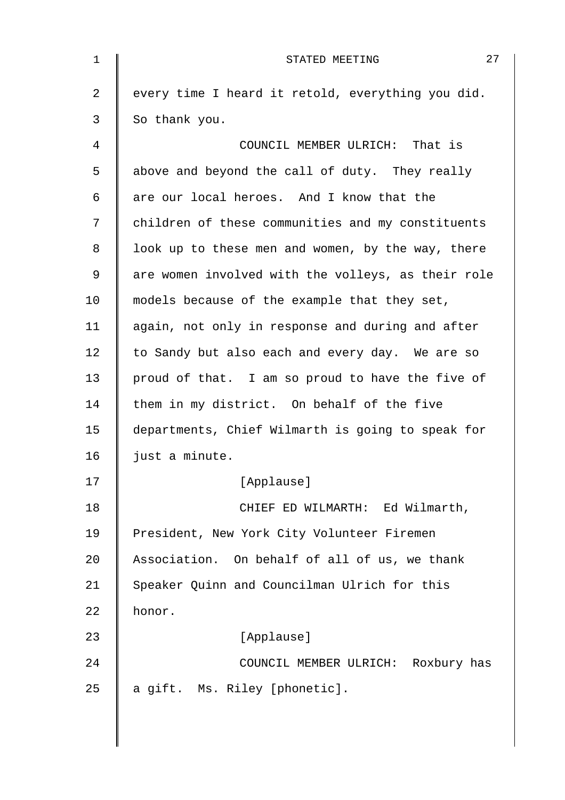| $\mathbf 1$ | 27<br>STATED MEETING                               |
|-------------|----------------------------------------------------|
| 2           | every time I heard it retold, everything you did.  |
| 3           | So thank you.                                      |
| 4           | COUNCIL MEMBER ULRICH: That is                     |
| 5           | above and beyond the call of duty. They really     |
| 6           | are our local heroes. And I know that the          |
| 7           | children of these communities and my constituents  |
| 8           | look up to these men and women, by the way, there  |
| $\mathsf 9$ | are women involved with the volleys, as their role |
| 10          | models because of the example that they set,       |
| 11          | again, not only in response and during and after   |
| 12          | to Sandy but also each and every day. We are so    |
| 13          | proud of that. I am so proud to have the five of   |
| 14          | them in my district. On behalf of the five         |
| 15          | departments, Chief Wilmarth is going to speak for  |
| 16          | just a minute.                                     |
| 17          | [Applause]                                         |
| 18          | CHIEF ED WILMARTH: Ed Wilmarth,                    |
| 19          | President, New York City Volunteer Firemen         |
| 20          | Association. On behalf of all of us, we thank      |
| 21          | Speaker Quinn and Councilman Ulrich for this       |
| 22          | honor.                                             |
| 23          | [Applause]                                         |
| 24          | COUNCIL MEMBER ULRICH: Roxbury has                 |
| 25          | a gift. Ms. Riley [phonetic].                      |
|             |                                                    |
|             |                                                    |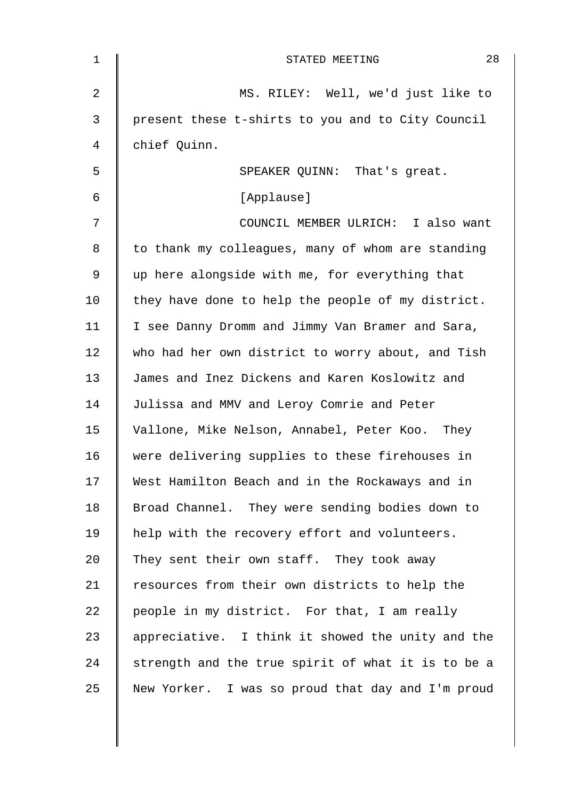| 1  | 28<br>STATED MEETING                               |
|----|----------------------------------------------------|
| 2  | MS. RILEY: Well, we'd just like to                 |
| 3  | present these t-shirts to you and to City Council  |
| 4  | chief Quinn.                                       |
| 5  | SPEAKER QUINN: That's great.                       |
| 6  | [Applause]                                         |
| 7  | COUNCIL MEMBER ULRICH: I also want                 |
| 8  | to thank my colleagues, many of whom are standing  |
| 9  | up here alongside with me, for everything that     |
| 10 | they have done to help the people of my district.  |
| 11 | I see Danny Dromm and Jimmy Van Bramer and Sara,   |
| 12 | who had her own district to worry about, and Tish  |
| 13 | James and Inez Dickens and Karen Koslowitz and     |
| 14 | Julissa and MMV and Leroy Comrie and Peter         |
| 15 | Vallone, Mike Nelson, Annabel, Peter Koo. They     |
| 16 | were delivering supplies to these firehouses in    |
| 17 | West Hamilton Beach and in the Rockaways and in    |
| 18 | Broad Channel. They were sending bodies down to    |
| 19 | help with the recovery effort and volunteers.      |
| 20 | They sent their own staff. They took away          |
| 21 | resources from their own districts to help the     |
| 22 | people in my district. For that, I am really       |
| 23 | appreciative. I think it showed the unity and the  |
| 24 | strength and the true spirit of what it is to be a |
| 25 | New Yorker. I was so proud that day and I'm proud  |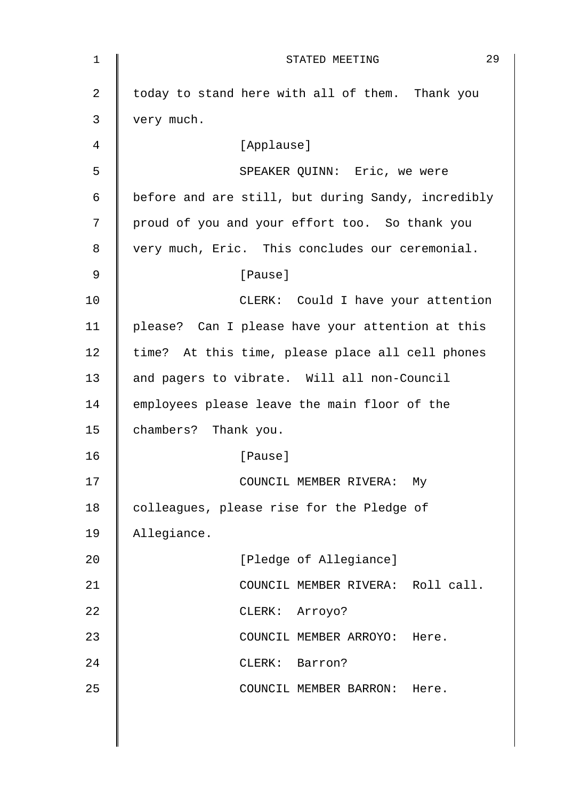| $\mathbf 1$    | 29<br>STATED MEETING                               |
|----------------|----------------------------------------------------|
| $\overline{2}$ | today to stand here with all of them. Thank you    |
| 3              | very much.                                         |
| 4              | [Applause]                                         |
| 5              | SPEAKER QUINN: Eric, we were                       |
| 6              | before and are still, but during Sandy, incredibly |
| 7              | proud of you and your effort too. So thank you     |
| 8              | very much, Eric. This concludes our ceremonial.    |
| 9              | [Pause]                                            |
| 10             | CLERK: Could I have your attention                 |
| 11             | please? Can I please have your attention at this   |
| 12             | time? At this time, please place all cell phones   |
| 13             | and pagers to vibrate. Will all non-Council        |
| 14             | employees please leave the main floor of the       |
| 15             | chambers? Thank you.                               |
| 16             | [Pause]                                            |
| 17             | COUNCIL MEMBER RIVERA: My                          |
| 18             | colleagues, please rise for the Pledge of          |
| 19             | Allegiance.                                        |
| 20             | [Pledge of Allegiance]                             |
| 21             | COUNCIL MEMBER RIVERA: Roll call.                  |
| 22             | CLERK: Arroyo?                                     |
| 23             | COUNCIL MEMBER ARROYO: Here.                       |
| 24             | CLERK: Barron?                                     |
| 25             | COUNCIL MEMBER BARRON: Here.                       |
|                |                                                    |
|                |                                                    |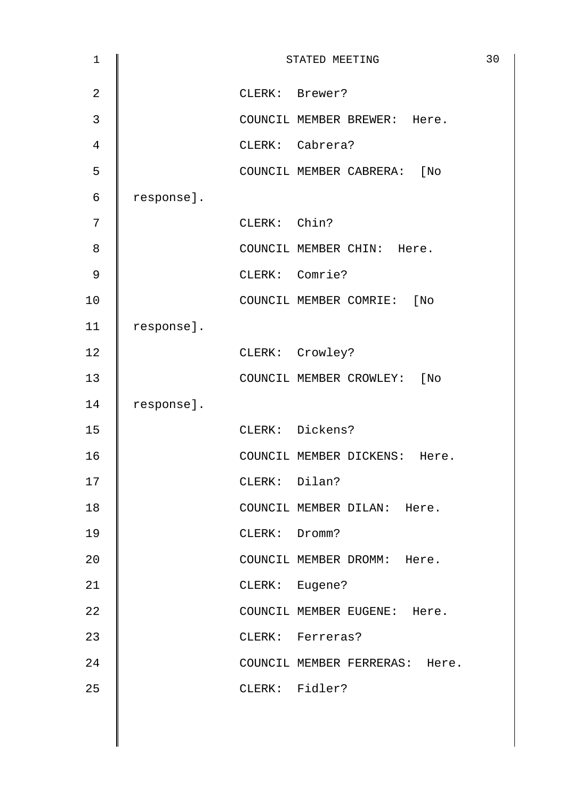| $\mathbf 1$    |            | STATED MEETING                 | 30 |
|----------------|------------|--------------------------------|----|
| $\sqrt{2}$     |            | CLERK: Brewer?                 |    |
| $\mathfrak{Z}$ |            | COUNCIL MEMBER BREWER: Here.   |    |
| $\overline{4}$ |            | CLERK: Cabrera?                |    |
| 5              |            | COUNCIL MEMBER CABRERA: [No    |    |
| $\epsilon$     | response]. |                                |    |
| 7              |            | CLERK: Chin?                   |    |
| 8              |            | COUNCIL MEMBER CHIN: Here.     |    |
| $\mathsf 9$    |            | CLERK: Comrie?                 |    |
| 10             |            | COUNCIL MEMBER COMRIE: [No     |    |
| 11             | response]. |                                |    |
| 12             |            | CLERK: Crowley?                |    |
| 13             |            | COUNCIL MEMBER CROWLEY: [No    |    |
| 14             | response]. |                                |    |
| 15             |            | CLERK: Dickens?                |    |
| 16             |            | COUNCIL MEMBER DICKENS: Here.  |    |
| 17             |            | CLERK: Dilan?                  |    |
| $18\,$         |            | COUNCIL MEMBER DILAN: Here.    |    |
| 19             |            | CLERK: Dromm?                  |    |
| 20             |            | COUNCIL MEMBER DROMM: Here.    |    |
| 21             |            | CLERK: Eugene?                 |    |
| 22             |            | COUNCIL MEMBER EUGENE: Here.   |    |
| 23             |            | CLERK: Ferreras?               |    |
| 24             |            | COUNCIL MEMBER FERRERAS: Here. |    |
| 25             |            | CLERK: Fidler?                 |    |
|                |            |                                |    |
|                |            |                                |    |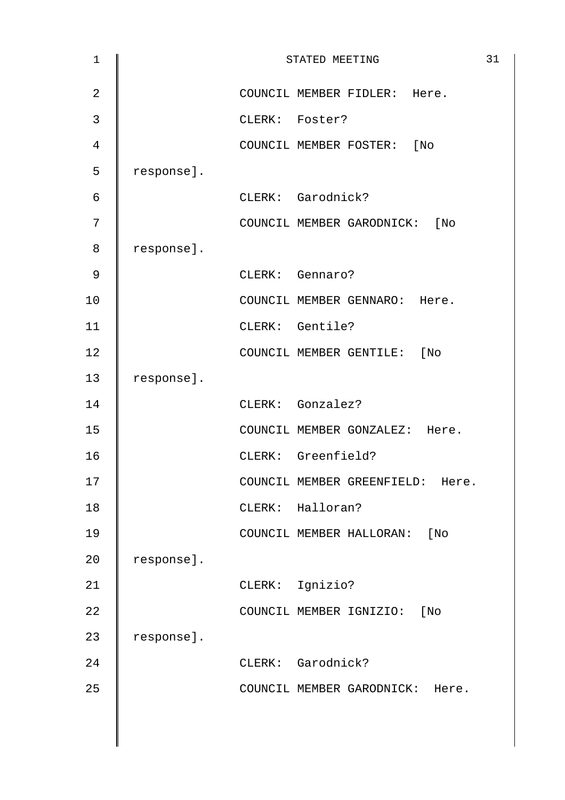| $\mathbf 1$    |            | STATED MEETING                      | 31 |
|----------------|------------|-------------------------------------|----|
| $\overline{2}$ |            | COUNCIL MEMBER FIDLER: Here.        |    |
| 3              |            | CLERK: Foster?                      |    |
| 4              |            | COUNCIL MEMBER FOSTER: [No          |    |
| 5              | response]. |                                     |    |
| 6              |            | CLERK: Garodnick?                   |    |
| 7              |            | COUNCIL MEMBER GARODNICK: [No       |    |
| 8              | response]. |                                     |    |
| 9              |            | CLERK: Gennaro?                     |    |
| 10             |            | COUNCIL MEMBER GENNARO: Here.       |    |
| 11             |            | CLERK: Gentile?                     |    |
| 12             |            | COUNCIL MEMBER GENTILE: [No         |    |
| 13             | response]. |                                     |    |
| 14             |            | CLERK: Gonzalez?                    |    |
| 15             |            | COUNCIL MEMBER GONZALEZ: Here.      |    |
| 16             |            | CLERK: Greenfield?                  |    |
| 17             |            | COUNCIL MEMBER GREENFIELD:<br>Here. |    |
| $18\,$         |            | CLERK: Halloran?                    |    |
| 19             |            | COUNCIL MEMBER HALLORAN:<br>[ No    |    |
| 20             | response]. |                                     |    |
| 21             |            | CLERK: Ignizio?                     |    |
| 22             |            | COUNCIL MEMBER IGNIZIO:<br>$[$ No   |    |
| 23             | response]. |                                     |    |
| 24             |            | CLERK: Garodnick?                   |    |
| 25             |            | COUNCIL MEMBER GARODNICK: Here.     |    |
|                |            |                                     |    |
|                |            |                                     |    |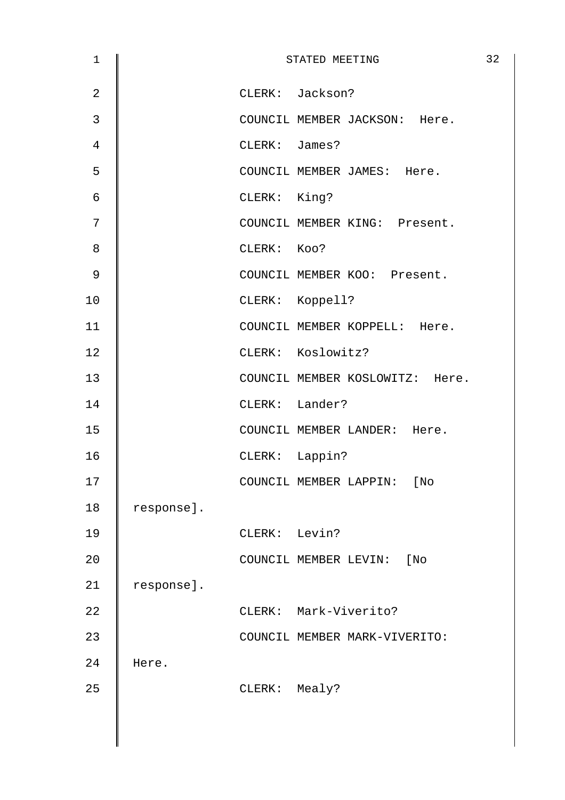| 1              |            |               | STATED MEETING                  | 32 |
|----------------|------------|---------------|---------------------------------|----|
| $\overline{2}$ |            |               | CLERK: Jackson?                 |    |
| $\mathfrak{Z}$ |            |               | COUNCIL MEMBER JACKSON: Here.   |    |
| 4              |            | CLERK: James? |                                 |    |
| 5              |            |               | COUNCIL MEMBER JAMES: Here.     |    |
| 6              |            | CLERK: King?  |                                 |    |
| 7              |            |               | COUNCIL MEMBER KING: Present.   |    |
| 8              |            | CLERK: KOO?   |                                 |    |
| $\mathsf 9$    |            |               | COUNCIL MEMBER KOO: Present.    |    |
| 10             |            |               | CLERK: Koppell?                 |    |
| 11             |            |               | COUNCIL MEMBER KOPPELL: Here.   |    |
| 12             |            |               | CLERK: Koslowitz?               |    |
| 13             |            |               | COUNCIL MEMBER KOSLOWITZ: Here. |    |
| 14             |            |               | CLERK: Lander?                  |    |
| 15             |            |               | COUNCIL MEMBER LANDER: Here.    |    |
| 16             |            |               | CLERK: Lappin?                  |    |
| 17             |            |               | COUNCIL MEMBER LAPPIN:<br>[No   |    |
| 18             | response]. |               |                                 |    |
| 19             |            | CLERK: Levin? |                                 |    |
| 20             |            |               | COUNCIL MEMBER LEVIN:<br>[No    |    |
| 21             | response]. |               |                                 |    |
| 22             |            |               | CLERK: Mark-Viverito?           |    |
| 23             |            |               | COUNCIL MEMBER MARK-VIVERITO:   |    |
| 24             | Here.      |               |                                 |    |
| 25             |            | CLERK: Mealy? |                                 |    |
|                |            |               |                                 |    |
|                |            |               |                                 |    |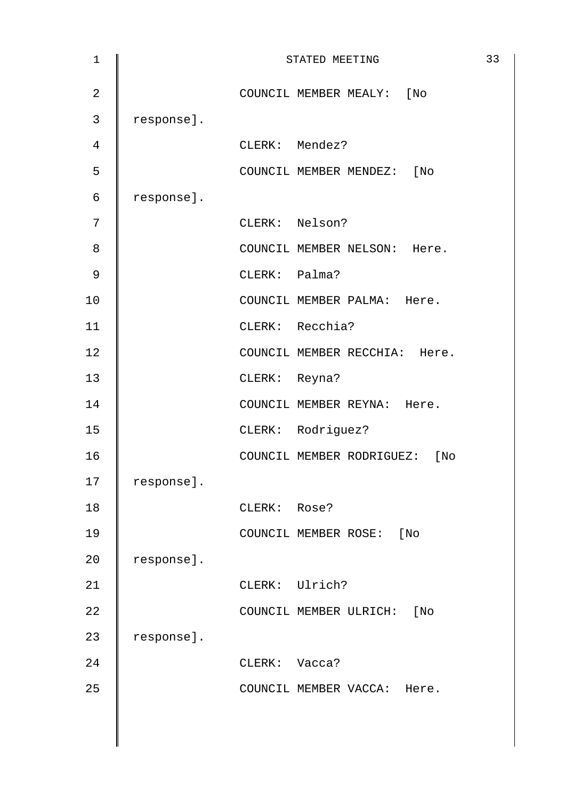| $\mathbf 1$    |            | STATED MEETING                | 33 |
|----------------|------------|-------------------------------|----|
| $\overline{2}$ |            | COUNCIL MEMBER MEALY: [No     |    |
| 3              | response]. |                               |    |
| 4              |            | CLERK: Mendez?                |    |
| 5              |            | COUNCIL MEMBER MENDEZ: [No    |    |
| 6              | response]. |                               |    |
| 7              |            | CLERK: Nelson?                |    |
| 8              |            | COUNCIL MEMBER NELSON: Here.  |    |
| $\mathsf 9$    |            | CLERK: Palma?                 |    |
| 10             |            | COUNCIL MEMBER PALMA: Here.   |    |
| 11             |            | CLERK: Recchia?               |    |
| 12             |            | COUNCIL MEMBER RECCHIA: Here. |    |
| 13             |            | CLERK: Reyna?                 |    |
| 14             |            | COUNCIL MEMBER REYNA: Here.   |    |
| 15             |            | CLERK: Rodriguez?             |    |
| 16             |            | COUNCIL MEMBER RODRIGUEZ: [No |    |
| 17             | response]. |                               |    |
| 18             |            | CLERK: Rose?                  |    |
| 19             |            | COUNCIL MEMBER ROSE: [No      |    |
| 20             | response]. |                               |    |
| 21             |            | CLERK: Ulrich?                |    |
| 22             |            | COUNCIL MEMBER ULRICH: [No    |    |
| 23             | response]. |                               |    |
| 24             |            | CLERK: Vacca?                 |    |
| 25             |            | COUNCIL MEMBER VACCA: Here.   |    |
|                |            |                               |    |
|                |            |                               |    |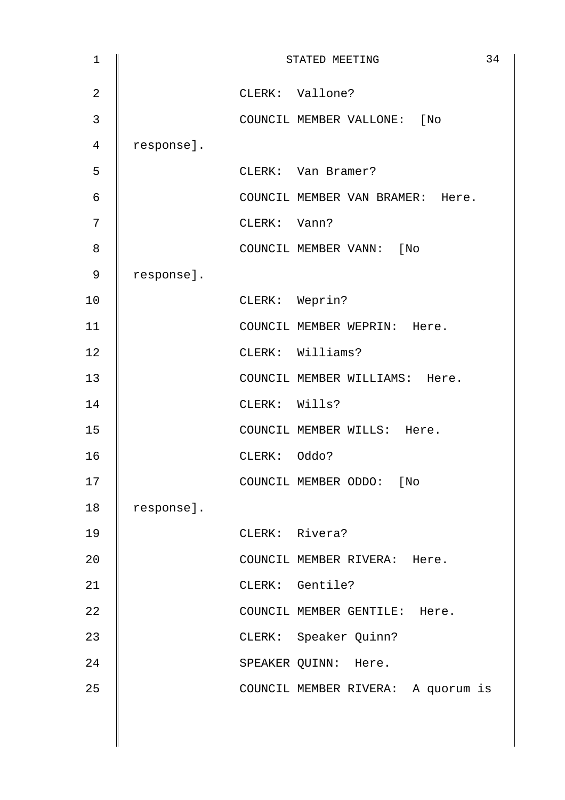| $\mathbf 1$    |            |               | STATED MEETING                     | 34 |
|----------------|------------|---------------|------------------------------------|----|
| $\overline{2}$ |            |               | CLERK: Vallone?                    |    |
| 3              |            |               | COUNCIL MEMBER VALLONE: [No        |    |
| 4              | response]. |               |                                    |    |
| 5              |            |               | CLERK: Van Bramer?                 |    |
| 6              |            |               | COUNCIL MEMBER VAN BRAMER: Here.   |    |
| 7              |            | CLERK: Vann?  |                                    |    |
| 8              |            |               | COUNCIL MEMBER VANN: [No           |    |
| 9              | response]. |               |                                    |    |
| 10             |            |               | CLERK: Weprin?                     |    |
| 11             |            |               | COUNCIL MEMBER WEPRIN: Here.       |    |
| 12             |            |               | CLERK: Williams?                   |    |
| 13             |            |               | COUNCIL MEMBER WILLIAMS: Here.     |    |
| 14             |            | CLERK: Wills? |                                    |    |
| 15             |            |               | COUNCIL MEMBER WILLS: Here.        |    |
| 16             |            | CLERK: Oddo?  |                                    |    |
| 17             |            |               | COUNCIL MEMBER ODDO: [No           |    |
| $18\,$         | response]. |               |                                    |    |
| 19             |            |               | CLERK: Rivera?                     |    |
| 20             |            |               | COUNCIL MEMBER RIVERA: Here.       |    |
| 21             |            |               | CLERK: Gentile?                    |    |
| 22             |            |               | COUNCIL MEMBER GENTILE: Here.      |    |
| 23             |            |               | CLERK: Speaker Quinn?              |    |
| 24             |            |               | SPEAKER QUINN: Here.               |    |
| 25             |            |               | COUNCIL MEMBER RIVERA: A quorum is |    |
|                |            |               |                                    |    |
|                |            |               |                                    |    |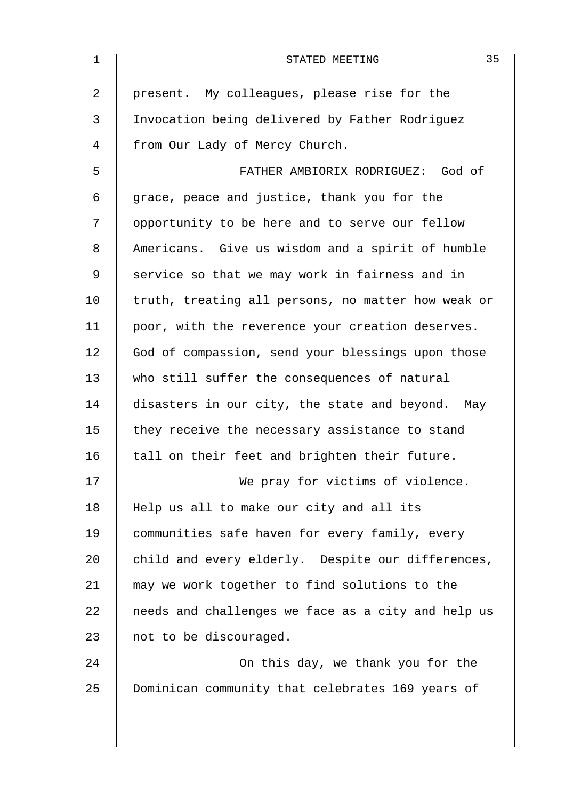| $\mathbf 1$ | 35<br>STATED MEETING                               |
|-------------|----------------------------------------------------|
| 2           | present. My colleagues, please rise for the        |
| 3           | Invocation being delivered by Father Rodriguez     |
| 4           | from Our Lady of Mercy Church.                     |
| 5           | FATHER AMBIORIX RODRIGUEZ: God of                  |
| 6           | grace, peace and justice, thank you for the        |
| 7           | opportunity to be here and to serve our fellow     |
| 8           | Americans. Give us wisdom and a spirit of humble   |
| 9           | service so that we may work in fairness and in     |
| 10          | truth, treating all persons, no matter how weak or |
| 11          | poor, with the reverence your creation deserves.   |
| 12          | God of compassion, send your blessings upon those  |
| 13          | who still suffer the consequences of natural       |
| 14          | disasters in our city, the state and beyond. May   |
| 15          | they receive the necessary assistance to stand     |
| 16          | tall on their feet and brighten their future.      |
| 17          | We pray for victims of violence.                   |
| 18          | Help us all to make our city and all its           |
| 19          | communities safe haven for every family, every     |
| 20          | child and every elderly. Despite our differences,  |
| 21          | may we work together to find solutions to the      |
| 22          | needs and challenges we face as a city and help us |
| 23          | not to be discouraged.                             |
| 24          | On this day, we thank you for the                  |
| 25          | Dominican community that celebrates 169 years of   |
|             |                                                    |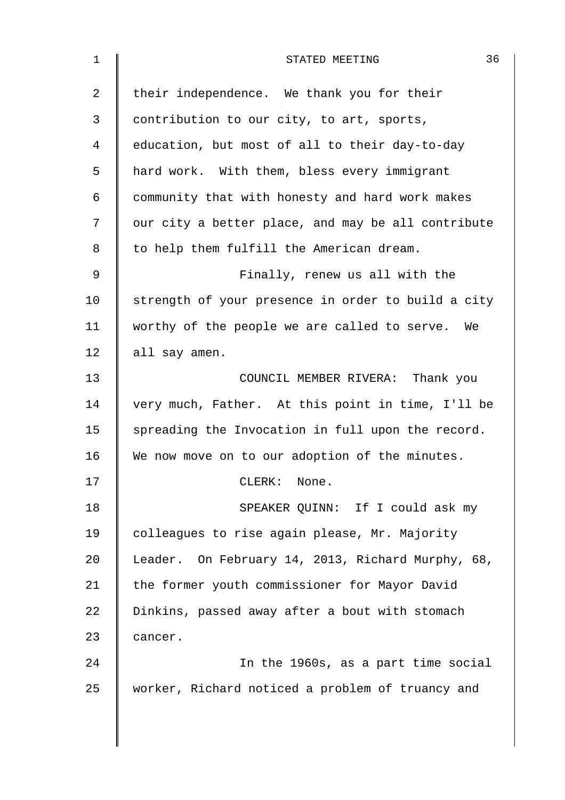| $\mathbf 1$    | 36<br>STATED MEETING                               |
|----------------|----------------------------------------------------|
| $\overline{a}$ | their independence. We thank you for their         |
| 3              | contribution to our city, to art, sports,          |
| 4              | education, but most of all to their day-to-day     |
| 5              | hard work. With them, bless every immigrant        |
| 6              | community that with honesty and hard work makes    |
| 7              | our city a better place, and may be all contribute |
| 8              | to help them fulfill the American dream.           |
| 9              | Finally, renew us all with the                     |
| 10             | strength of your presence in order to build a city |
| 11             | worthy of the people we are called to serve. We    |
| 12             | all say amen.                                      |
| 13             | COUNCIL MEMBER RIVERA: Thank you                   |
| 14             | very much, Father. At this point in time, I'll be  |
| 15             | spreading the Invocation in full upon the record.  |
| 16             | We now move on to our adoption of the minutes.     |
| 17             | CLERK: None.                                       |
| 18             | SPEAKER QUINN: If I could ask my                   |
| 19             | colleagues to rise again please, Mr. Majority      |
| 20             | Leader. On February 14, 2013, Richard Murphy, 68,  |
| 21             | the former youth commissioner for Mayor David      |
| 22             | Dinkins, passed away after a bout with stomach     |
| 23             | cancer.                                            |
| 24             | In the 1960s, as a part time social                |
| 25             | worker, Richard noticed a problem of truancy and   |
|                |                                                    |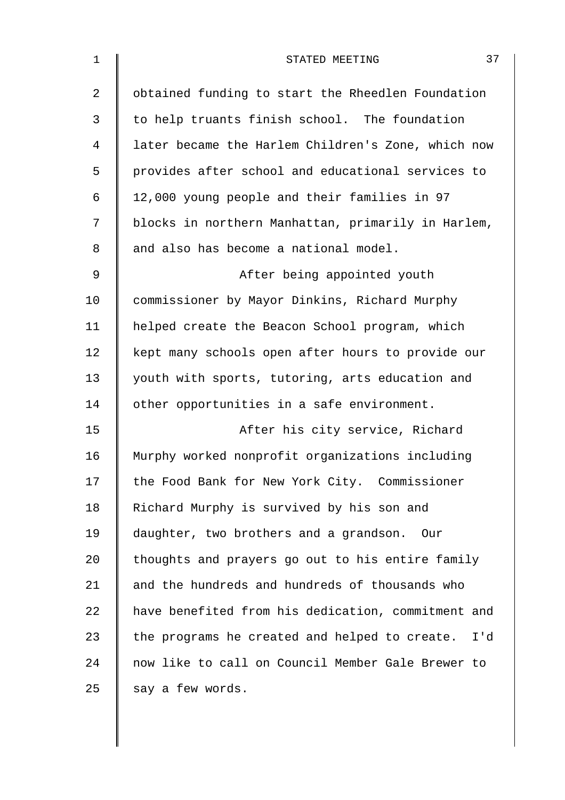| $\mathbf 1$ | 37<br>STATED MEETING                                 |
|-------------|------------------------------------------------------|
| 2           | obtained funding to start the Rheedlen Foundation    |
| 3           | to help truants finish school. The foundation        |
| 4           | later became the Harlem Children's Zone, which now   |
| 5           | provides after school and educational services to    |
| 6           | 12,000 young people and their families in 97         |
| 7           | blocks in northern Manhattan, primarily in Harlem,   |
| 8           | and also has become a national model.                |
| 9           | After being appointed youth                          |
| 10          | commissioner by Mayor Dinkins, Richard Murphy        |
| 11          | helped create the Beacon School program, which       |
| 12          | kept many schools open after hours to provide our    |
| 13          | youth with sports, tutoring, arts education and      |
| 14          | other opportunities in a safe environment.           |
| 15          | After his city service, Richard                      |
| 16          | Murphy worked nonprofit organizations including      |
| 17          | the Food Bank for New York City. Commissioner        |
| 18          | Richard Murphy is survived by his son and            |
| 19          | daughter, two brothers and a grandson. Our           |
| 20          | thoughts and prayers go out to his entire family     |
| 21          | and the hundreds and hundreds of thousands who       |
| 22          | have benefited from his dedication, commitment and   |
| 23          | the programs he created and helped to create.<br>I'd |
| 24          | now like to call on Council Member Gale Brewer to    |
| 25          | say a few words.                                     |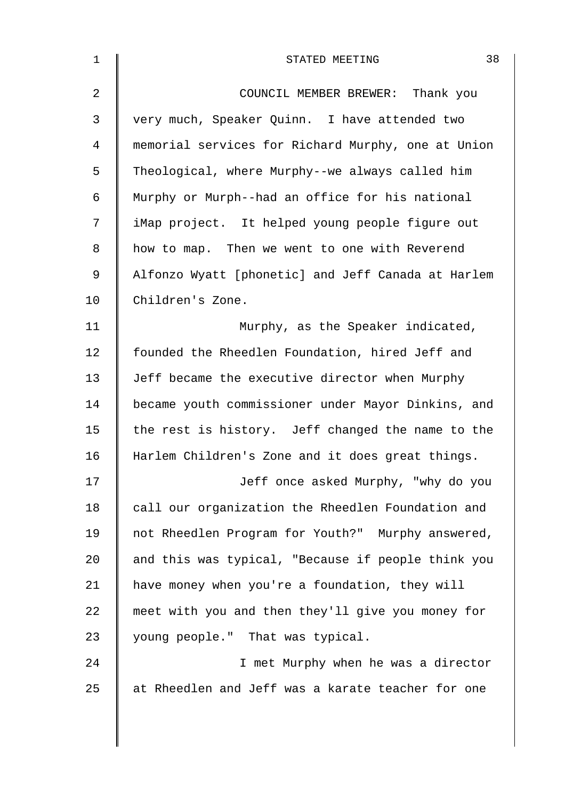| $\mathbf 1$    | 38<br>STATED MEETING                               |
|----------------|----------------------------------------------------|
| $\overline{2}$ | COUNCIL MEMBER BREWER: Thank you                   |
| 3              | very much, Speaker Quinn. I have attended two      |
| $\overline{4}$ | memorial services for Richard Murphy, one at Union |
| 5              | Theological, where Murphy--we always called him    |
| 6              | Murphy or Murph--had an office for his national    |
| 7              | iMap project. It helped young people figure out    |
| 8              | how to map. Then we went to one with Reverend      |
| $\mathsf 9$    | Alfonzo Wyatt [phonetic] and Jeff Canada at Harlem |
| 10             | Children's Zone.                                   |
| 11             | Murphy, as the Speaker indicated,                  |
| 12             | founded the Rheedlen Foundation, hired Jeff and    |
| 13             | Jeff became the executive director when Murphy     |
| 14             | became youth commissioner under Mayor Dinkins, and |
| 15             | the rest is history. Jeff changed the name to the  |
| 16             | Harlem Children's Zone and it does great things.   |
| 17             | Jeff once asked Murphy, "why do you                |
| 18             | call our organization the Rheedlen Foundation and  |
| 19             | not Rheedlen Program for Youth?" Murphy answered,  |
| 20             | and this was typical, "Because if people think you |
| 21             | have money when you're a foundation, they will     |
| 22             | meet with you and then they'll give you money for  |
| 23             | young people." That was typical.                   |
| 24             | I met Murphy when he was a director                |
| 25             | at Rheedlen and Jeff was a karate teacher for one  |
|                |                                                    |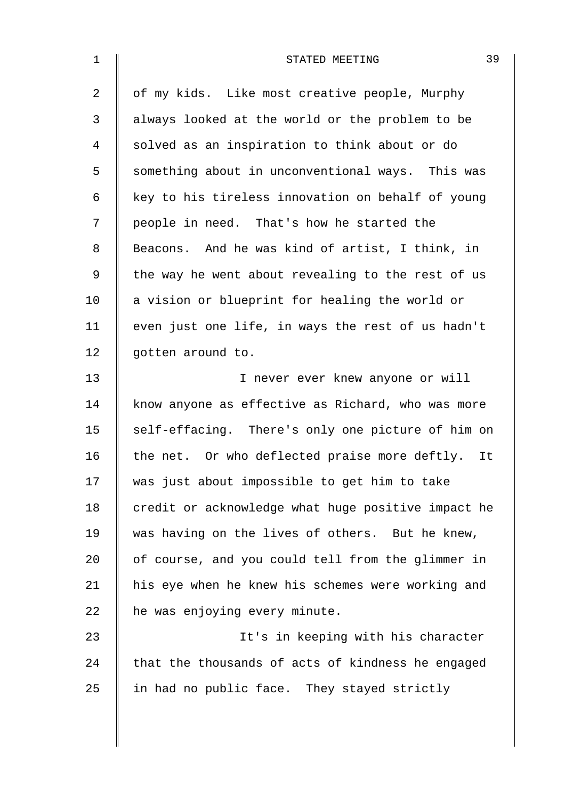| $\mathbf 1$    | 39<br>STATED MEETING                               |
|----------------|----------------------------------------------------|
| $\overline{2}$ | of my kids. Like most creative people, Murphy      |
| 3              | always looked at the world or the problem to be    |
| $\overline{4}$ | solved as an inspiration to think about or do      |
| 5              | something about in unconventional ways. This was   |
| 6              | key to his tireless innovation on behalf of young  |
| 7              | people in need. That's how he started the          |
| 8              | Beacons. And he was kind of artist, I think, in    |
| $\mathsf 9$    | the way he went about revealing to the rest of us  |
| 10             | a vision or blueprint for healing the world or     |
| 11             | even just one life, in ways the rest of us hadn't  |
| 12             | gotten around to.                                  |
| 13             | I never ever knew anyone or will                   |
| 14             | know anyone as effective as Richard, who was more  |
| 15             | self-effacing. There's only one picture of him on  |
| 16             | the net. Or who deflected praise more deftly. It   |
| 17             | was just about impossible to get him to take       |
| 18             | credit or acknowledge what huge positive impact he |
| 19             | was having on the lives of others. But he knew,    |
| 20             | of course, and you could tell from the glimmer in  |
| 21             | his eye when he knew his schemes were working and  |
| 22             | he was enjoying every minute.                      |
| 23             | It's in keeping with his character                 |
| 24             | that the thousands of acts of kindness he engaged  |
| 25             | in had no public face. They stayed strictly        |
|                |                                                    |
|                |                                                    |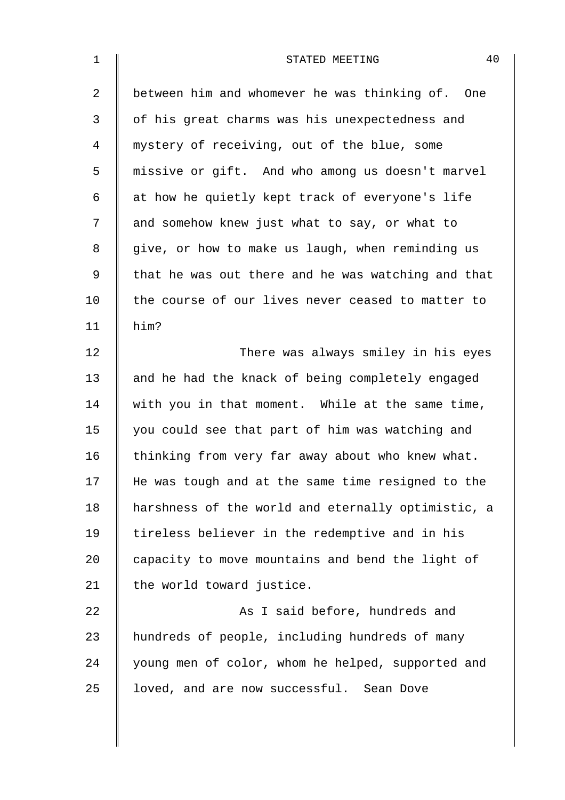| $\mathbf 1$    | 40<br>STATED MEETING                               |
|----------------|----------------------------------------------------|
| $\overline{a}$ | between him and whomever he was thinking of. One   |
| 3              | of his great charms was his unexpectedness and     |
| 4              | mystery of receiving, out of the blue, some        |
| 5              | missive or gift. And who among us doesn't marvel   |
| 6              | at how he quietly kept track of everyone's life    |
| 7              | and somehow knew just what to say, or what to      |
| 8              | give, or how to make us laugh, when reminding us   |
| 9              | that he was out there and he was watching and that |
| 10             | the course of our lives never ceased to matter to  |
| 11             | him?                                               |
| 12             | There was always smiley in his eyes                |
| 13             | and he had the knack of being completely engaged   |
| 14             | with you in that moment. While at the same time,   |
| 15             | you could see that part of him was watching and    |
| 16             | thinking from very far away about who knew what.   |
| 17             | He was tough and at the same time resigned to the  |
| 18             | harshness of the world and eternally optimistic, a |
| 19             | tireless believer in the redemptive and in his     |
| 20             | capacity to move mountains and bend the light of   |
| 21             | the world toward justice.                          |
| 22             | As I said before, hundreds and                     |
| 23             | hundreds of people, including hundreds of many     |
| 24             | young men of color, whom he helped, supported and  |
| 25             | loved, and are now successful. Sean Dove           |
|                |                                                    |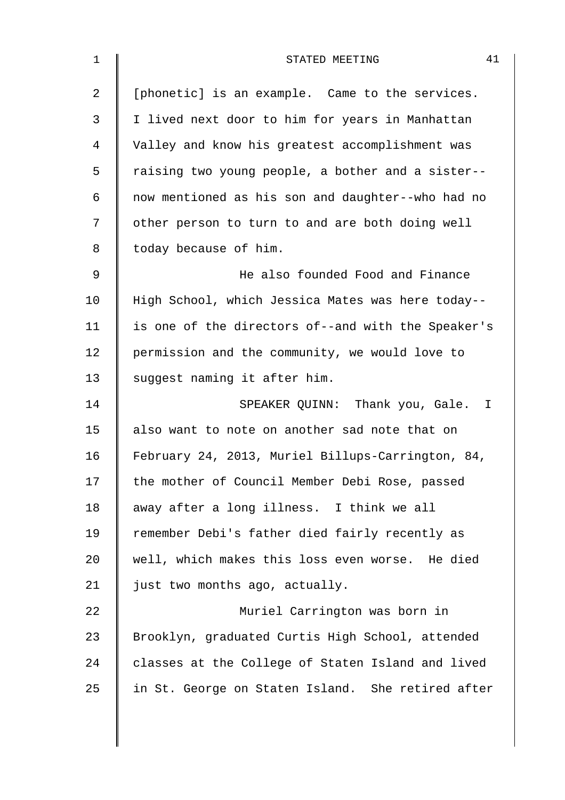| $\mathbf 1$ | 41<br>STATED MEETING                               |
|-------------|----------------------------------------------------|
| 2           | [phonetic] is an example. Came to the services.    |
| 3           | I lived next door to him for years in Manhattan    |
| 4           | Valley and know his greatest accomplishment was    |
| 5           | raising two young people, a bother and a sister--  |
| 6           | now mentioned as his son and daughter--who had no  |
| 7           | other person to turn to and are both doing well    |
| 8           | today because of him.                              |
| 9           | He also founded Food and Finance                   |
| 10          | High School, which Jessica Mates was here today--  |
| 11          | is one of the directors of--and with the Speaker's |
| 12          | permission and the community, we would love to     |
| 13          | suggest naming it after him.                       |
| 14          | SPEAKER QUINN: Thank you, Gale. I                  |
| 15          | also want to note on another sad note that on      |
| 16          | February 24, 2013, Muriel Billups-Carrington, 84,  |
| 17          | the mother of Council Member Debi Rose, passed     |
| 18          | away after a long illness. I think we all          |
| 19          | remember Debi's father died fairly recently as     |
| 20          | well, which makes this loss even worse. He died    |
| 21          | just two months ago, actually.                     |
| 22          | Muriel Carrington was born in                      |
| 23          | Brooklyn, graduated Curtis High School, attended   |
| 24          | classes at the College of Staten Island and lived  |
| 25          | in St. George on Staten Island. She retired after  |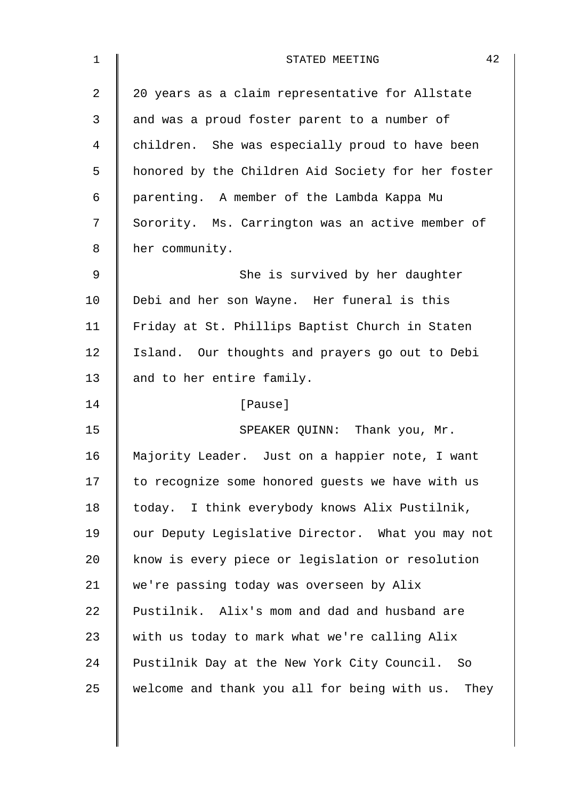| $\mathbf 1$    | 42<br>STATED MEETING                               |
|----------------|----------------------------------------------------|
| $\overline{2}$ | 20 years as a claim representative for Allstate    |
| 3              | and was a proud foster parent to a number of       |
| $\overline{4}$ | children. She was especially proud to have been    |
| 5              | honored by the Children Aid Society for her foster |
| 6              | parenting. A member of the Lambda Kappa Mu         |
| 7              | Sorority. Ms. Carrington was an active member of   |
| 8              | her community.                                     |
| 9              | She is survived by her daughter                    |
| 10             | Debi and her son Wayne. Her funeral is this        |
| 11             | Friday at St. Phillips Baptist Church in Staten    |
| 12             | Island. Our thoughts and prayers go out to Debi    |
| 13             | and to her entire family.                          |
| 14             | [Pause]                                            |
| 15             | SPEAKER QUINN: Thank you, Mr.                      |
| 16             | Majority Leader. Just on a happier note, I want    |
| 17             | to recognize some honored guests we have with us   |
| 18             | today. I think everybody knows Alix Pustilnik,     |
| 19             | our Deputy Legislative Director. What you may not  |
| 20             | know is every piece or legislation or resolution   |
| 21             | we're passing today was overseen by Alix           |
| 22             | Pustilnik. Alix's mom and dad and husband are      |
| 23             | with us today to mark what we're calling Alix      |
| 24             | Pustilnik Day at the New York City Council. So     |
| 25             | welcome and thank you all for being with us. They  |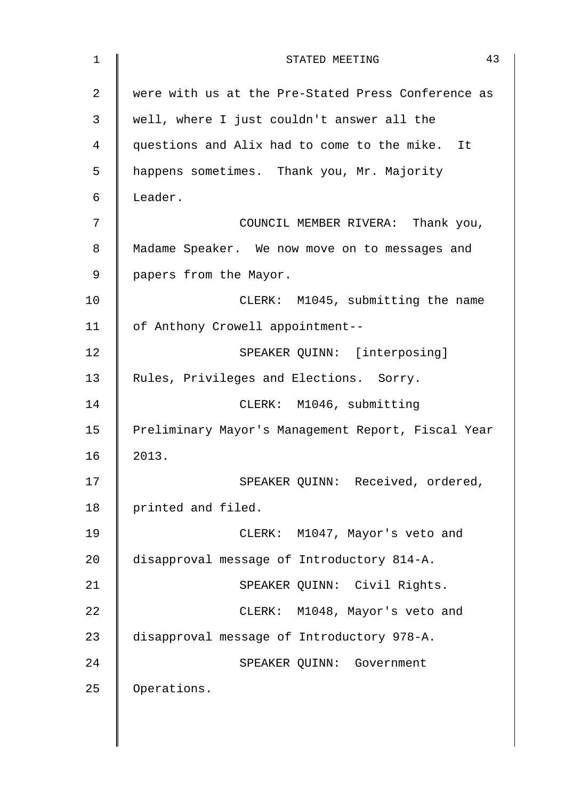| 1  | 43<br>STATED MEETING                               |
|----|----------------------------------------------------|
| 2  | were with us at the Pre-Stated Press Conference as |
| 3  | well, where I just couldn't answer all the         |
| 4  | questions and Alix had to come to the mike. It     |
| 5  | happens sometimes. Thank you, Mr. Majority         |
| 6  | Leader.                                            |
| 7  | COUNCIL MEMBER RIVERA: Thank you,                  |
| 8  | Madame Speaker. We now move on to messages and     |
| 9  | papers from the Mayor.                             |
| 10 | CLERK: M1045, submitting the name                  |
| 11 | of Anthony Crowell appointment--                   |
| 12 | SPEAKER QUINN: [interposing]                       |
| 13 | Rules, Privileges and Elections. Sorry.            |
| 14 | CLERK: M1046, submitting                           |
| 15 | Preliminary Mayor's Management Report, Fiscal Year |
| 16 | 2013.                                              |
| 17 | SPEAKER QUINN: Received, ordered,                  |
| 18 | printed and filed.                                 |
| 19 | CLERK: M1047, Mayor's veto and                     |
| 20 | disapproval message of Introductory 814-A.         |
| 21 | SPEAKER QUINN: Civil Rights.                       |
| 22 | CLERK: M1048, Mayor's veto and                     |
| 23 | disapproval message of Introductory 978-A.         |
| 24 | SPEAKER QUINN: Government                          |
| 25 | Operations.                                        |
|    |                                                    |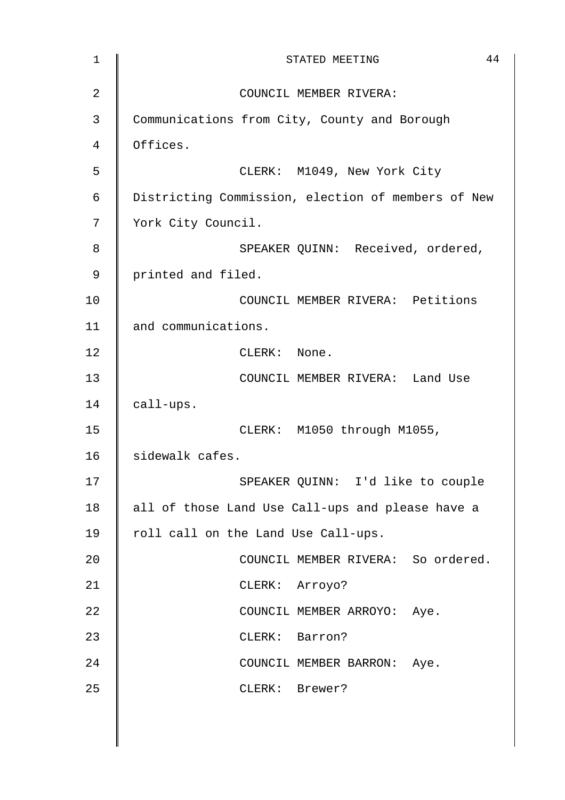| 1  | 44<br>STATED MEETING                               |
|----|----------------------------------------------------|
| 2  | COUNCIL MEMBER RIVERA:                             |
| 3  | Communications from City, County and Borough       |
| 4  | Offices.                                           |
| 5  | CLERK: M1049, New York City                        |
| 6  | Districting Commission, election of members of New |
| 7  | York City Council.                                 |
| 8  | SPEAKER QUINN: Received, ordered,                  |
| 9  | printed and filed.                                 |
| 10 | COUNCIL MEMBER RIVERA: Petitions                   |
| 11 | and communications.                                |
| 12 | CLERK: None.                                       |
| 13 | COUNCIL MEMBER RIVERA: Land Use                    |
| 14 | call-ups.                                          |
| 15 | CLERK: M1050 through M1055,                        |
| 16 | sidewalk cafes.                                    |
| 17 | SPEAKER QUINN: I'd like to couple                  |
| 18 | all of those Land Use Call-ups and please have a   |
| 19 | roll call on the Land Use Call-ups.                |
| 20 | COUNCIL MEMBER RIVERA: So ordered.                 |
| 21 | CLERK: Arroyo?                                     |
| 22 | COUNCIL MEMBER ARROYO: Aye.                        |
| 23 | CLERK: Barron?                                     |
| 24 | COUNCIL MEMBER BARRON: Aye.                        |
| 25 | CLERK: Brewer?                                     |
|    |                                                    |
|    |                                                    |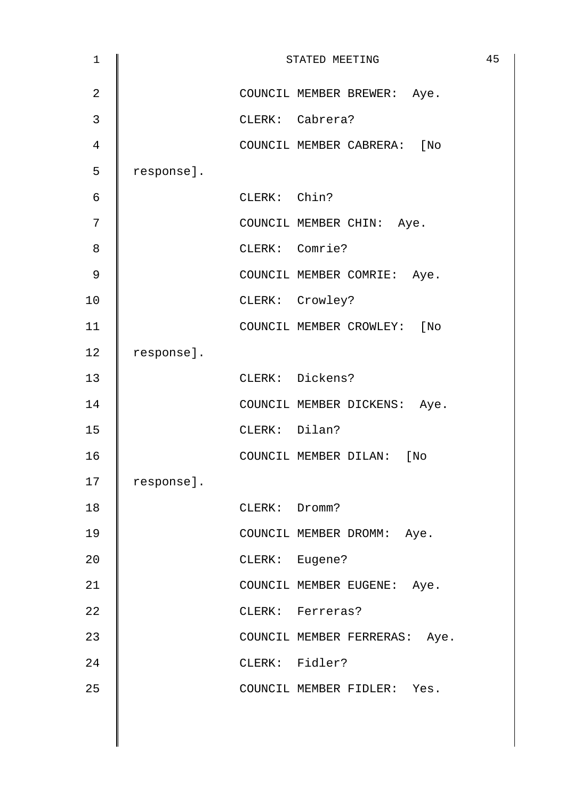| $\mathbf 1$    |            |                | STATED MEETING                | 45 |
|----------------|------------|----------------|-------------------------------|----|
| $\overline{2}$ |            |                | COUNCIL MEMBER BREWER: Aye.   |    |
| 3              |            |                | CLERK: Cabrera?               |    |
| 4              |            |                | COUNCIL MEMBER CABRERA: [No   |    |
| 5              | response]. |                |                               |    |
| $\epsilon$     |            | CLERK: Chin?   |                               |    |
| 7              |            |                | COUNCIL MEMBER CHIN: Aye.     |    |
| 8              |            | CLERK: Comrie? |                               |    |
| 9              |            |                | COUNCIL MEMBER COMRIE: Aye.   |    |
| 10             |            |                | CLERK: Crowley?               |    |
| 11             |            |                | COUNCIL MEMBER CROWLEY: [No   |    |
| 12             | response]. |                |                               |    |
| 13             |            |                | CLERK: Dickens?               |    |
| 14             |            |                | COUNCIL MEMBER DICKENS: Aye.  |    |
| 15             |            | CLERK: Dilan?  |                               |    |
| 16             |            |                | COUNCIL MEMBER DILAN: [No     |    |
| 17             | response]. |                |                               |    |
| 18             |            | CLERK: Dromm?  |                               |    |
| 19             |            |                | COUNCIL MEMBER DROMM: Aye.    |    |
| 20             |            | CLERK: Eugene? |                               |    |
| 21             |            |                | COUNCIL MEMBER EUGENE: Aye.   |    |
| 22             |            |                | CLERK: Ferreras?              |    |
| 23             |            |                | COUNCIL MEMBER FERRERAS: Aye. |    |
| 24             |            | CLERK: Fidler? |                               |    |
| 25             |            |                | COUNCIL MEMBER FIDLER: Yes.   |    |
|                |            |                |                               |    |
|                |            |                |                               |    |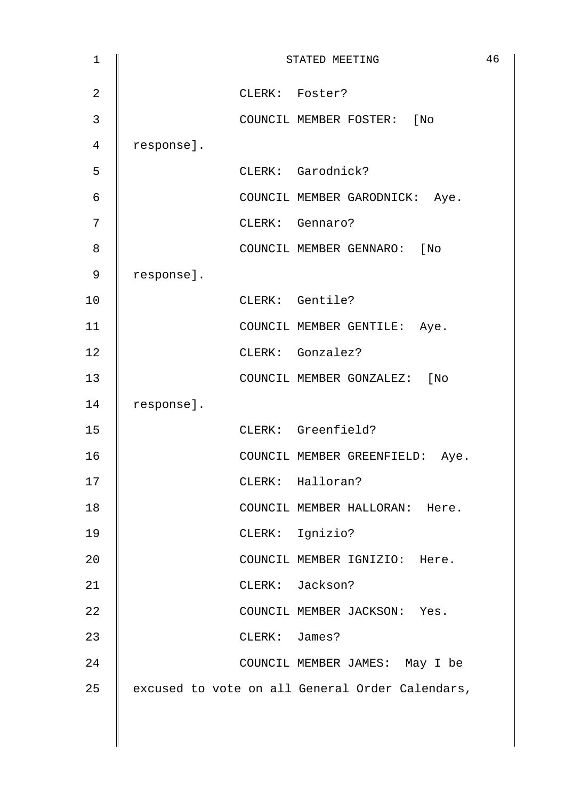| $\mathbf 1$    |            |               | STATED MEETING                                  | 46 |
|----------------|------------|---------------|-------------------------------------------------|----|
| $\overline{2}$ |            |               | CLERK: Foster?                                  |    |
| 3              |            |               | COUNCIL MEMBER FOSTER: [No                      |    |
| 4              | response]. |               |                                                 |    |
| 5              |            |               | CLERK: Garodnick?                               |    |
| $\epsilon$     |            |               | COUNCIL MEMBER GARODNICK: Aye.                  |    |
| 7              |            |               | CLERK: Gennaro?                                 |    |
| 8              |            |               | COUNCIL MEMBER GENNARO: [No                     |    |
| $\mathsf 9$    | response]. |               |                                                 |    |
| 10             |            |               | CLERK: Gentile?                                 |    |
| 11             |            |               | COUNCIL MEMBER GENTILE: Aye.                    |    |
| 12             |            |               | CLERK: Gonzalez?                                |    |
| 13             |            |               | COUNCIL MEMBER GONZALEZ: [No                    |    |
| 14             | response]. |               |                                                 |    |
| 15             |            |               | CLERK: Greenfield?                              |    |
| 16             |            |               | COUNCIL MEMBER GREENFIELD: Aye.                 |    |
| 17             |            |               | CLERK: Halloran?                                |    |
| 18             |            |               | COUNCIL MEMBER HALLORAN: Here.                  |    |
| 19             |            |               | CLERK: Ignizio?                                 |    |
| 20             |            |               | COUNCIL MEMBER IGNIZIO: Here.                   |    |
| 21             |            |               | CLERK: Jackson?                                 |    |
| 22             |            |               | COUNCIL MEMBER JACKSON: Yes.                    |    |
| 23             |            | CLERK: James? |                                                 |    |
| 24             |            |               | COUNCIL MEMBER JAMES: May I be                  |    |
| 25             |            |               | excused to vote on all General Order Calendars, |    |
|                |            |               |                                                 |    |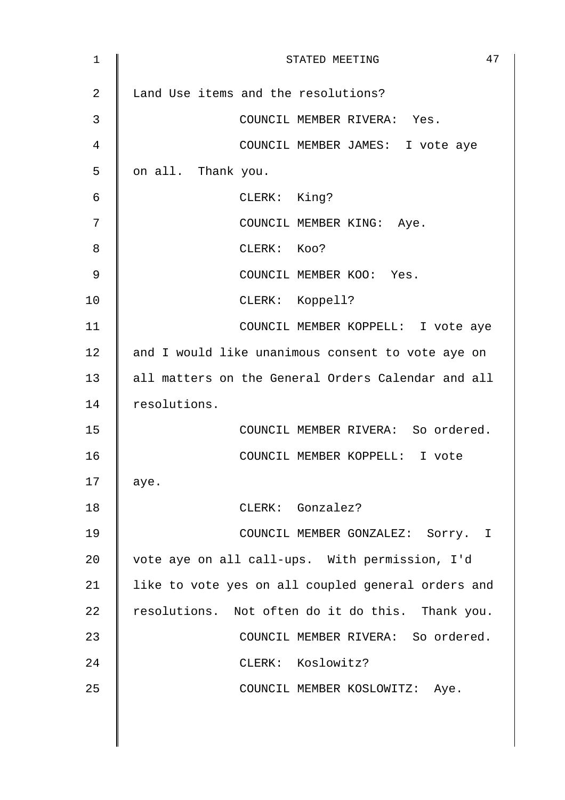| 1  | 47<br>STATED MEETING                               |
|----|----------------------------------------------------|
| 2  | Land Use items and the resolutions?                |
| 3  | COUNCIL MEMBER RIVERA: Yes.                        |
| 4  | COUNCIL MEMBER JAMES: I vote aye                   |
| 5  | on all. Thank you.                                 |
| 6  | CLERK: King?                                       |
| 7  | COUNCIL MEMBER KING: Aye.                          |
| 8  | CLERK: KOO?                                        |
| 9  | COUNCIL MEMBER KOO: Yes.                           |
| 10 | CLERK: Koppell?                                    |
| 11 | COUNCIL MEMBER KOPPELL: I vote aye                 |
| 12 | and I would like unanimous consent to vote aye on  |
| 13 | all matters on the General Orders Calendar and all |
| 14 | resolutions.                                       |
| 15 | COUNCIL MEMBER RIVERA: So ordered.                 |
| 16 | COUNCIL MEMBER KOPPELL: I vote                     |
| 17 | aye.                                               |
| 18 | CLERK: Gonzalez?                                   |
| 19 | COUNCIL MEMBER GONZALEZ: Sorry. I                  |
| 20 | vote aye on all call-ups. With permission, I'd     |
| 21 | like to vote yes on all coupled general orders and |
| 22 | resolutions. Not often do it do this. Thank you.   |
| 23 | COUNCIL MEMBER RIVERA: So ordered.                 |
| 24 | CLERK: Koslowitz?                                  |
| 25 | COUNCIL MEMBER KOSLOWITZ: Aye.                     |
|    |                                                    |
|    |                                                    |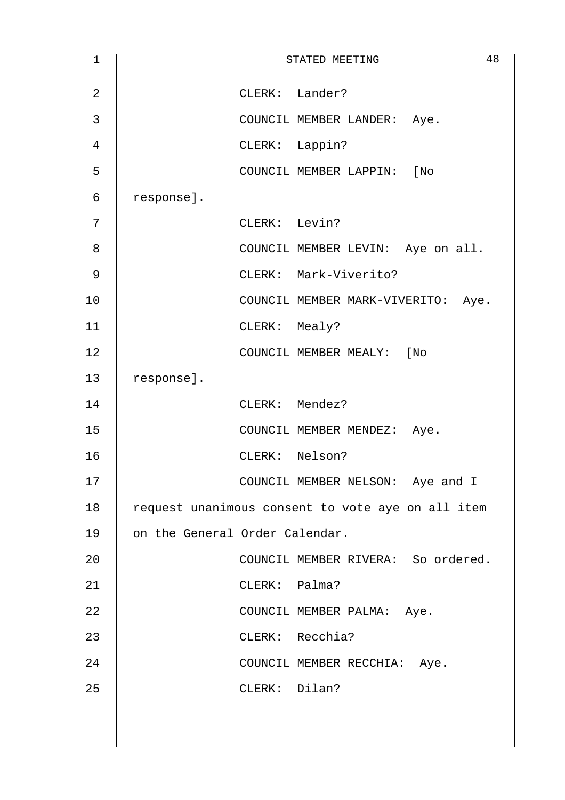| $\mathbf 1$    | 48<br>STATED MEETING                              |
|----------------|---------------------------------------------------|
| $\overline{2}$ | CLERK: Lander?                                    |
| 3              | COUNCIL MEMBER LANDER: Aye.                       |
| 4              | CLERK: Lappin?                                    |
| 5              | COUNCIL MEMBER LAPPIN: [No                        |
| 6              | response].                                        |
| 7              | CLERK: Levin?                                     |
| 8              | COUNCIL MEMBER LEVIN: Aye on all.                 |
| 9              | CLERK: Mark-Viverito?                             |
| 10             | COUNCIL MEMBER MARK-VIVERITO: Aye.                |
| 11             | CLERK: Mealy?                                     |
| 12             | COUNCIL MEMBER MEALY: [No                         |
| 13             | response].                                        |
| 14             | CLERK: Mendez?                                    |
| 15             | COUNCIL MEMBER MENDEZ: Aye.                       |
| 16             | CLERK: Nelson?                                    |
| 17             | COUNCIL MEMBER NELSON: Aye and I                  |
| 18             | request unanimous consent to vote aye on all item |
| 19             | on the General Order Calendar.                    |
| 20             | COUNCIL MEMBER RIVERA: So ordered.                |
| 21             | CLERK: Palma?                                     |
| 22             | COUNCIL MEMBER PALMA: Aye.                        |
| 23             | CLERK: Recchia?                                   |
| 24             | COUNCIL MEMBER RECCHIA: Aye.                      |
| 25             | CLERK: Dilan?                                     |
|                |                                                   |
|                |                                                   |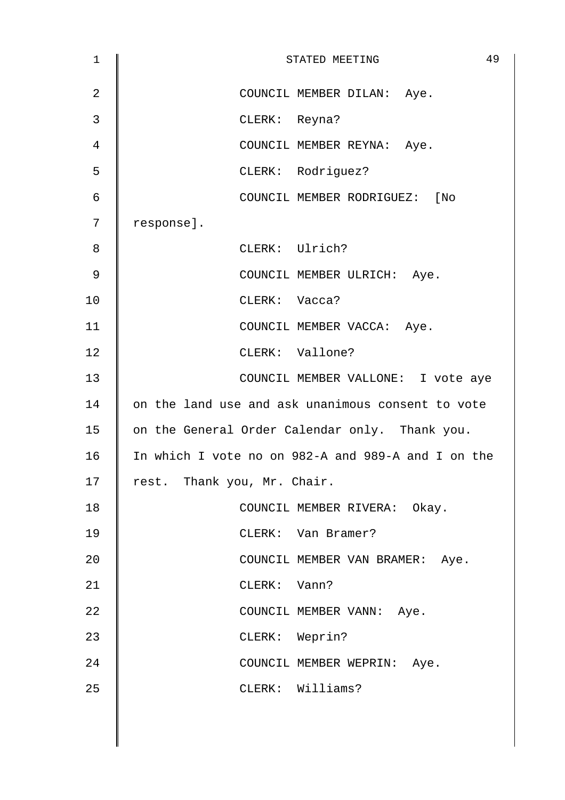| $\mathbf{1}$   | 49<br>STATED MEETING                               |
|----------------|----------------------------------------------------|
| $\overline{2}$ | COUNCIL MEMBER DILAN: Aye.                         |
| 3              | CLERK: Reyna?                                      |
| 4              | COUNCIL MEMBER REYNA: Aye.                         |
| 5              | CLERK: Rodriguez?                                  |
| 6              | COUNCIL MEMBER RODRIGUEZ: [No                      |
| 7              | response].                                         |
| 8              | CLERK: Ulrich?                                     |
| 9              | COUNCIL MEMBER ULRICH: Aye.                        |
| 10             | CLERK: Vacca?                                      |
| 11             | COUNCIL MEMBER VACCA: Aye.                         |
| 12             | CLERK: Vallone?                                    |
| 13             | COUNCIL MEMBER VALLONE: I vote aye                 |
| 14             | on the land use and ask unanimous consent to vote  |
| 15             | on the General Order Calendar only. Thank you.     |
| 16             | In which I vote no on 982-A and 989-A and I on the |
| 17             | rest. Thank you, Mr. Chair.                        |
| 18             | COUNCIL MEMBER RIVERA: Okay.                       |
| 19             | CLERK: Van Bramer?                                 |
| 20             | COUNCIL MEMBER VAN BRAMER: Aye.                    |
| 21             | CLERK: Vann?                                       |
| 22             | COUNCIL MEMBER VANN: Aye.                          |
| 23             | CLERK: Weprin?                                     |
| 24             | COUNCIL MEMBER WEPRIN: Aye.                        |
| 25             | CLERK: Williams?                                   |
|                |                                                    |
|                |                                                    |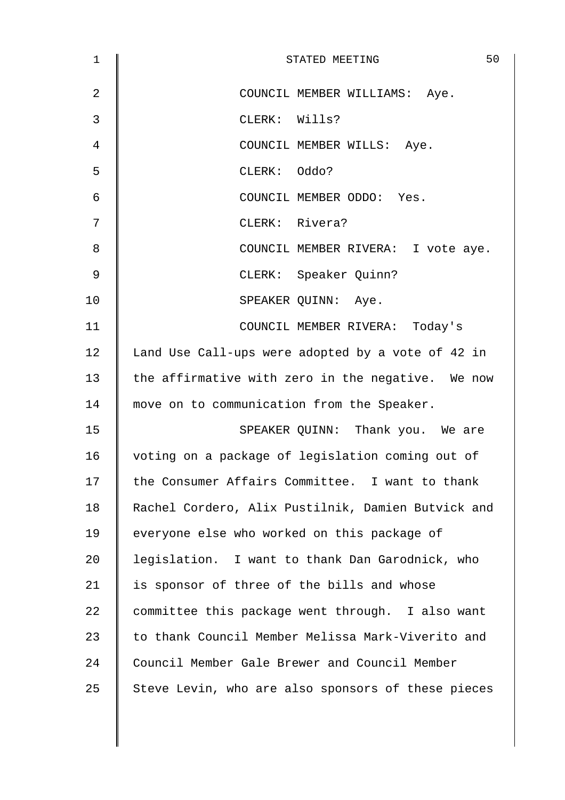| 1              | 50<br>STATED MEETING                               |
|----------------|----------------------------------------------------|
| $\overline{2}$ | COUNCIL MEMBER WILLIAMS: Aye.                      |
| 3              | CLERK: Wills?                                      |
| 4              | COUNCIL MEMBER WILLS: Aye.                         |
| 5              | CLERK: Oddo?                                       |
| $\epsilon$     | COUNCIL MEMBER ODDO: Yes.                          |
| 7              | CLERK: Rivera?                                     |
| 8              | COUNCIL MEMBER RIVERA: I vote aye.                 |
| 9              | CLERK: Speaker Quinn?                              |
| 10             | SPEAKER QUINN: Aye.                                |
| 11             | COUNCIL MEMBER RIVERA: Today's                     |
| 12             | Land Use Call-ups were adopted by a vote of 42 in  |
| 13             | the affirmative with zero in the negative. We now  |
| 14             | move on to communication from the Speaker.         |
| 15             | SPEAKER QUINN: Thank you. We are                   |
| 16             | voting on a package of legislation coming out of   |
| 17             | the Consumer Affairs Committee. I want to thank    |
| 18             | Rachel Cordero, Alix Pustilnik, Damien Butvick and |
| 19             | everyone else who worked on this package of        |
| 20             | legislation. I want to thank Dan Garodnick, who    |
| 21             | is sponsor of three of the bills and whose         |
| 22             | committee this package went through. I also want   |
| 23             | to thank Council Member Melissa Mark-Viverito and  |
| 24             | Council Member Gale Brewer and Council Member      |
| 25             | Steve Levin, who are also sponsors of these pieces |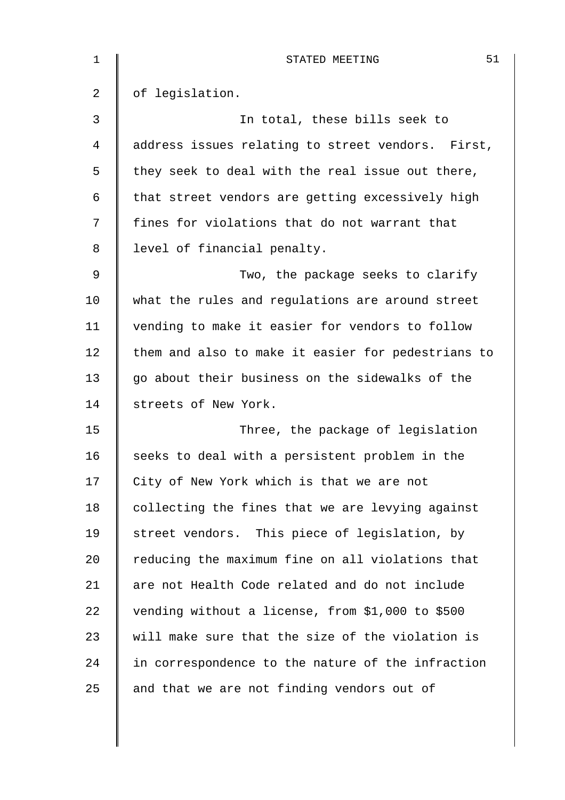| $\mathbf 1$ | 51<br>STATED MEETING                               |
|-------------|----------------------------------------------------|
| 2           | of legislation.                                    |
| 3           | In total, these bills seek to                      |
| 4           | address issues relating to street vendors. First,  |
| 5           | they seek to deal with the real issue out there,   |
| 6           | that street vendors are getting excessively high   |
| 7           | fines for violations that do not warrant that      |
| 8           | level of financial penalty.                        |
| 9           | Two, the package seeks to clarify                  |
| 10          | what the rules and regulations are around street   |
| 11          | vending to make it easier for vendors to follow    |
| 12          | them and also to make it easier for pedestrians to |
| 13          | go about their business on the sidewalks of the    |
| 14          | streets of New York.                               |
| 15          | Three, the package of legislation                  |
| 16          | seeks to deal with a persistent problem in the     |
| 17          | City of New York which is that we are not          |
| 18          | collecting the fines that we are levying against   |
| 19          | street vendors. This piece of legislation, by      |
| 20          | reducing the maximum fine on all violations that   |
| 21          | are not Health Code related and do not include     |
| 22          | vending without a license, from \$1,000 to \$500   |
| 23          | will make sure that the size of the violation is   |
| 24          | in correspondence to the nature of the infraction  |
| 25          | and that we are not finding vendors out of         |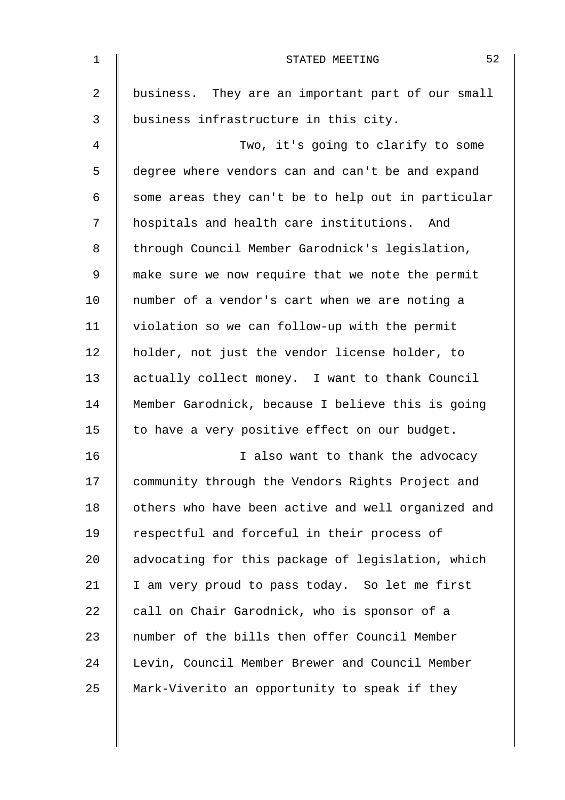| $\mathbf{1}$ | 52<br>STATED MEETING                               |
|--------------|----------------------------------------------------|
| 2            | business. They are an important part of our small  |
| 3            | business infrastructure in this city.              |
| 4            | Two, it's going to clarify to some                 |
| 5            | degree where vendors can and can't be and expand   |
| 6            | some areas they can't be to help out in particular |
| 7            | hospitals and health care institutions. And        |
| 8            | through Council Member Garodnick's legislation,    |
| 9            | make sure we now require that we note the permit   |
| 10           | number of a vendor's cart when we are noting a     |
| 11           | violation so we can follow-up with the permit      |
| 12           | holder, not just the vendor license holder, to     |
| 13           | actually collect money. I want to thank Council    |
| 14           | Member Garodnick, because I believe this is going  |
| 15           | to have a very positive effect on our budget.      |
| 16           | I also want to thank the advocacy                  |
| 17           | community through the Vendors Rights Project and   |
| 18           | others who have been active and well organized and |
| 19           | respectful and forceful in their process of        |
| 20           | advocating for this package of legislation, which  |
| 21           | I am very proud to pass today. So let me first     |
| 22           | call on Chair Garodnick, who is sponsor of a       |
| 23           | number of the bills then offer Council Member      |
| 24           | Levin, Council Member Brewer and Council Member    |
| 25           | Mark-Viverito an opportunity to speak if they      |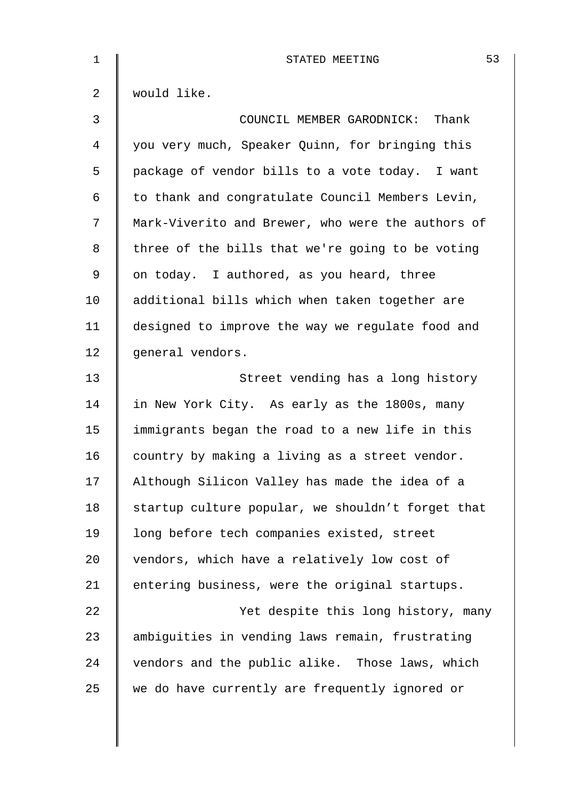| 1              | 53<br>STATED MEETING                              |
|----------------|---------------------------------------------------|
| $\overline{2}$ | would like.                                       |
| $\mathfrak{Z}$ | COUNCIL MEMBER GARODNICK: Thank                   |
| 4              | you very much, Speaker Quinn, for bringing this   |
| 5              | package of vendor bills to a vote today. I want   |
| 6              | to thank and congratulate Council Members Levin,  |
| 7              | Mark-Viverito and Brewer, who were the authors of |
| 8              | three of the bills that we're going to be voting  |
| 9              | on today. I authored, as you heard, three         |
| 10             | additional bills which when taken together are    |
| 11             | designed to improve the way we regulate food and  |
| 12             | general vendors.                                  |
| 13             | Street vending has a long history                 |
| 14             | in New York City. As early as the 1800s, many     |
| 15             | immigrants began the road to a new life in this   |
| 16             | country by making a living as a street vendor.    |
| 17             | Although Silicon Valley has made the idea of a    |
| 18             | startup culture popular, we shouldn't forget that |
| 19             | long before tech companies existed, street        |
| 20             | vendors, which have a relatively low cost of      |
| 21             | entering business, were the original startups.    |
| 22             | Yet despite this long history, many               |
| 23             | ambiguities in vending laws remain, frustrating   |
| 24             | vendors and the public alike. Those laws, which   |
| 25             | we do have currently are frequently ignored or    |
|                |                                                   |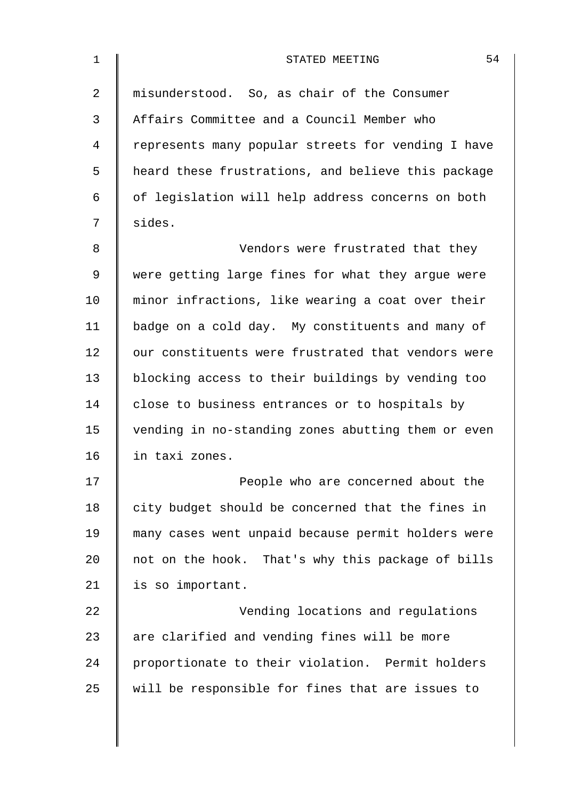| $\mathbf 1$ | 54<br>STATED MEETING                               |
|-------------|----------------------------------------------------|
| 2           | misunderstood. So, as chair of the Consumer        |
| 3           | Affairs Committee and a Council Member who         |
| 4           | represents many popular streets for vending I have |
| 5           | heard these frustrations, and believe this package |
| 6           | of legislation will help address concerns on both  |
| 7           | sides.                                             |
| 8           | Vendors were frustrated that they                  |
| 9           | were getting large fines for what they argue were  |
| 10          | minor infractions, like wearing a coat over their  |
| 11          | badge on a cold day. My constituents and many of   |
| 12          | our constituents were frustrated that vendors were |
| 13          | blocking access to their buildings by vending too  |
| 14          | close to business entrances or to hospitals by     |
| 15          | vending in no-standing zones abutting them or even |
| 16          | in taxi zones.                                     |
| 17          | People who are concerned about the                 |
| 18          | city budget should be concerned that the fines in  |
| 19          | many cases went unpaid because permit holders were |
| 20          | not on the hook. That's why this package of bills  |
| 21          | is so important.                                   |
| 22          | Vending locations and regulations                  |
| 23          | are clarified and vending fines will be more       |
| 24          | proportionate to their violation. Permit holders   |
| 25          | will be responsible for fines that are issues to   |
|             |                                                    |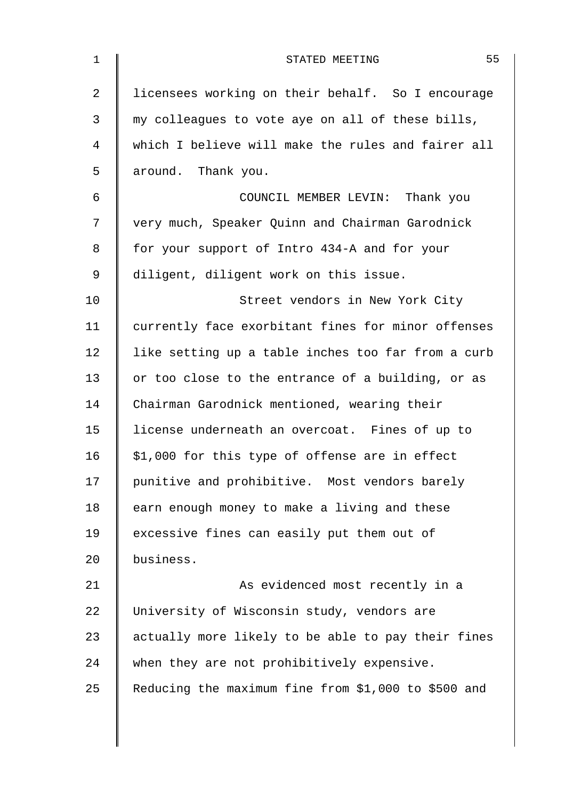| $\mathbf{1}$ | 55<br>STATED MEETING                                |
|--------------|-----------------------------------------------------|
| 2            | licensees working on their behalf. So I encourage   |
| 3            | my colleagues to vote aye on all of these bills,    |
| 4            | which I believe will make the rules and fairer all  |
| 5            | around. Thank you.                                  |
| 6            | COUNCIL MEMBER LEVIN: Thank you                     |
| 7            | very much, Speaker Quinn and Chairman Garodnick     |
| 8            | for your support of Intro 434-A and for your        |
| 9            | diligent, diligent work on this issue.              |
| 10           | Street vendors in New York City                     |
| 11           | currently face exorbitant fines for minor offenses  |
| 12           | like setting up a table inches too far from a curb  |
| 13           | or too close to the entrance of a building, or as   |
| 14           | Chairman Garodnick mentioned, wearing their         |
| 15           | license underneath an overcoat. Fines of up to      |
| 16           | \$1,000 for this type of offense are in effect      |
| 17           | punitive and prohibitive. Most vendors barely       |
| 18           | earn enough money to make a living and these        |
| 19           | excessive fines can easily put them out of          |
| 20           | business.                                           |
| 21           | As evidenced most recently in a                     |
| 22           | University of Wisconsin study, vendors are          |
| 23           | actually more likely to be able to pay their fines  |
| 24           | when they are not prohibitively expensive.          |
| 25           | Reducing the maximum fine from \$1,000 to \$500 and |
|              |                                                     |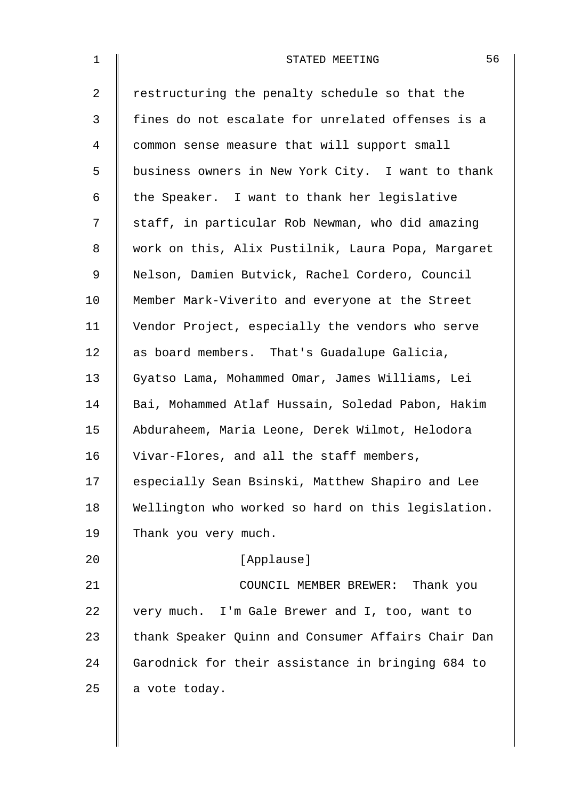| $\mathbf 1$ | 56<br>STATED MEETING                               |
|-------------|----------------------------------------------------|
| 2           | restructuring the penalty schedule so that the     |
| 3           | fines do not escalate for unrelated offenses is a  |
| 4           | common sense measure that will support small       |
| 5           | business owners in New York City. I want to thank  |
| 6           | the Speaker. I want to thank her legislative       |
| 7           | staff, in particular Rob Newman, who did amazing   |
| 8           | work on this, Alix Pustilnik, Laura Popa, Margaret |
| 9           | Nelson, Damien Butvick, Rachel Cordero, Council    |
| 10          | Member Mark-Viverito and everyone at the Street    |
| 11          | Vendor Project, especially the vendors who serve   |
| 12          | as board members. That's Guadalupe Galicia,        |
| 13          | Gyatso Lama, Mohammed Omar, James Williams, Lei    |
| 14          | Bai, Mohammed Atlaf Hussain, Soledad Pabon, Hakim  |
| 15          | Abduraheem, Maria Leone, Derek Wilmot, Helodora    |
| 16          | Vivar-Flores, and all the staff members,           |
| 17          | especially Sean Bsinski, Matthew Shapiro and Lee   |
| 18          | Wellington who worked so hard on this legislation. |
| 19          | Thank you very much.                               |
| 20          | [Applause]                                         |
| 21          | COUNCIL MEMBER BREWER: Thank you                   |
| 22          | very much. I'm Gale Brewer and I, too, want to     |
| 23          | thank Speaker Quinn and Consumer Affairs Chair Dan |
| 24          | Garodnick for their assistance in bringing 684 to  |
| 25          | a vote today.                                      |
|             |                                                    |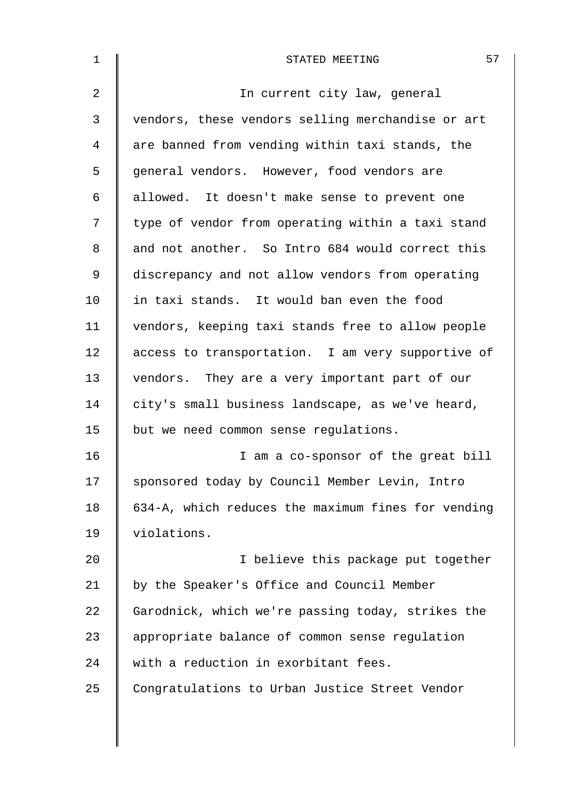| $\mathbf 1$    | 57<br>STATED MEETING                               |
|----------------|----------------------------------------------------|
| $\overline{2}$ | In current city law, general                       |
| 3              | vendors, these vendors selling merchandise or art  |
| 4              | are banned from vending within taxi stands, the    |
| 5              | general vendors. However, food vendors are         |
| 6              | allowed. It doesn't make sense to prevent one      |
| 7              | type of vendor from operating within a taxi stand  |
| 8              | and not another. So Intro 684 would correct this   |
| 9              | discrepancy and not allow vendors from operating   |
| 10             | in taxi stands. It would ban even the food         |
| 11             | vendors, keeping taxi stands free to allow people  |
| 12             | access to transportation. I am very supportive of  |
| 13             | vendors. They are a very important part of our     |
| 14             | city's small business landscape, as we've heard,   |
| 15             | but we need common sense regulations.              |
| 16             | I am a co-sponsor of the great bill                |
| 17             | sponsored today by Council Member Levin, Intro     |
| 18             | 634-A, which reduces the maximum fines for vending |
| 19             | violations.                                        |
| 20             | I believe this package put together                |
| 21             | by the Speaker's Office and Council Member         |
| 22             | Garodnick, which we're passing today, strikes the  |
| 23             | appropriate balance of common sense regulation     |
| 24             | with a reduction in exorbitant fees.               |
| 25             | Congratulations to Urban Justice Street Vendor     |
|                |                                                    |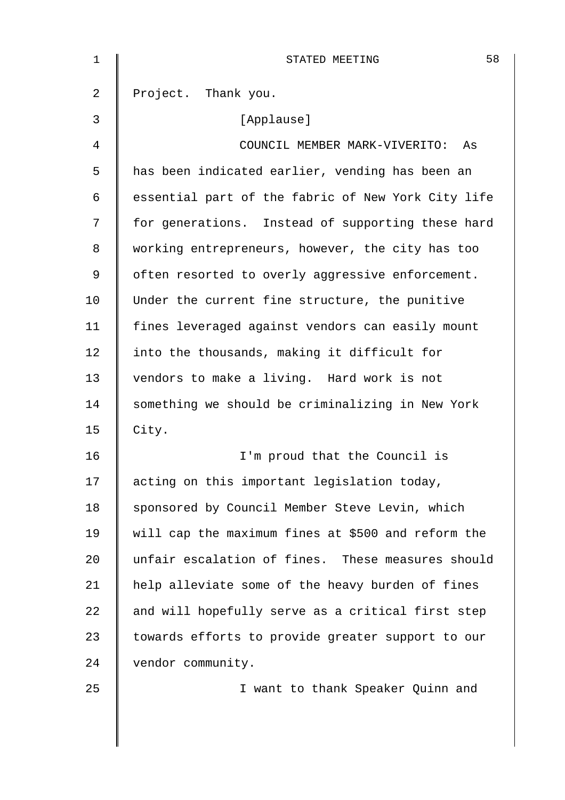| 1  | 58<br>STATED MEETING                               |
|----|----------------------------------------------------|
| 2  | Project. Thank you.                                |
| 3  | [Applause]                                         |
| 4  | COUNCIL MEMBER MARK-VIVERITO:<br>As                |
| 5  | has been indicated earlier, vending has been an    |
| 6  | essential part of the fabric of New York City life |
| 7  | for generations. Instead of supporting these hard  |
| 8  | working entrepreneurs, however, the city has too   |
| 9  | often resorted to overly aggressive enforcement.   |
| 10 | Under the current fine structure, the punitive     |
| 11 | fines leveraged against vendors can easily mount   |
| 12 | into the thousands, making it difficult for        |
| 13 | vendors to make a living. Hard work is not         |
| 14 | something we should be criminalizing in New York   |
| 15 | City.                                              |
| 16 | I'm proud that the Council is                      |
| 17 | acting on this important legislation today,        |
| 18 | sponsored by Council Member Steve Levin, which     |
| 19 | will cap the maximum fines at \$500 and reform the |
| 20 | unfair escalation of fines. These measures should  |
| 21 | help alleviate some of the heavy burden of fines   |
| 22 | and will hopefully serve as a critical first step  |
| 23 | towards efforts to provide greater support to our  |
| 24 | vendor community.                                  |
| 25 | I want to thank Speaker Quinn and                  |
|    |                                                    |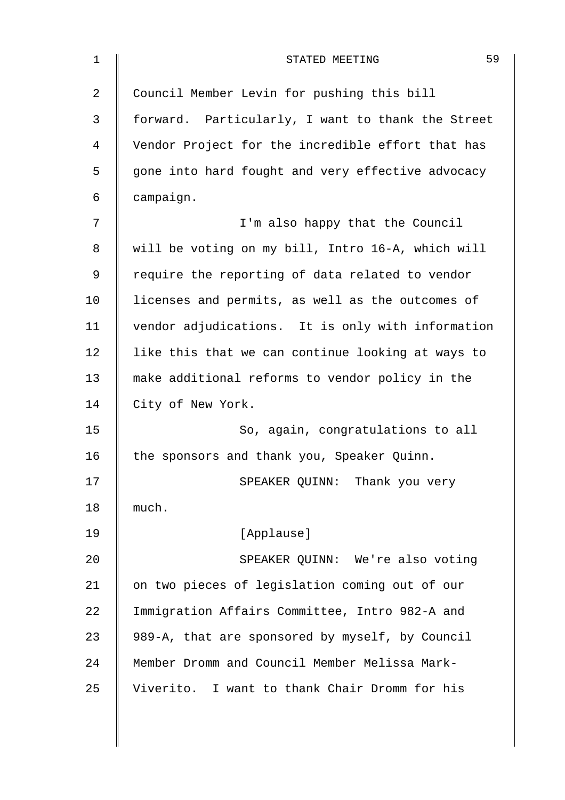| 59<br>STATED MEETING                              |
|---------------------------------------------------|
| Council Member Levin for pushing this bill        |
| forward. Particularly, I want to thank the Street |
| Vendor Project for the incredible effort that has |
| gone into hard fought and very effective advocacy |
| campaign.                                         |
| I'm also happy that the Council                   |
| will be voting on my bill, Intro 16-A, which will |
| require the reporting of data related to vendor   |
| licenses and permits, as well as the outcomes of  |
| vendor adjudications. It is only with information |
| like this that we can continue looking at ways to |
| make additional reforms to vendor policy in the   |
| City of New York.                                 |
| So, again, congratulations to all                 |
| the sponsors and thank you, Speaker Quinn.        |
| SPEAKER QUINN: Thank you very                     |
| much.                                             |
| [Applause]                                        |
| SPEAKER QUINN: We're also voting                  |
| on two pieces of legislation coming out of our    |
| Immigration Affairs Committee, Intro 982-A and    |
| 989-A, that are sponsored by myself, by Council   |
| Member Dromm and Council Member Melissa Mark-     |
| Viverito. I want to thank Chair Dromm for his     |
|                                                   |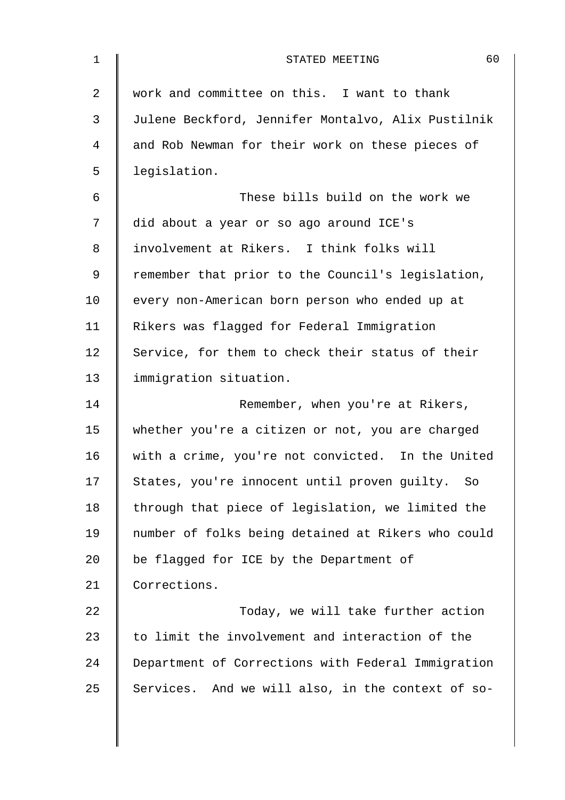| $\mathbf 1$    | 60<br>STATED MEETING                               |
|----------------|----------------------------------------------------|
| $\overline{2}$ | work and committee on this. I want to thank        |
| 3              | Julene Beckford, Jennifer Montalvo, Alix Pustilnik |
| 4              | and Rob Newman for their work on these pieces of   |
| 5              | legislation.                                       |
| 6              | These bills build on the work we                   |
| 7              | did about a year or so ago around ICE's            |
| 8              | involvement at Rikers. I think folks will          |
| 9              | remember that prior to the Council's legislation,  |
| 10             | every non-American born person who ended up at     |
| 11             | Rikers was flagged for Federal Immigration         |
| 12             | Service, for them to check their status of their   |
| 13             | immigration situation.                             |
| 14             | Remember, when you're at Rikers,                   |
| 15             | whether you're a citizen or not, you are charged   |
| 16             | with a crime, you're not convicted. In the United  |
| 17             | States, you're innocent until proven guilty. So    |
| 18             | through that piece of legislation, we limited the  |
| 19             | number of folks being detained at Rikers who could |
| 20             | be flagged for ICE by the Department of            |
| 21             | Corrections.                                       |
| 22             | Today, we will take further action                 |
| 23             | to limit the involvement and interaction of the    |
| 24             | Department of Corrections with Federal Immigration |
| 25             | Services. And we will also, in the context of so-  |
|                |                                                    |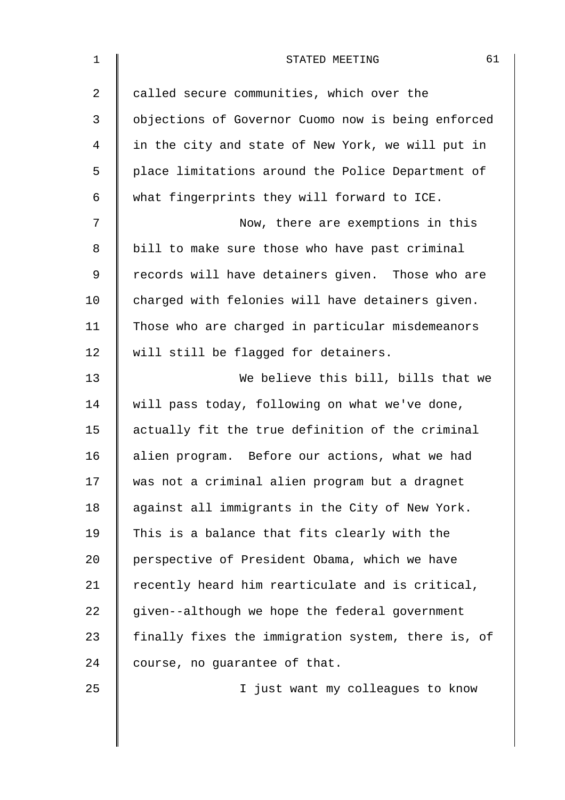| $\mathbf 1$ | 61<br>STATED MEETING                               |
|-------------|----------------------------------------------------|
| 2           | called secure communities, which over the          |
| 3           | objections of Governor Cuomo now is being enforced |
| 4           | in the city and state of New York, we will put in  |
| 5           | place limitations around the Police Department of  |
| 6           | what fingerprints they will forward to ICE.        |
| 7           | Now, there are exemptions in this                  |
| 8           | bill to make sure those who have past criminal     |
| 9           | records will have detainers given. Those who are   |
| 10          | charged with felonies will have detainers given.   |
| 11          | Those who are charged in particular misdemeanors   |
| 12          | will still be flagged for detainers.               |
| 13          | We believe this bill, bills that we                |
| 14          | will pass today, following on what we've done,     |
| 15          | actually fit the true definition of the criminal   |
| 16          | alien program. Before our actions, what we had     |
| 17          | was not a criminal alien program but a dragnet     |
| 18          | against all immigrants in the City of New York.    |
| 19          | This is a balance that fits clearly with the       |
| 20          | perspective of President Obama, which we have      |
| 21          | recently heard him rearticulate and is critical,   |
| 22          | given--although we hope the federal government     |
| 23          | finally fixes the immigration system, there is, of |
| 24          | course, no guarantee of that.                      |
| 25          | I just want my colleagues to know                  |
|             |                                                    |
|             |                                                    |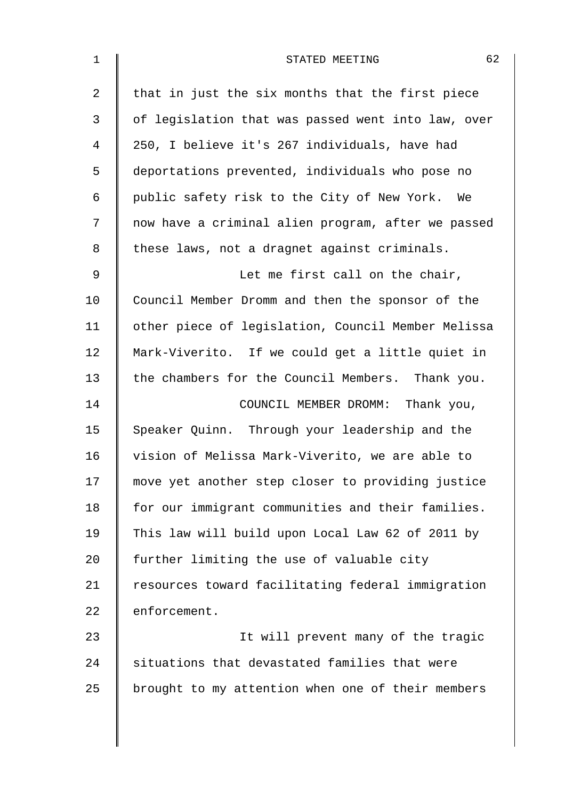| 1              | 62<br>STATED MEETING                               |
|----------------|----------------------------------------------------|
| $\overline{2}$ | that in just the six months that the first piece   |
| 3              | of legislation that was passed went into law, over |
| 4              | 250, I believe it's 267 individuals, have had      |
| 5              | deportations prevented, individuals who pose no    |
| 6              | public safety risk to the City of New York. We     |
| 7              | now have a criminal alien program, after we passed |
| 8              | these laws, not a dragnet against criminals.       |
| 9              | Let me first call on the chair,                    |
| 10             | Council Member Dromm and then the sponsor of the   |
| 11             | other piece of legislation, Council Member Melissa |
| 12             | Mark-Viverito. If we could get a little quiet in   |
| 13             | the chambers for the Council Members. Thank you.   |
| 14             | COUNCIL MEMBER DROMM: Thank you,                   |
| 15             | Speaker Quinn. Through your leadership and the     |
| 16             | vision of Melissa Mark-Viverito, we are able to    |
| 17             | move yet another step closer to providing justice  |
| 18             | for our immigrant communities and their families.  |
| 19             | This law will build upon Local Law 62 of 2011 by   |
| 20             | further limiting the use of valuable city          |
| 21             | resources toward facilitating federal immigration  |
| 22             | enforcement.                                       |
| 23             | It will prevent many of the tragic                 |
| 24             | situations that devastated families that were      |
| 25             | brought to my attention when one of their members  |
|                |                                                    |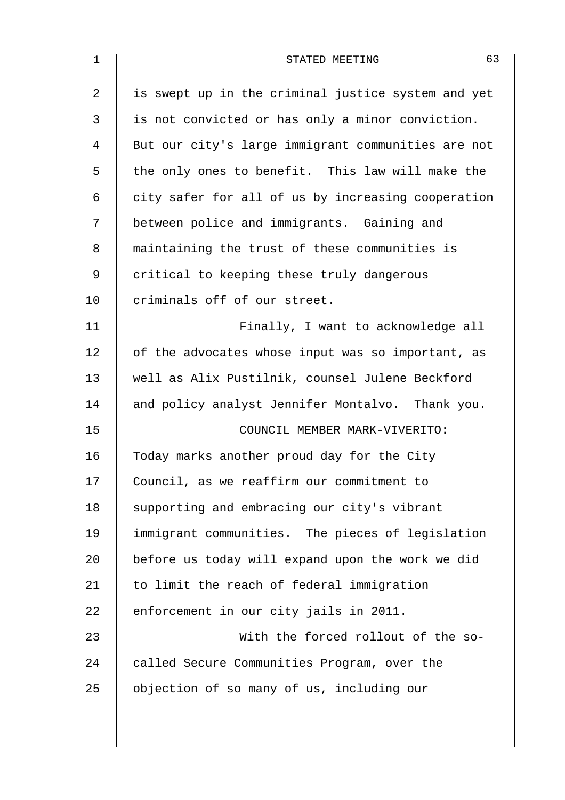| $\mathbf 1$ | 63<br>STATED MEETING                               |
|-------------|----------------------------------------------------|
| 2           | is swept up in the criminal justice system and yet |
| 3           | is not convicted or has only a minor conviction.   |
| 4           | But our city's large immigrant communities are not |
| 5           | the only ones to benefit. This law will make the   |
| 6           | city safer for all of us by increasing cooperation |
| 7           | between police and immigrants. Gaining and         |
| 8           | maintaining the trust of these communities is      |
| 9           | critical to keeping these truly dangerous          |
| 10          | criminals off of our street.                       |
| 11          | Finally, I want to acknowledge all                 |
| 12          | of the advocates whose input was so important, as  |
| 13          | well as Alix Pustilnik, counsel Julene Beckford    |
| 14          | and policy analyst Jennifer Montalvo. Thank you.   |
| 15          | COUNCIL MEMBER MARK-VIVERITO:                      |
| 16          | Today marks another proud day for the City         |
| 17          | Council, as we reaffirm our commitment to          |
| 18          | supporting and embracing our city's vibrant        |
| 19          | immigrant communities. The pieces of legislation   |
| 20          | before us today will expand upon the work we did   |
| 21          | to limit the reach of federal immigration          |
| 22          | enforcement in our city jails in 2011.             |
| 23          | With the forced rollout of the so-                 |
| 24          | called Secure Communities Program, over the        |
| 25          | objection of so many of us, including our          |
|             |                                                    |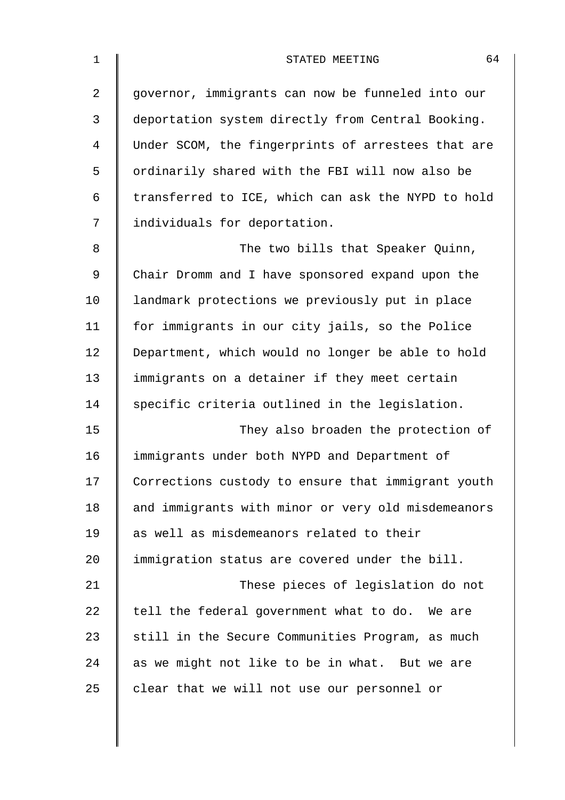| $\mathbf{1}$ | 64<br>STATED MEETING                               |
|--------------|----------------------------------------------------|
| 2            | governor, immigrants can now be funneled into our  |
| 3            | deportation system directly from Central Booking.  |
| 4            | Under SCOM, the fingerprints of arrestees that are |
| 5            | ordinarily shared with the FBI will now also be    |
| 6            | transferred to ICE, which can ask the NYPD to hold |
| 7            | individuals for deportation.                       |
| 8            | The two bills that Speaker Quinn,                  |
| 9            | Chair Dromm and I have sponsored expand upon the   |
| 10           | landmark protections we previously put in place    |
| 11           | for immigrants in our city jails, so the Police    |
| 12           | Department, which would no longer be able to hold  |
| 13           | immigrants on a detainer if they meet certain      |
| 14           | specific criteria outlined in the legislation.     |
| 15           | They also broaden the protection of                |
| 16           | immigrants under both NYPD and Department of       |
| 17           | Corrections custody to ensure that immigrant youth |
| 18           | and immigrants with minor or very old misdemeanors |
| 19           | as well as misdemeanors related to their           |
| 20           | immigration status are covered under the bill.     |
| 21           | These pieces of legislation do not                 |
| 22           | tell the federal government what to do. We are     |
| 23           | still in the Secure Communities Program, as much   |
| 24           | as we might not like to be in what. But we are     |
| 25           | clear that we will not use our personnel or        |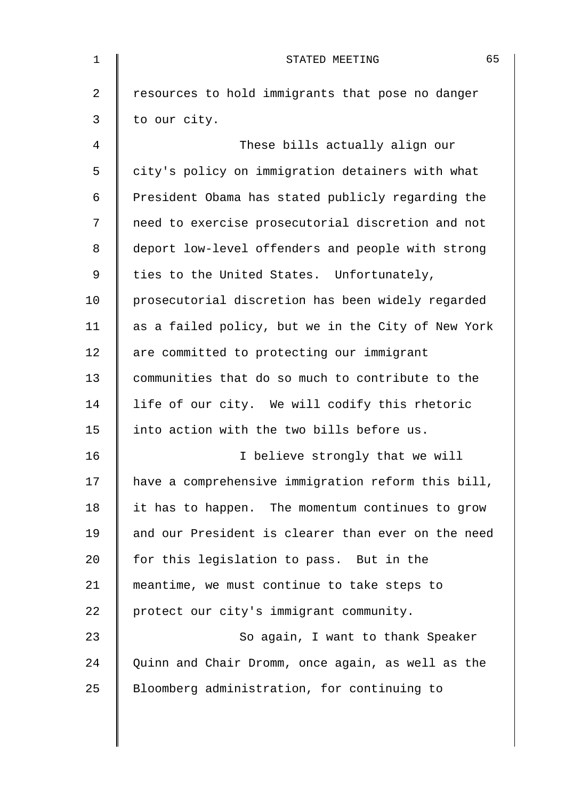| 1              | 65<br>STATED MEETING                               |
|----------------|----------------------------------------------------|
| $\overline{2}$ | resources to hold immigrants that pose no danger   |
| 3              | to our city.                                       |
| 4              | These bills actually align our                     |
| 5              | city's policy on immigration detainers with what   |
| 6              | President Obama has stated publicly regarding the  |
| 7              | need to exercise prosecutorial discretion and not  |
| 8              | deport low-level offenders and people with strong  |
| 9              | ties to the United States. Unfortunately,          |
| 10             | prosecutorial discretion has been widely regarded  |
| 11             | as a failed policy, but we in the City of New York |
| 12             | are committed to protecting our immigrant          |
| 13             | communities that do so much to contribute to the   |
| 14             | life of our city. We will codify this rhetoric     |
| 15             | into action with the two bills before us.          |
| 16             | I believe strongly that we will                    |
| 17             | have a comprehensive immigration reform this bill, |
| 18             | it has to happen. The momentum continues to grow   |
| 19             | and our President is clearer than ever on the need |
| 20             | for this legislation to pass. But in the           |
| 21             | meantime, we must continue to take steps to        |
| 22             | protect our city's immigrant community.            |
| 23             | So again, I want to thank Speaker                  |
| 24             | Quinn and Chair Dromm, once again, as well as the  |
| 25             | Bloomberg administration, for continuing to        |
|                |                                                    |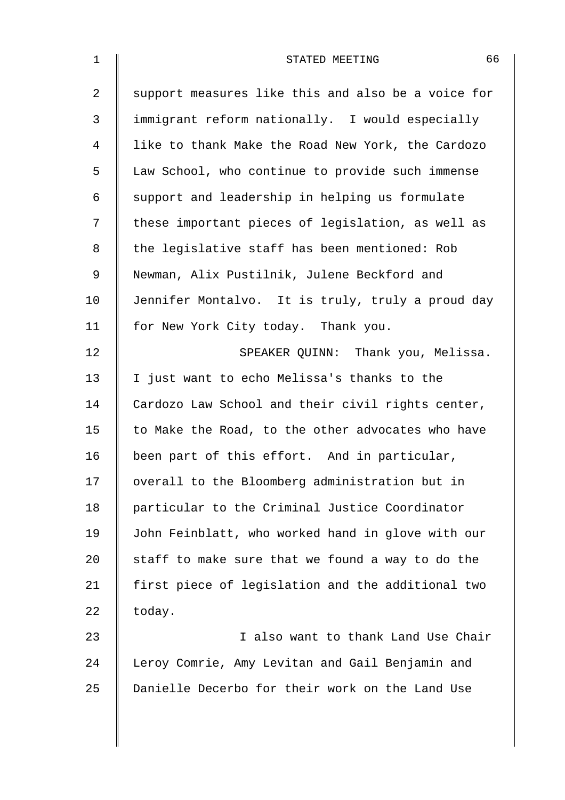| $\mathbf{1}$   | 66<br>STATED MEETING                               |
|----------------|----------------------------------------------------|
| $\overline{a}$ | support measures like this and also be a voice for |
| 3              | immigrant reform nationally. I would especially    |
| $\overline{4}$ | like to thank Make the Road New York, the Cardozo  |
| 5              | Law School, who continue to provide such immense   |
| 6              | support and leadership in helping us formulate     |
| 7              | these important pieces of legislation, as well as  |
| 8              | the legislative staff has been mentioned: Rob      |
| $\mathsf 9$    | Newman, Alix Pustilnik, Julene Beckford and        |
| 10             | Jennifer Montalvo. It is truly, truly a proud day  |
| 11             | for New York City today. Thank you.                |
| 12             | SPEAKER QUINN: Thank you, Melissa.                 |
| 13             | I just want to echo Melissa's thanks to the        |
| 14             | Cardozo Law School and their civil rights center,  |
| 15             | to Make the Road, to the other advocates who have  |
| 16             | been part of this effort. And in particular,       |
| 17             | overall to the Bloomberg administration but in     |
| 18             | particular to the Criminal Justice Coordinator     |
| 19             | John Feinblatt, who worked hand in glove with our  |
| 20             | staff to make sure that we found a way to do the   |
| 21             | first piece of legislation and the additional two  |
| 22             | today.                                             |
| 23             | I also want to thank Land Use Chair                |
| 24             | Leroy Comrie, Amy Levitan and Gail Benjamin and    |
| 25             | Danielle Decerbo for their work on the Land Use    |
|                |                                                    |

 $\overline{\phantom{a}}$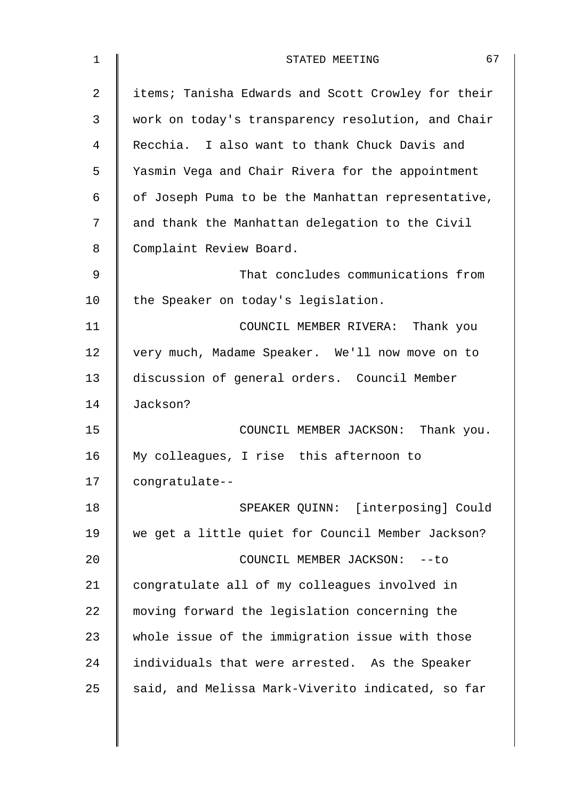| $\mathbf{1}$   | 67<br>STATED MEETING                               |
|----------------|----------------------------------------------------|
| $\overline{2}$ | items; Tanisha Edwards and Scott Crowley for their |
| 3              | work on today's transparency resolution, and Chair |
| 4              | Recchia. I also want to thank Chuck Davis and      |
| 5              | Yasmin Vega and Chair Rivera for the appointment   |
| 6              | of Joseph Puma to be the Manhattan representative, |
| 7              | and thank the Manhattan delegation to the Civil    |
| 8              | Complaint Review Board.                            |
| 9              | That concludes communications from                 |
| 10             | the Speaker on today's legislation.                |
| 11             | COUNCIL MEMBER RIVERA: Thank you                   |
| 12             | very much, Madame Speaker. We'll now move on to    |
| 13             | discussion of general orders. Council Member       |
| 14             | Jackson?                                           |
| 15             | COUNCIL MEMBER JACKSON: Thank you.                 |
| 16             | My colleagues, I rise this afternoon to            |
| 17             | congratulate--                                     |
| 18             | SPEAKER QUINN: [interposing] Could                 |
| 19             | we get a little quiet for Council Member Jackson?  |
| 20             | COUNCIL MEMBER JACKSON: -- to                      |
| 21             | congratulate all of my colleagues involved in      |
| 22             | moving forward the legislation concerning the      |
| 23             | whole issue of the immigration issue with those    |
| 24             | individuals that were arrested. As the Speaker     |
| 25             | said, and Melissa Mark-Viverito indicated, so far  |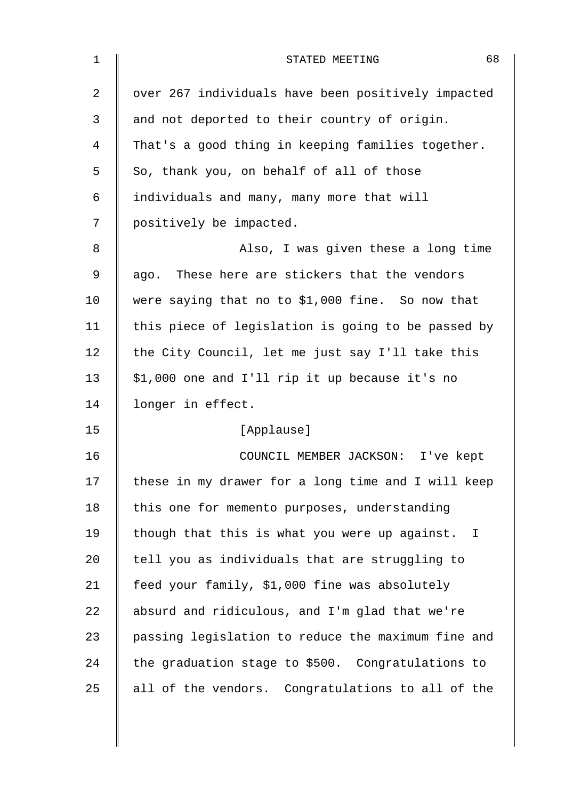| $\mathbf 1$    | 68<br>STATED MEETING                               |
|----------------|----------------------------------------------------|
| $\overline{2}$ | over 267 individuals have been positively impacted |
| 3              | and not deported to their country of origin.       |
| 4              | That's a good thing in keeping families together.  |
| 5              | So, thank you, on behalf of all of those           |
| 6              | individuals and many, many more that will          |
| 7              | positively be impacted.                            |
| 8              | Also, I was given these a long time                |
| 9              | ago. These here are stickers that the vendors      |
| 10             | were saying that no to \$1,000 fine. So now that   |
| 11             | this piece of legislation is going to be passed by |
| 12             | the City Council, let me just say I'll take this   |
| 13             | \$1,000 one and I'll rip it up because it's no     |
| 14             | longer in effect.                                  |
| 15             | [Applause]                                         |
| 16             | COUNCIL MEMBER JACKSON: I've kept                  |
| 17             | these in my drawer for a long time and I will keep |
| 18             | this one for memento purposes, understanding       |
| 19             | though that this is what you were up against. I    |
| 20             | tell you as individuals that are struggling to     |
| 21             | feed your family, \$1,000 fine was absolutely      |
| 22             | absurd and ridiculous, and I'm glad that we're     |
| 23             | passing legislation to reduce the maximum fine and |
| 24             | the graduation stage to \$500. Congratulations to  |
| 25             | all of the vendors. Congratulations to all of the  |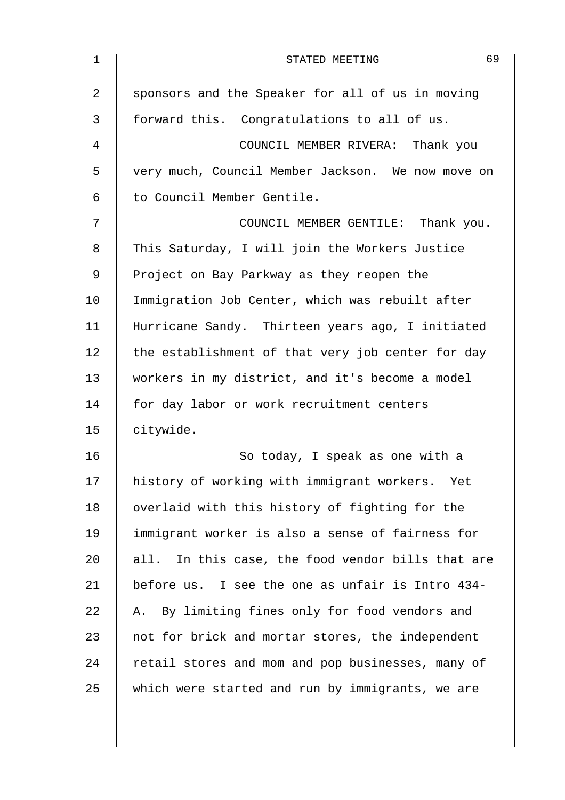| $\mathbf{1}$   | 69<br>STATED MEETING                              |
|----------------|---------------------------------------------------|
| 2              | sponsors and the Speaker for all of us in moving  |
| $\mathfrak{Z}$ | forward this. Congratulations to all of us.       |
| 4              | COUNCIL MEMBER RIVERA: Thank you                  |
| 5              | very much, Council Member Jackson. We now move on |
| 6              | to Council Member Gentile.                        |
| 7              | COUNCIL MEMBER GENTILE: Thank you.                |
| 8              | This Saturday, I will join the Workers Justice    |
| $\mathsf 9$    | Project on Bay Parkway as they reopen the         |
| 10             | Immigration Job Center, which was rebuilt after   |
| 11             | Hurricane Sandy. Thirteen years ago, I initiated  |
| 12             | the establishment of that very job center for day |
| 13             | workers in my district, and it's become a model   |
| 14             | for day labor or work recruitment centers         |
| 15             | citywide.                                         |
| 16             | So today, I speak as one with a                   |
| 17             | history of working with immigrant workers.<br>Yet |
| 18             | overlaid with this history of fighting for the    |
| 19             | immigrant worker is also a sense of fairness for  |
| 20             | all. In this case, the food vendor bills that are |
| 21             | before us. I see the one as unfair is Intro 434-  |
| 22             | A. By limiting fines only for food vendors and    |
| 23             | not for brick and mortar stores, the independent  |
| 24             | retail stores and mom and pop businesses, many of |
| 25             | which were started and run by immigrants, we are  |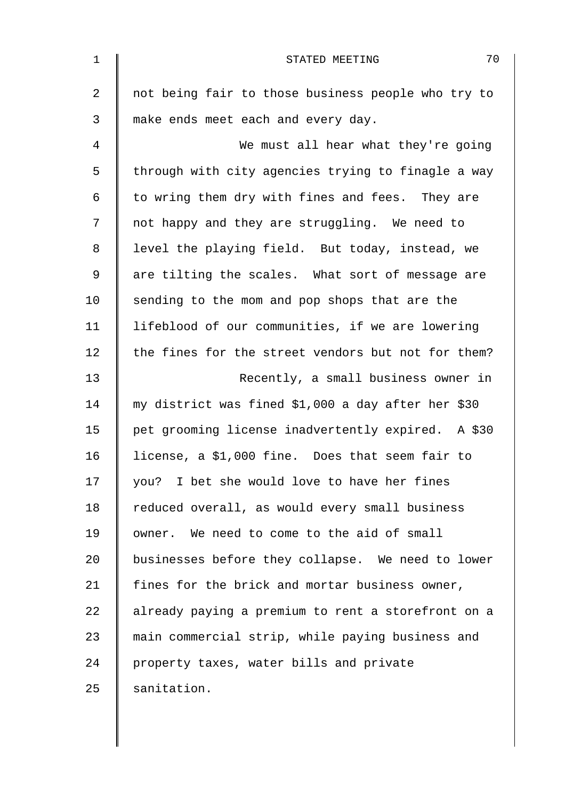| $\mathbf 1$    | 70<br>STATED MEETING                               |
|----------------|----------------------------------------------------|
| $\overline{2}$ | not being fair to those business people who try to |
| 3              | make ends meet each and every day.                 |
| 4              | We must all hear what they're going                |
| 5              | through with city agencies trying to finagle a way |
| 6              | to wring them dry with fines and fees. They are    |
| 7              | not happy and they are struggling. We need to      |
| 8              | level the playing field. But today, instead, we    |
| 9              | are tilting the scales. What sort of message are   |
| 10             | sending to the mom and pop shops that are the      |
| 11             | lifeblood of our communities, if we are lowering   |
| 12             | the fines for the street vendors but not for them? |
| 13             | Recently, a small business owner in                |
| 14             | my district was fined \$1,000 a day after her \$30 |
| 15             | pet grooming license inadvertently expired. A \$30 |
| 16             | license, a \$1,000 fine. Does that seem fair to    |
| 17             | you? I bet she would love to have her fines        |
| 18             | reduced overall, as would every small business     |
| 19             | owner. We need to come to the aid of small         |
| 20             | businesses before they collapse. We need to lower  |
| 21             | fines for the brick and mortar business owner,     |
| 22             | already paying a premium to rent a storefront on a |
| 23             | main commercial strip, while paying business and   |
| 24             | property taxes, water bills and private            |
| 25             | sanitation.                                        |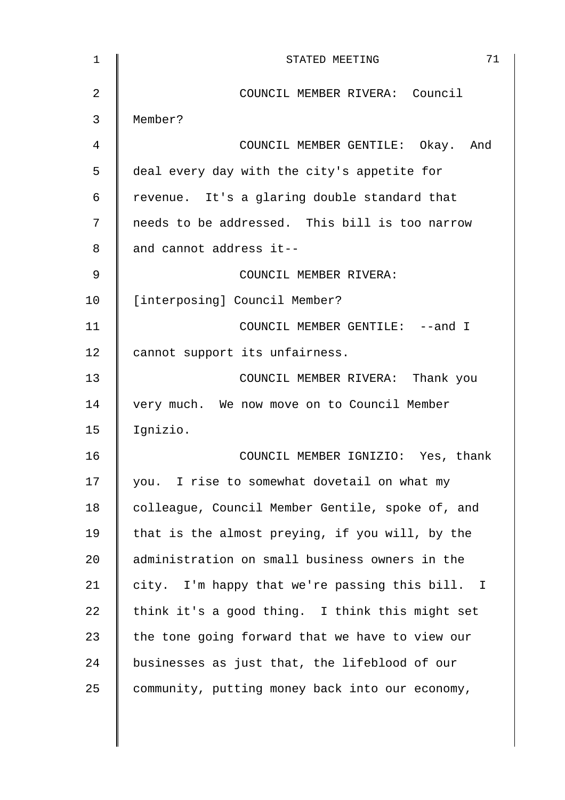| $\mathbf{1}$ | 71<br>STATED MEETING                             |
|--------------|--------------------------------------------------|
| 2            | COUNCIL MEMBER RIVERA: Council                   |
| 3            | Member?                                          |
| 4            | COUNCIL MEMBER GENTILE: Okay. And                |
| 5            | deal every day with the city's appetite for      |
| 6            | revenue. It's a glaring double standard that     |
| 7            | needs to be addressed. This bill is too narrow   |
| 8            | and cannot address it--                          |
| 9            | COUNCIL MEMBER RIVERA:                           |
| 10           | [interposing] Council Member?                    |
| 11           | COUNCIL MEMBER GENTILE: --and I                  |
| 12           | cannot support its unfairness.                   |
| 13           | COUNCIL MEMBER RIVERA: Thank you                 |
| 14           | very much. We now move on to Council Member      |
| 15           | Ignizio.                                         |
| 16           | COUNCIL MEMBER IGNIZIO: Yes, thank               |
| 17           | you. I rise to somewhat dovetail on what my      |
| 18           | colleague, Council Member Gentile, spoke of, and |
| 19           | that is the almost preying, if you will, by the  |
| 20           | administration on small business owners in the   |
| 21           | city. I'm happy that we're passing this bill. I  |
| 22           | think it's a good thing. I think this might set  |
| 23           | the tone going forward that we have to view our  |
| 24           | businesses as just that, the lifeblood of our    |
| 25           | community, putting money back into our economy,  |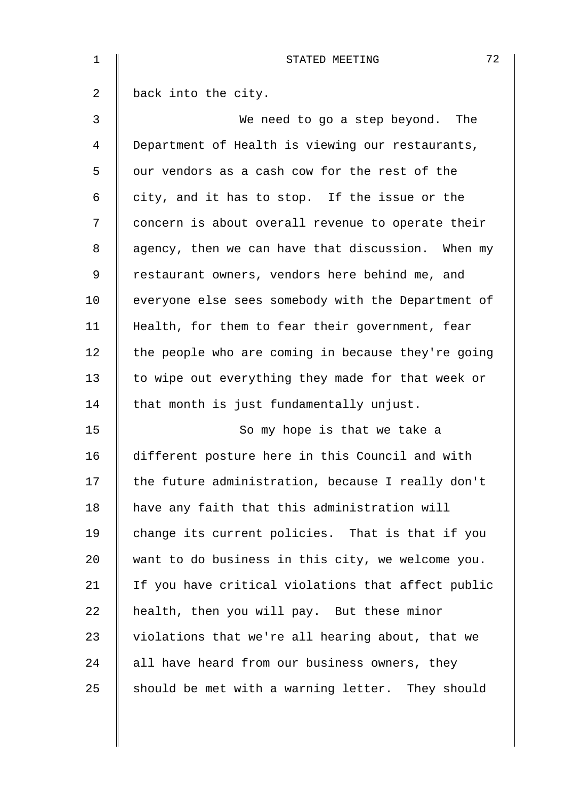| $\mathbf 1$ | 72<br>STATED MEETING                               |
|-------------|----------------------------------------------------|
| 2           | back into the city.                                |
| 3           | We need to go a step beyond. The                   |
| 4           | Department of Health is viewing our restaurants,   |
| 5           | our vendors as a cash cow for the rest of the      |
| 6           | city, and it has to stop. If the issue or the      |
| 7           | concern is about overall revenue to operate their  |
| 8           | agency, then we can have that discussion. When my  |
| 9           | restaurant owners, vendors here behind me, and     |
| 10          | everyone else sees somebody with the Department of |
| 11          | Health, for them to fear their government, fear    |
| 12          | the people who are coming in because they're going |
| 13          | to wipe out everything they made for that week or  |
| 14          | that month is just fundamentally unjust.           |
| 15          | So my hope is that we take a                       |
| 16          | different posture here in this Council and with    |
| 17          | the future administration, because I really don't  |
| 18          | have any faith that this administration will       |
| 19          | change its current policies. That is that if you   |
| 20          | want to do business in this city, we welcome you.  |
| 21          | If you have critical violations that affect public |
| 22          | health, then you will pay. But these minor         |
| 23          | violations that we're all hearing about, that we   |
| 24          | all have heard from our business owners, they      |
| 25          | should be met with a warning letter. They should   |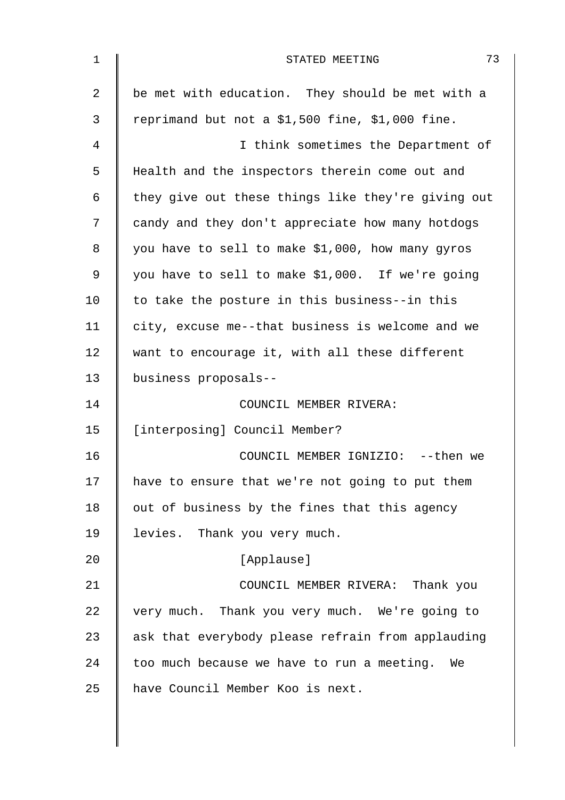| $\mathbf 1$    | 73<br>STATED MEETING                               |
|----------------|----------------------------------------------------|
| $\overline{2}$ | be met with education. They should be met with a   |
| 3              | reprimand but not a \$1,500 fine, \$1,000 fine.    |
| 4              | I think sometimes the Department of                |
| 5              | Health and the inspectors therein come out and     |
| 6              | they give out these things like they're giving out |
| 7              | candy and they don't appreciate how many hotdogs   |
| 8              | you have to sell to make \$1,000, how many gyros   |
| 9              | you have to sell to make \$1,000. If we're going   |
| 10             | to take the posture in this business--in this      |
| 11             | city, excuse me--that business is welcome and we   |
| 12             | want to encourage it, with all these different     |
| 13             | business proposals--                               |
| 14             | COUNCIL MEMBER RIVERA:                             |
| 15             | [interposing] Council Member?                      |
| 16             | COUNCIL MEMBER IGNIZIO: -- then we                 |
| 17             | have to ensure that we're not going to put them    |
| 18             | out of business by the fines that this agency      |
| 19             | levies. Thank you very much.                       |
| 20             | [Applause]                                         |
| 21             | COUNCIL MEMBER RIVERA: Thank you                   |
| 22             | very much. Thank you very much. We're going to     |
| 23             | ask that everybody please refrain from applauding  |
| 24             | too much because we have to run a meeting. We      |
| 25             | have Council Member Koo is next.                   |
|                |                                                    |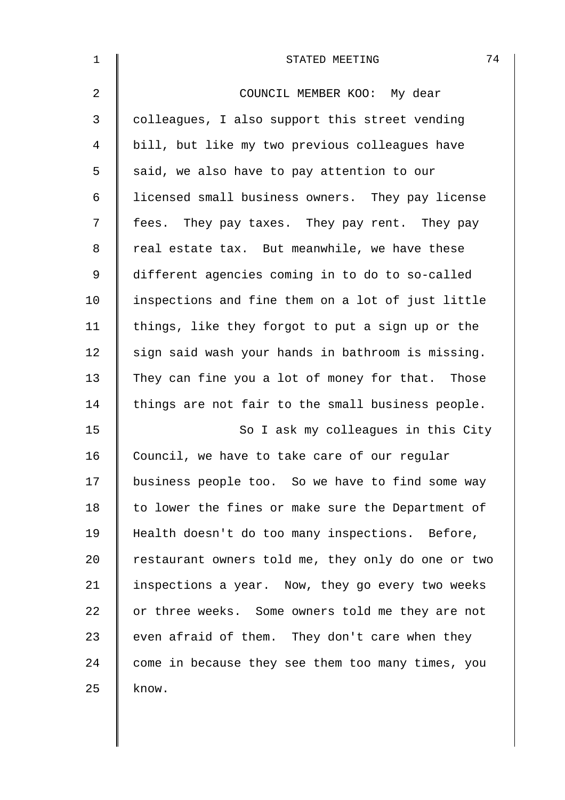| $\mathbf 1$    | 74<br>STATED MEETING                               |
|----------------|----------------------------------------------------|
| $\overline{2}$ | COUNCIL MEMBER KOO: My dear                        |
| 3              | colleagues, I also support this street vending     |
| 4              | bill, but like my two previous colleagues have     |
| 5              | said, we also have to pay attention to our         |
| 6              | licensed small business owners. They pay license   |
| 7              | fees. They pay taxes. They pay rent. They pay      |
| 8              | real estate tax. But meanwhile, we have these      |
| $\mathsf 9$    | different agencies coming in to do to so-called    |
| 10             | inspections and fine them on a lot of just little  |
| 11             | things, like they forgot to put a sign up or the   |
| 12             | sign said wash your hands in bathroom is missing.  |
| 13             | They can fine you a lot of money for that. Those   |
| 14             | things are not fair to the small business people.  |
| 15             | So I ask my colleagues in this City                |
| 16             | Council, we have to take care of our regular       |
| 17             | business people too. So we have to find some way   |
| 18             | to lower the fines or make sure the Department of  |
| 19             | Health doesn't do too many inspections. Before,    |
| 20             | restaurant owners told me, they only do one or two |
| 21             | inspections a year. Now, they go every two weeks   |
| 22             | or three weeks. Some owners told me they are not   |
| 23             | even afraid of them. They don't care when they     |
| 24             | come in because they see them too many times, you  |
| 25             | know.                                              |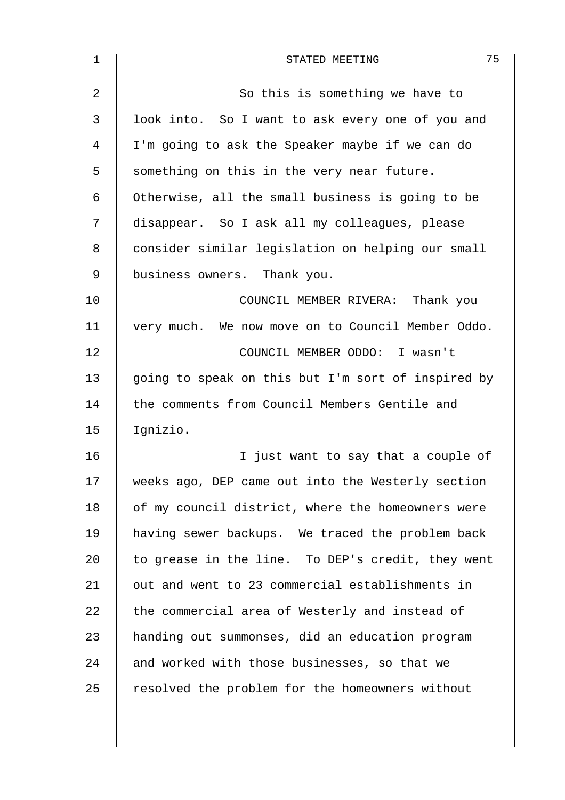| $\mathbf 1$    | 75<br>STATED MEETING                               |
|----------------|----------------------------------------------------|
| $\overline{2}$ | So this is something we have to                    |
| 3              | look into. So I want to ask every one of you and   |
| 4              | I'm going to ask the Speaker maybe if we can do    |
| 5              | something on this in the very near future.         |
| 6              | Otherwise, all the small business is going to be   |
| 7              | disappear. So I ask all my colleagues, please      |
| 8              | consider similar legislation on helping our small  |
| 9              | business owners. Thank you.                        |
| 10             | COUNCIL MEMBER RIVERA: Thank you                   |
| 11             | very much. We now move on to Council Member Oddo.  |
| 12             | COUNCIL MEMBER ODDO: I wasn't                      |
| 13             | going to speak on this but I'm sort of inspired by |
| 14             | the comments from Council Members Gentile and      |
| 15             | Ignizio.                                           |
| 16             | just want to say that a couple of<br>I.            |
| 17             | weeks ago, DEP came out into the Westerly section  |
| 18             | of my council district, where the homeowners were  |
| 19             | having sewer backups. We traced the problem back   |
| 20             | to grease in the line. To DEP's credit, they went  |
| 21             | out and went to 23 commercial establishments in    |
| 22             | the commercial area of Westerly and instead of     |
| 23             | handing out summonses, did an education program    |
| 24             | and worked with those businesses, so that we       |
| 25             | resolved the problem for the homeowners without    |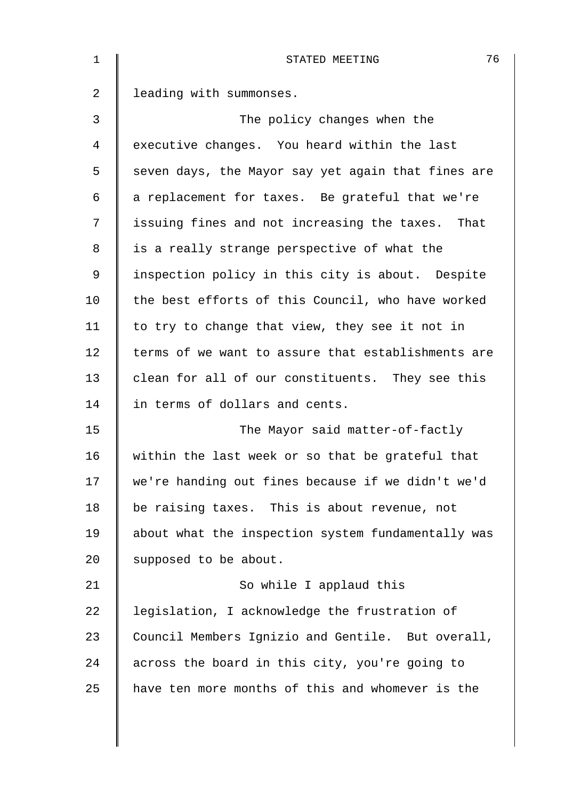| 1  | 76<br>STATED MEETING                               |
|----|----------------------------------------------------|
| 2  | leading with summonses.                            |
| 3  | The policy changes when the                        |
| 4  | executive changes. You heard within the last       |
| 5  | seven days, the Mayor say yet again that fines are |
| 6  | a replacement for taxes. Be grateful that we're    |
| 7  | issuing fines and not increasing the taxes. That   |
| 8  | is a really strange perspective of what the        |
| 9  | inspection policy in this city is about. Despite   |
| 10 | the best efforts of this Council, who have worked  |
| 11 | to try to change that view, they see it not in     |
| 12 | terms of we want to assure that establishments are |
| 13 | clean for all of our constituents. They see this   |
| 14 | in terms of dollars and cents.                     |
| 15 | The Mayor said matter-of-factly                    |
| 16 | within the last week or so that be grateful that   |
| 17 | we're handing out fines because if we didn't we'd  |
| 18 | be raising taxes. This is about revenue, not       |
| 19 | about what the inspection system fundamentally was |
| 20 | supposed to be about.                              |
| 21 | So while I applaud this                            |
| 22 | legislation, I acknowledge the frustration of      |
| 23 | Council Members Ignizio and Gentile. But overall,  |
| 24 | across the board in this city, you're going to     |
| 25 | have ten more months of this and whomever is the   |
|    |                                                    |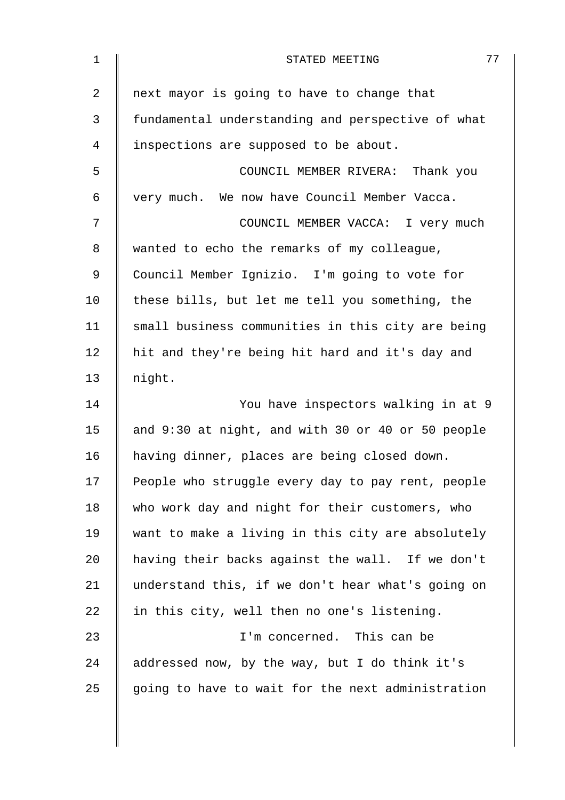| $\mathbf 1$ | 77<br>STATED MEETING                              |
|-------------|---------------------------------------------------|
| 2           | next mayor is going to have to change that        |
| 3           | fundamental understanding and perspective of what |
| 4           | inspections are supposed to be about.             |
| 5           | COUNCIL MEMBER RIVERA: Thank you                  |
| 6           | very much. We now have Council Member Vacca.      |
| 7           | COUNCIL MEMBER VACCA: I very much                 |
| 8           | wanted to echo the remarks of my colleague,       |
| $\mathsf 9$ | Council Member Ignizio. I'm going to vote for     |
| 10          | these bills, but let me tell you something, the   |
| 11          | small business communities in this city are being |
| 12          | hit and they're being hit hard and it's day and   |
| 13          | night.                                            |
| 14          | You have inspectors walking in at 9               |
| 15          | and 9:30 at night, and with 30 or 40 or 50 people |
| 16          | having dinner, places are being closed down.      |
| 17          | People who struggle every day to pay rent, people |
| 18          | who work day and night for their customers, who   |
| 19          | want to make a living in this city are absolutely |
| 20          | having their backs against the wall. If we don't  |
| 21          | understand this, if we don't hear what's going on |
| 22          | in this city, well then no one's listening.       |
| 23          | I'm concerned. This can be                        |
| 24          | addressed now, by the way, but I do think it's    |
| 25          | going to have to wait for the next administration |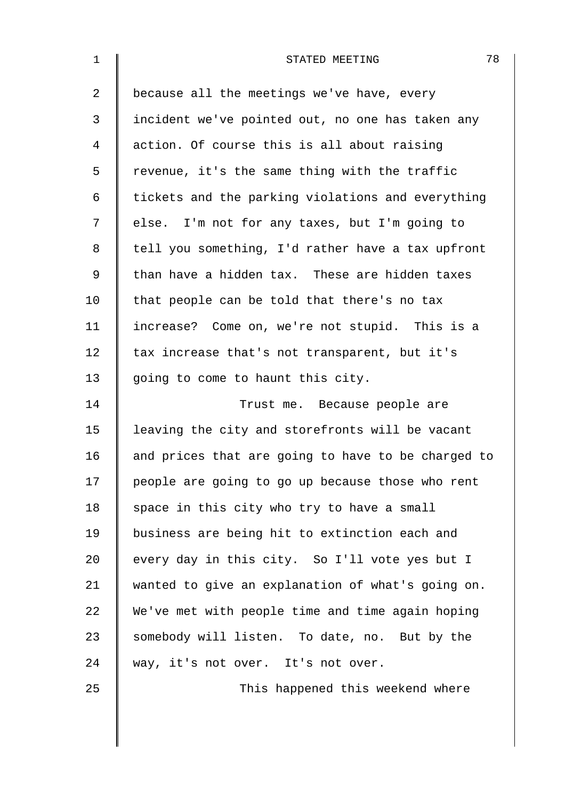| $\mathbf 1$    | 78<br>STATED MEETING                               |
|----------------|----------------------------------------------------|
| $\overline{2}$ | because all the meetings we've have, every         |
| 3              | incident we've pointed out, no one has taken any   |
| 4              | action. Of course this is all about raising        |
| 5              | revenue, it's the same thing with the traffic      |
| 6              | tickets and the parking violations and everything  |
| 7              | else. I'm not for any taxes, but I'm going to      |
| 8              | tell you something, I'd rather have a tax upfront  |
| 9              | than have a hidden tax. These are hidden taxes     |
| 10             | that people can be told that there's no tax        |
| 11             | increase? Come on, we're not stupid. This is a     |
| 12             | tax increase that's not transparent, but it's      |
| 13             | going to come to haunt this city.                  |
| 14             | Trust me. Because people are                       |
| 15             | leaving the city and storefronts will be vacant    |
| 16             | and prices that are going to have to be charged to |
| 17             | people are going to go up because those who rent   |
| 18             | space in this city who try to have a small         |
| 19             | business are being hit to extinction each and      |
| 20             | every day in this city. So I'll vote yes but I     |
| 21             | wanted to give an explanation of what's going on.  |
| 22             | We've met with people time and time again hoping   |
| 23             | somebody will listen. To date, no. But by the      |
| 24             | way, it's not over. It's not over.                 |
| 25             | This happened this weekend where                   |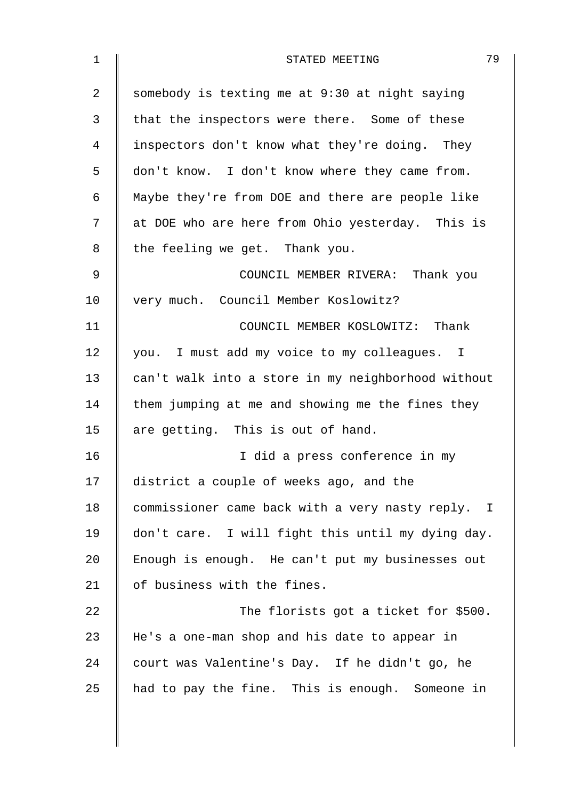| 1  | 79<br>STATED MEETING                               |
|----|----------------------------------------------------|
| 2  | somebody is texting me at 9:30 at night saying     |
| 3  | that the inspectors were there. Some of these      |
| 4  | inspectors don't know what they're doing. They     |
| 5  | don't know. I don't know where they came from.     |
| 6  | Maybe they're from DOE and there are people like   |
| 7  | at DOE who are here from Ohio yesterday. This is   |
| 8  | the feeling we get. Thank you.                     |
| 9  | COUNCIL MEMBER RIVERA: Thank you                   |
| 10 | very much. Council Member Koslowitz?               |
| 11 | COUNCIL MEMBER KOSLOWITZ: Thank                    |
| 12 | you. I must add my voice to my colleagues. I       |
| 13 | can't walk into a store in my neighborhood without |
| 14 | them jumping at me and showing me the fines they   |
| 15 | are getting. This is out of hand.                  |
| 16 | I did a press conference in my                     |
| 17 | district a couple of weeks ago, and the            |
| 18 | commissioner came back with a very nasty reply. I  |
| 19 | don't care. I will fight this until my dying day.  |
| 20 | Enough is enough. He can't put my businesses out   |
| 21 | of business with the fines.                        |
| 22 | The florists got a ticket for \$500.               |
| 23 | He's a one-man shop and his date to appear in      |
| 24 | court was Valentine's Day. If he didn't go, he     |
| 25 | had to pay the fine. This is enough. Someone in    |
|    |                                                    |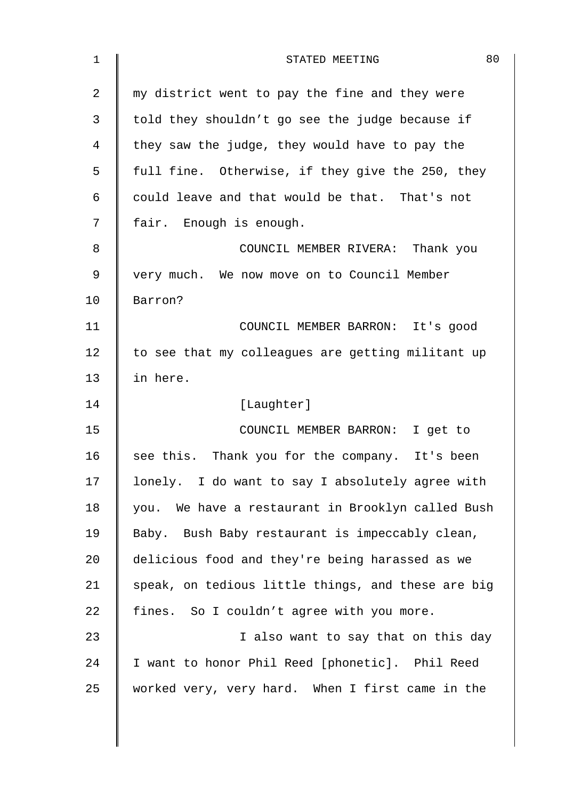| 1  | 80<br>STATED MEETING                               |
|----|----------------------------------------------------|
| 2  | my district went to pay the fine and they were     |
| 3  | told they shouldn't go see the judge because if    |
| 4  | they saw the judge, they would have to pay the     |
| 5  | full fine. Otherwise, if they give the 250, they   |
| 6  | could leave and that would be that. That's not     |
| 7  | fair. Enough is enough.                            |
| 8  | COUNCIL MEMBER RIVERA: Thank you                   |
| 9  | very much. We now move on to Council Member        |
| 10 | Barron?                                            |
| 11 | COUNCIL MEMBER BARRON: It's good                   |
| 12 | to see that my colleagues are getting militant up  |
| 13 | in here.                                           |
| 14 | [Laughter]                                         |
| 15 | COUNCIL MEMBER BARRON: I get to                    |
| 16 | see this. Thank you for the company. It's been     |
| 17 | lonely. I do want to say I absolutely agree with   |
| 18 | you. We have a restaurant in Brooklyn called Bush  |
| 19 | Baby. Bush Baby restaurant is impeccably clean,    |
| 20 | delicious food and they're being harassed as we    |
| 21 | speak, on tedious little things, and these are big |
| 22 | fines. So I couldn't agree with you more.          |
| 23 | I also want to say that on this day                |
| 24 | I want to honor Phil Reed [phonetic]. Phil Reed    |
| 25 | worked very, very hard. When I first came in the   |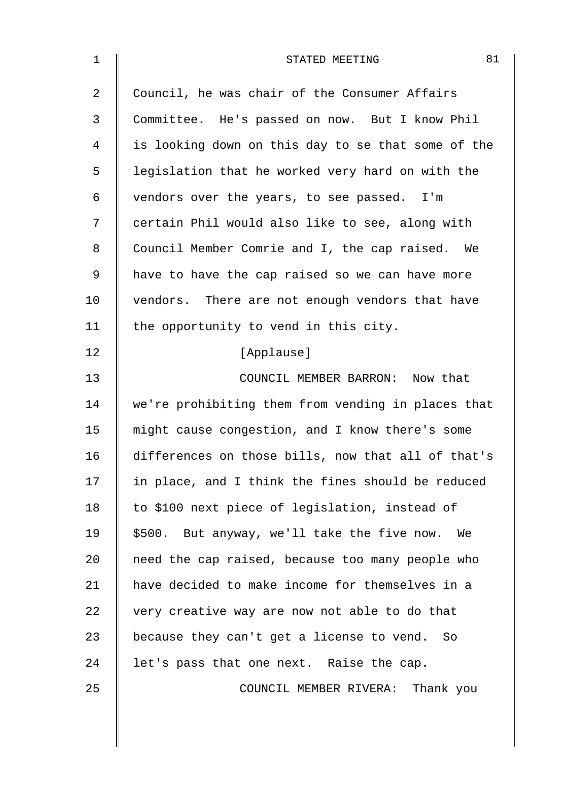| $\mathbf{1}$ | 81<br>STATED MEETING                               |
|--------------|----------------------------------------------------|
| 2            | Council, he was chair of the Consumer Affairs      |
| 3            | Committee. He's passed on now. But I know Phil     |
| 4            | is looking down on this day to se that some of the |
| 5            | legislation that he worked very hard on with the   |
| 6            | vendors over the years, to see passed. I'm         |
| 7            | certain Phil would also like to see, along with    |
| 8            | Council Member Comrie and I, the cap raised. We    |
| $\mathsf 9$  | have to have the cap raised so we can have more    |
| 10           | vendors. There are not enough vendors that have    |
| 11           | the opportunity to vend in this city.              |
| 12           | [Applause]                                         |
| 13           | COUNCIL MEMBER BARRON: Now that                    |
| 14           | we're prohibiting them from vending in places that |
| 15           | might cause congestion, and I know there's some    |
| 16           | differences on those bills, now that all of that's |
| 17           | in place, and I think the fines should be reduced  |
| 18           | to \$100 next piece of legislation, instead of     |
| 19           | \$500. But anyway, we'll take the five now. We     |
| 20           | need the cap raised, because too many people who   |
| 21           | have decided to make income for themselves in a    |
| 22           | very creative way are now not able to do that      |
| 23           | because they can't get a license to vend. So       |
| 24           | let's pass that one next. Raise the cap.           |
| 25           | COUNCIL MEMBER RIVERA: Thank you                   |
|              |                                                    |
|              |                                                    |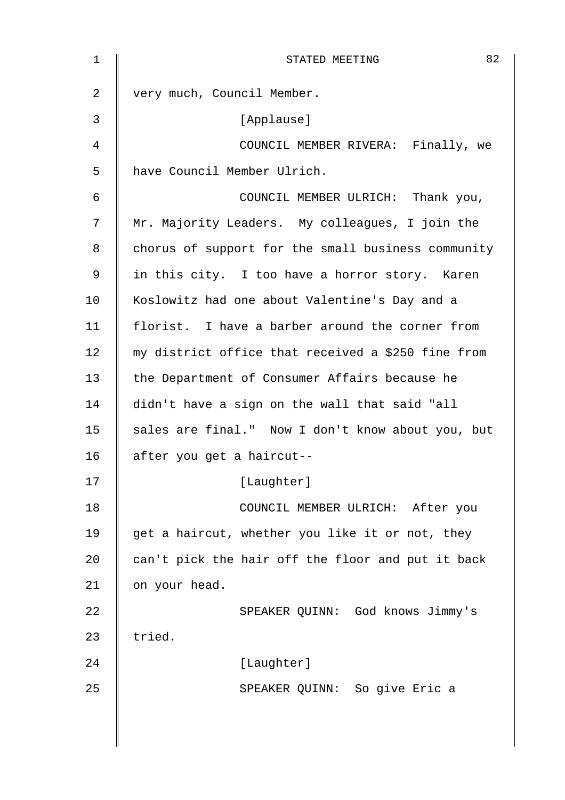| $\mathbf 1$    | 82<br>STATED MEETING                               |
|----------------|----------------------------------------------------|
| $\overline{2}$ | very much, Council Member.                         |
| 3              | [Applause]                                         |
| 4              | COUNCIL MEMBER RIVERA: Finally, we                 |
| 5              | have Council Member Ulrich.                        |
| 6              | COUNCIL MEMBER ULRICH: Thank you,                  |
| 7              | Mr. Majority Leaders. My colleagues, I join the    |
| 8              | chorus of support for the small business community |
| 9              | in this city. I too have a horror story. Karen     |
| 10             | Koslowitz had one about Valentine's Day and a      |
| 11             | florist. I have a barber around the corner from    |
| 12             | my district office that received a \$250 fine from |
| 13             | the Department of Consumer Affairs because he      |
| 14             | didn't have a sign on the wall that said "all      |
| 15             | sales are final." Now I don't know about you, but  |
| 16             | after you get a haircut--                          |
| 17             | [Laughter]                                         |
| 18             | COUNCIL MEMBER ULRICH: After you                   |
| 19             | get a haircut, whether you like it or not, they    |
| 20             | can't pick the hair off the floor and put it back  |
| 21             | on your head.                                      |
| 22             | SPEAKER QUINN: God knows Jimmy's                   |
| 23             | tried.                                             |
| 24             | [Laughter]                                         |
| 25             | SPEAKER QUINN: So give Eric a                      |
|                |                                                    |
|                |                                                    |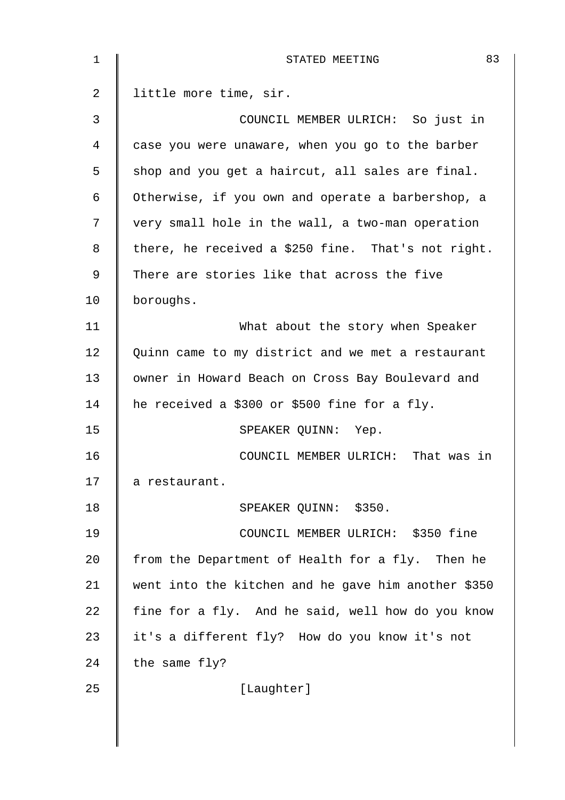| 1  | 83<br>STATED MEETING                                |
|----|-----------------------------------------------------|
| 2  | little more time, sir.                              |
| 3  | COUNCIL MEMBER ULRICH: So just in                   |
| 4  | case you were unaware, when you go to the barber    |
| 5  | shop and you get a haircut, all sales are final.    |
| 6  | Otherwise, if you own and operate a barbershop, a   |
| 7  | very small hole in the wall, a two-man operation    |
| 8  | there, he received a \$250 fine. That's not right.  |
| 9  | There are stories like that across the five         |
| 10 | boroughs.                                           |
| 11 | What about the story when Speaker                   |
| 12 | Quinn came to my district and we met a restaurant   |
| 13 | owner in Howard Beach on Cross Bay Boulevard and    |
| 14 | he received a \$300 or \$500 fine for a fly.        |
| 15 | SPEAKER QUINN: Yep.                                 |
| 16 | COUNCIL MEMBER ULRICH: That was in                  |
| 17 | a restaurant.                                       |
| 18 | SPEAKER QUINN: \$350.                               |
| 19 | COUNCIL MEMBER ULRICH: \$350 fine                   |
| 20 | from the Department of Health for a fly. Then he    |
| 21 | went into the kitchen and he gave him another \$350 |
| 22 | fine for a fly. And he said, well how do you know   |
| 23 | it's a different fly? How do you know it's not      |
| 24 | the same fly?                                       |
| 25 | [Laughter]                                          |
|    |                                                     |
|    |                                                     |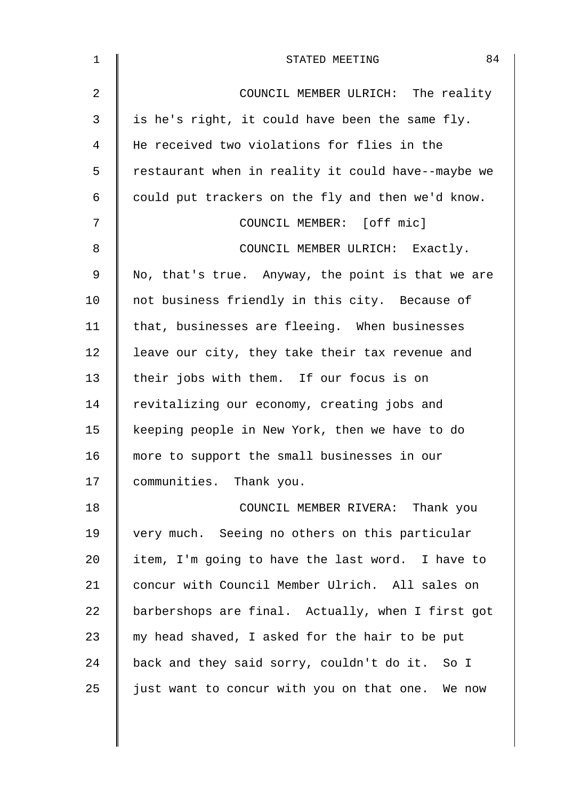| 1  | 84<br>STATED MEETING                               |
|----|----------------------------------------------------|
| 2  | COUNCIL MEMBER ULRICH: The reality                 |
| 3  | is he's right, it could have been the same fly.    |
| 4  | He received two violations for flies in the        |
| 5  | restaurant when in reality it could have--maybe we |
| 6  | could put trackers on the fly and then we'd know.  |
| 7  | COUNCIL MEMBER: [off mic]                          |
| 8  | COUNCIL MEMBER ULRICH: Exactly.                    |
| 9  | No, that's true. Anyway, the point is that we are  |
| 10 | not business friendly in this city. Because of     |
| 11 | that, businesses are fleeing. When businesses      |
| 12 | leave our city, they take their tax revenue and    |
| 13 | their jobs with them. If our focus is on           |
| 14 | revitalizing our economy, creating jobs and        |
| 15 | keeping people in New York, then we have to do     |
| 16 | more to support the small businesses in our        |
| 17 | communities. Thank you.                            |
| 18 | COUNCIL MEMBER RIVERA: Thank you                   |
| 19 | very much. Seeing no others on this particular     |
| 20 | item, I'm going to have the last word. I have to   |
| 21 | concur with Council Member Ulrich. All sales on    |
| 22 | barbershops are final. Actually, when I first got  |
| 23 | my head shaved, I asked for the hair to be put     |
| 24 | back and they said sorry, couldn't do it. So I     |
| 25 | just want to concur with you on that one. We now   |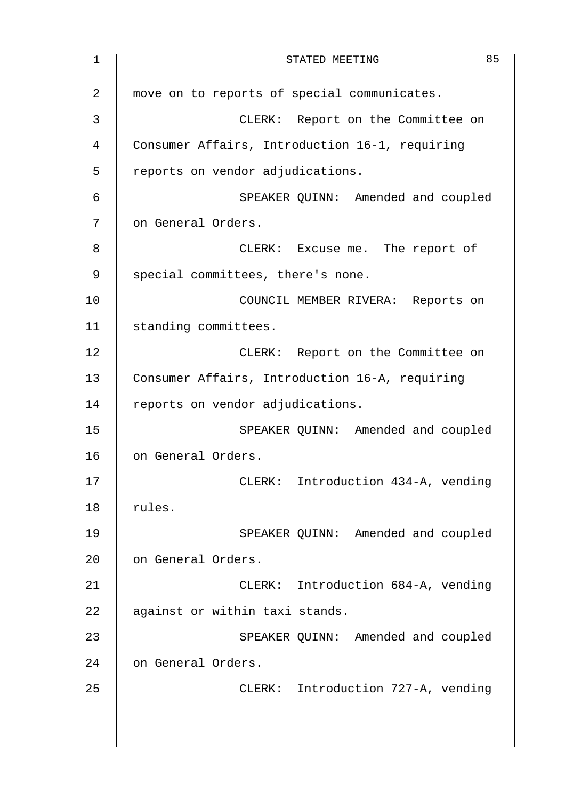| $\mathbf 1$    | 85<br>STATED MEETING                           |
|----------------|------------------------------------------------|
| $\overline{2}$ | move on to reports of special communicates.    |
| 3              | CLERK: Report on the Committee on              |
| 4              | Consumer Affairs, Introduction 16-1, requiring |
| 5              | reports on vendor adjudications.               |
| 6              | SPEAKER QUINN: Amended and coupled             |
| 7              | on General Orders.                             |
| 8              | CLERK: Excuse me. The report of                |
| 9              | special committees, there's none.              |
| 10             | COUNCIL MEMBER RIVERA: Reports on              |
| 11             | standing committees.                           |
| 12             | CLERK: Report on the Committee on              |
| 13             | Consumer Affairs, Introduction 16-A, requiring |
| 14             | reports on vendor adjudications.               |
| 15             | SPEAKER QUINN: Amended and coupled             |
| 16             | on General Orders.                             |
| 17             | CLERK: Introduction 434-A, vending             |
| 18             | rules.                                         |
| 19             | SPEAKER QUINN: Amended and coupled             |
| 20             | on General Orders.                             |
| 21             | CLERK: Introduction 684-A, vending             |
| 22             | against or within taxi stands.                 |
| 23             | SPEAKER QUINN: Amended and coupled             |
| 24             | on General Orders.                             |
| 25             | CLERK: Introduction 727-A, vending             |
|                |                                                |
|                |                                                |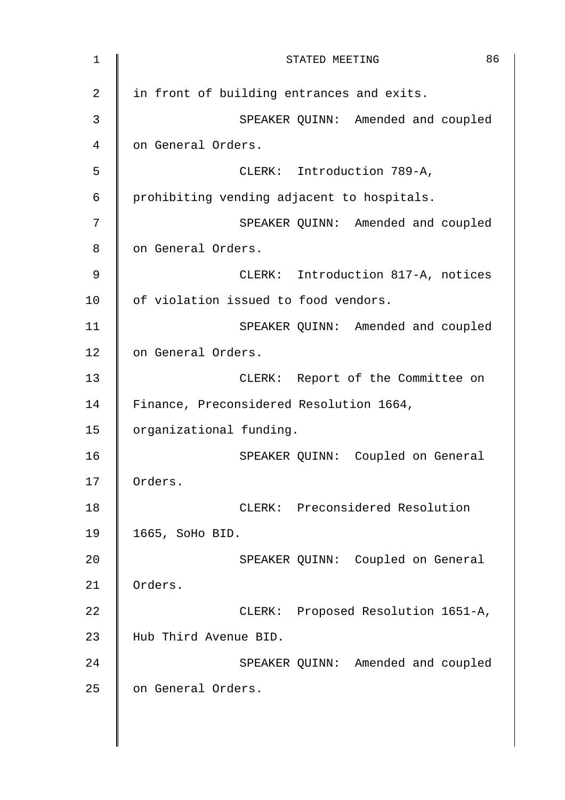| $\mathbf 1$ | 86<br>STATED MEETING                       |
|-------------|--------------------------------------------|
| 2           | in front of building entrances and exits.  |
| 3           | SPEAKER QUINN: Amended and coupled         |
| 4           | on General Orders.                         |
| 5           | CLERK: Introduction 789-A,                 |
| $\epsilon$  | prohibiting vending adjacent to hospitals. |
| 7           | SPEAKER QUINN: Amended and coupled         |
| 8           | on General Orders.                         |
| 9           | CLERK: Introduction 817-A, notices         |
| 10          | of violation issued to food vendors.       |
| 11          | SPEAKER QUINN: Amended and coupled         |
| 12          | on General Orders.                         |
| 13          | CLERK: Report of the Committee on          |
| 14          | Finance, Preconsidered Resolution 1664,    |
| 15          | organizational funding.                    |
| 16          | SPEAKER QUINN: Coupled on General          |
| 17          | Orders.                                    |
| 18          | CLERK: Preconsidered Resolution            |
| 19          | 1665, SoHo BID.                            |
| 20          | SPEAKER QUINN: Coupled on General          |
| 21          | Orders.                                    |
| 22          | CLERK: Proposed Resolution 1651-A,         |
| 23          | Hub Third Avenue BID.                      |
| 24          | SPEAKER QUINN: Amended and coupled         |
| 25          | on General Orders.                         |
|             |                                            |
|             |                                            |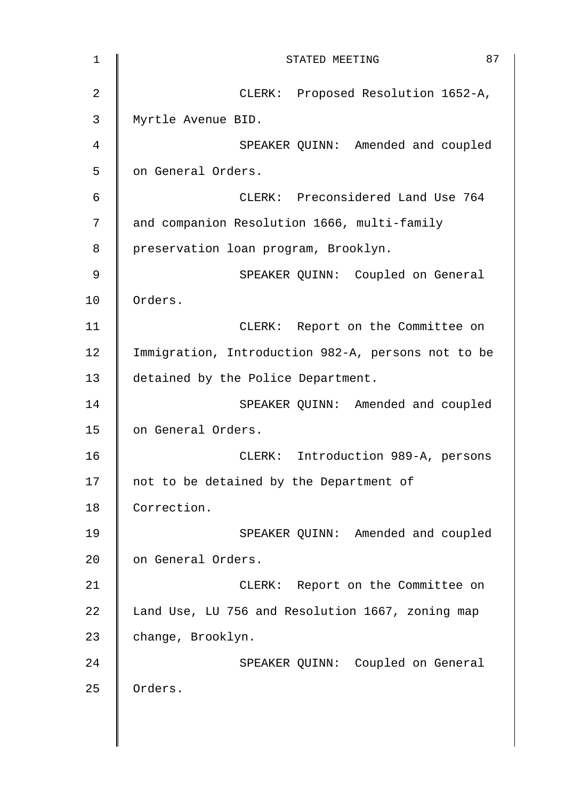| 1              | 87<br>STATED MEETING                               |
|----------------|----------------------------------------------------|
| $\overline{2}$ | CLERK: Proposed Resolution 1652-A,                 |
| 3              | Myrtle Avenue BID.                                 |
| 4              | SPEAKER QUINN: Amended and coupled                 |
| 5              | on General Orders.                                 |
| 6              | CLERK: Preconsidered Land Use 764                  |
| 7              | and companion Resolution 1666, multi-family        |
| 8              | preservation loan program, Brooklyn.               |
| 9              | SPEAKER QUINN: Coupled on General                  |
| 10             | Orders.                                            |
| 11             | CLERK: Report on the Committee on                  |
| 12             | Immigration, Introduction 982-A, persons not to be |
| 13             | detained by the Police Department.                 |
| 14             | SPEAKER QUINN: Amended and coupled                 |
| 15             | on General Orders.                                 |
| 16             | CLERK: Introduction 989-A, persons                 |
| 17             | not to be detained by the Department of            |
| 18             | Correction.                                        |
| 19             | SPEAKER QUINN: Amended and coupled                 |
| 20             | on General Orders.                                 |
| 21             | CLERK: Report on the Committee on                  |
| 22             | Land Use, LU 756 and Resolution 1667, zoning map   |
| 23             | change, Brooklyn.                                  |
| 24             | SPEAKER QUINN: Coupled on General                  |
| 25             | Orders.                                            |
|                |                                                    |
|                |                                                    |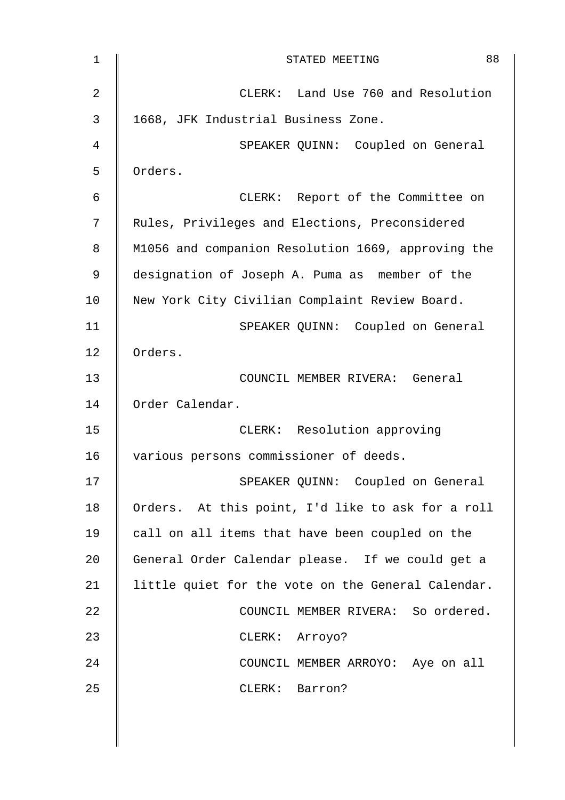| $\mathbf 1$ | 88<br>STATED MEETING                               |
|-------------|----------------------------------------------------|
| 2           | CLERK: Land Use 760 and Resolution                 |
| 3           | 1668, JFK Industrial Business Zone.                |
| 4           | SPEAKER QUINN: Coupled on General                  |
| 5           | Orders.                                            |
| 6           | CLERK: Report of the Committee on                  |
| 7           | Rules, Privileges and Elections, Preconsidered     |
| 8           | M1056 and companion Resolution 1669, approving the |
| $\mathsf 9$ | designation of Joseph A. Puma as member of the     |
| 10          | New York City Civilian Complaint Review Board.     |
| 11          | SPEAKER QUINN: Coupled on General                  |
| 12          | Orders.                                            |
| 13          | COUNCIL MEMBER RIVERA: General                     |
| 14          | Order Calendar.                                    |
| 15          | CLERK: Resolution approving                        |
| 16          | various persons commissioner of deeds.             |
| 17          | SPEAKER QUINN: Coupled on General                  |
| 18          | Orders. At this point, I'd like to ask for a roll  |
| 19          | call on all items that have been coupled on the    |
| 20          | General Order Calendar please. If we could get a   |
| 21          | little quiet for the vote on the General Calendar. |
| 22          | COUNCIL MEMBER RIVERA: So ordered.                 |
| 23          | CLERK: Arroyo?                                     |
| 24          | COUNCIL MEMBER ARROYO: Aye on all                  |
| 25          | CLERK: Barron?                                     |
|             |                                                    |
|             |                                                    |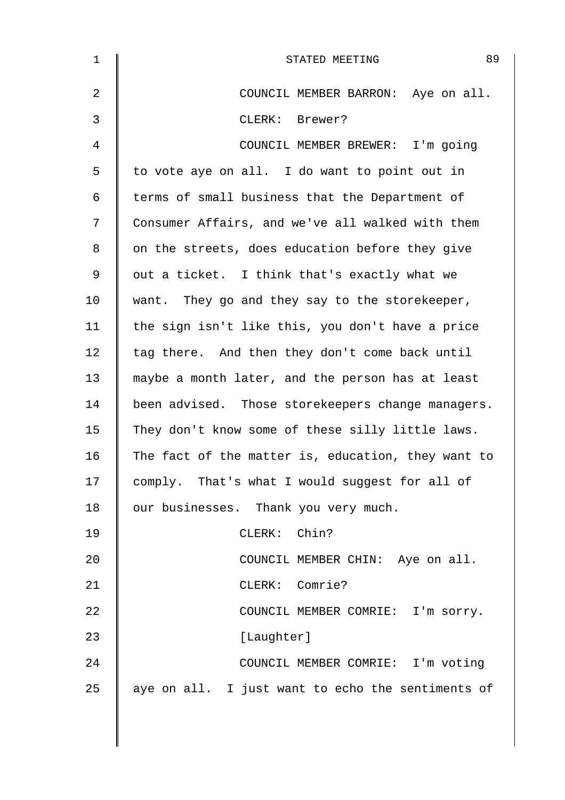| 1  | 89<br>STATED MEETING                               |
|----|----------------------------------------------------|
| 2  | COUNCIL MEMBER BARRON: Aye on all.                 |
| 3  | CLERK: Brewer?                                     |
| 4  | COUNCIL MEMBER BREWER: I'm going                   |
| 5  | to vote aye on all. I do want to point out in      |
| 6  | terms of small business that the Department of     |
| 7  | Consumer Affairs, and we've all walked with them   |
| 8  | on the streets, does education before they give    |
| 9  | out a ticket. I think that's exactly what we       |
| 10 | want. They go and they say to the storekeeper,     |
| 11 | the sign isn't like this, you don't have a price   |
| 12 | tag there. And then they don't come back until     |
| 13 | maybe a month later, and the person has at least   |
| 14 | been advised. Those storekeepers change managers.  |
| 15 | They don't know some of these silly little laws.   |
| 16 | The fact of the matter is, education, they want to |
| 17 | comply. That's what I would suggest for all of     |
| 18 | our businesses. Thank you very much.               |
| 19 | CLERK: Chin?                                       |
| 20 | COUNCIL MEMBER CHIN: Aye on all.                   |
| 21 | CLERK: Comrie?                                     |
| 22 | COUNCIL MEMBER COMRIE: I'm sorry.                  |
| 23 | [Laughter]                                         |
| 24 | COUNCIL MEMBER COMRIE: I'm voting                  |
| 25 | aye on all. I just want to echo the sentiments of  |
|    |                                                    |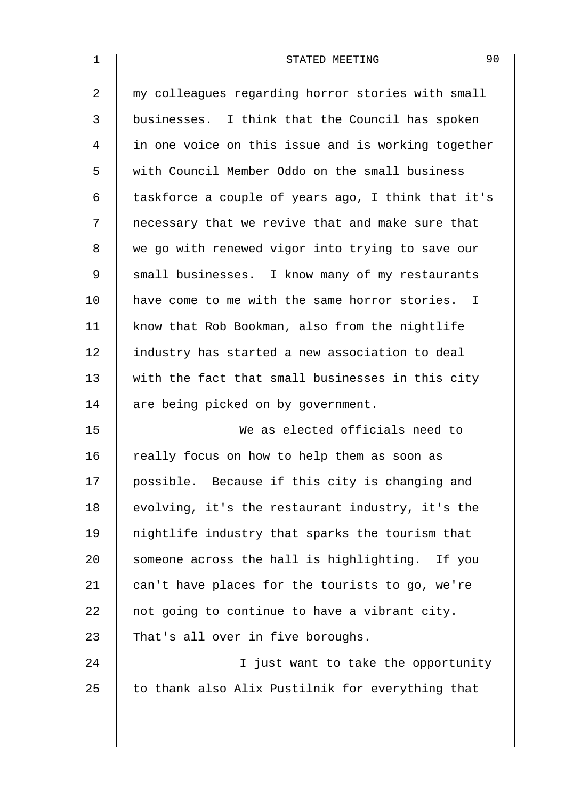| $\mathbf 1$ | 90<br>STATED MEETING                               |
|-------------|----------------------------------------------------|
| 2           | my colleagues regarding horror stories with small  |
| 3           | businesses. I think that the Council has spoken    |
| 4           | in one voice on this issue and is working together |
| 5           | with Council Member Oddo on the small business     |
| 6           | taskforce a couple of years ago, I think that it's |
| 7           | necessary that we revive that and make sure that   |
| 8           | we go with renewed vigor into trying to save our   |
| 9           | small businesses. I know many of my restaurants    |
| 10          | have come to me with the same horror stories. I    |
| 11          | know that Rob Bookman, also from the nightlife     |
| 12          | industry has started a new association to deal     |
| 13          | with the fact that small businesses in this city   |
| 14          | are being picked on by government.                 |
| 15          | We as elected officials need to                    |
| 16          | really focus on how to help them as soon as        |
| 17          | possible. Because if this city is changing and     |
| 18          | evolving, it's the restaurant industry, it's the   |
| 19          | nightlife industry that sparks the tourism that    |
| 20          | someone across the hall is highlighting. If you    |
| 21          | can't have places for the tourists to go, we're    |
| 22          | not going to continue to have a vibrant city.      |
| 23          | That's all over in five boroughs.                  |
| 24          | I just want to take the opportunity                |
| 25          | to thank also Alix Pustilnik for everything that   |
|             |                                                    |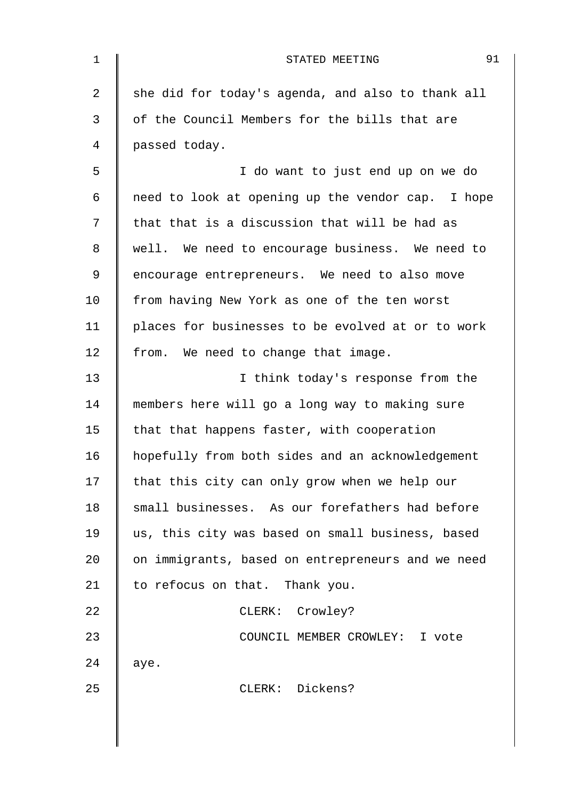| 1  | 91<br>STATED MEETING                              |
|----|---------------------------------------------------|
| 2  | she did for today's agenda, and also to thank all |
| 3  | of the Council Members for the bills that are     |
| 4  | passed today.                                     |
| 5  | I do want to just end up on we do                 |
| 6  | need to look at opening up the vendor cap. I hope |
| 7  | that that is a discussion that will be had as     |
| 8  | well. We need to encourage business. We need to   |
| 9  | encourage entrepreneurs. We need to also move     |
| 10 | from having New York as one of the ten worst      |
| 11 | places for businesses to be evolved at or to work |
| 12 | from. We need to change that image.               |
| 13 | I think today's response from the                 |
| 14 | members here will go a long way to making sure    |
| 15 | that that happens faster, with cooperation        |
| 16 | hopefully from both sides and an acknowledgement  |
| 17 | that this city can only grow when we help our     |
| 18 | small businesses. As our forefathers had before   |
| 19 | us, this city was based on small business, based  |
| 20 | on immigrants, based on entrepreneurs and we need |
| 21 | to refocus on that. Thank you.                    |
| 22 | CLERK: Crowley?                                   |
| 23 | COUNCIL MEMBER CROWLEY: I vote                    |
| 24 | aye.                                              |
| 25 | CLERK: Dickens?                                   |
|    |                                                   |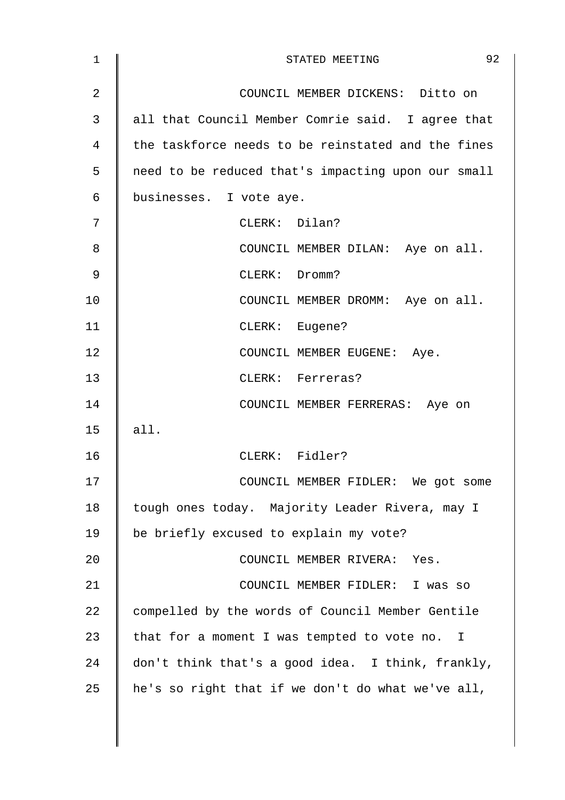| $\mathbf{1}$   | 92<br>STATED MEETING                               |
|----------------|----------------------------------------------------|
| $\overline{2}$ | COUNCIL MEMBER DICKENS: Ditto on                   |
| 3              | all that Council Member Comrie said. I agree that  |
| 4              | the taskforce needs to be reinstated and the fines |
| 5              | need to be reduced that's impacting upon our small |
| 6              | businesses. I vote aye.                            |
| 7              | CLERK: Dilan?                                      |
| 8              | COUNCIL MEMBER DILAN: Aye on all.                  |
| 9              | CLERK: Dromm?                                      |
| 10             | COUNCIL MEMBER DROMM: Aye on all.                  |
| 11             | CLERK: Eugene?                                     |
| 12             | COUNCIL MEMBER EUGENE: Aye.                        |
| 13             | CLERK: Ferreras?                                   |
| 14             | COUNCIL MEMBER FERRERAS: Aye on                    |
| 15             | all.                                               |
| 16             | CLERK: Fidler?                                     |
| 17             | COUNCIL MEMBER FIDLER: We got some                 |
| 18             | tough ones today. Majority Leader Rivera, may I    |
| 19             | be briefly excused to explain my vote?             |
| 20             | COUNCIL MEMBER RIVERA: Yes.                        |
| 21             | COUNCIL MEMBER FIDLER: I was so                    |
| 22             | compelled by the words of Council Member Gentile   |
| 23             | that for a moment I was tempted to vote no. I      |
| 24             | don't think that's a good idea. I think, frankly,  |
| 25             | he's so right that if we don't do what we've all,  |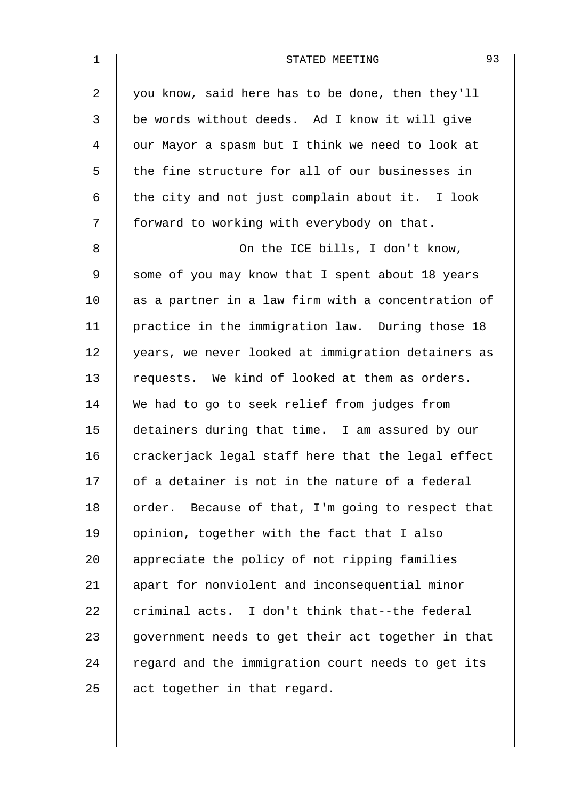| $\mathbf 1$    | 93<br>STATED MEETING                               |
|----------------|----------------------------------------------------|
| $\overline{a}$ | you know, said here has to be done, then they'll   |
| 3              | be words without deeds. Ad I know it will give     |
| $\overline{4}$ | our Mayor a spasm but I think we need to look at   |
| 5              | the fine structure for all of our businesses in    |
| 6              | the city and not just complain about it. I look    |
| 7              | forward to working with everybody on that.         |
| 8              | On the ICE bills, I don't know,                    |
| 9              | some of you may know that I spent about 18 years   |
| 10             | as a partner in a law firm with a concentration of |
| 11             | practice in the immigration law. During those 18   |
| 12             | years, we never looked at immigration detainers as |
| 13             | requests. We kind of looked at them as orders.     |
| 14             | We had to go to seek relief from judges from       |
| 15             | detainers during that time. I am assured by our    |
| 16             | crackerjack legal staff here that the legal effect |
| 17             | of a detainer is not in the nature of a federal    |
| 18             | order. Because of that, I'm going to respect that  |
| 19             | opinion, together with the fact that I also        |
| 20             | appreciate the policy of not ripping families      |
| 21             | apart for nonviolent and inconsequential minor     |
| 22             | criminal acts. I don't think that--the federal     |
| 23             | government needs to get their act together in that |
| 24             | regard and the immigration court needs to get its  |
| 25             | act together in that regard.                       |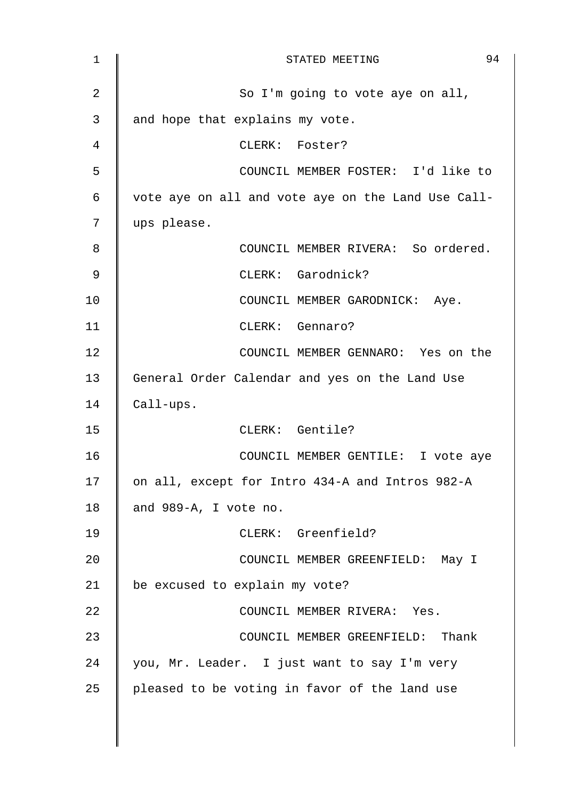| 1  | 94<br>STATED MEETING                               |
|----|----------------------------------------------------|
| 2  | So I'm going to vote aye on all,                   |
| 3  | and hope that explains my vote.                    |
| 4  | CLERK: Foster?                                     |
| 5  | COUNCIL MEMBER FOSTER: I'd like to                 |
| 6  | vote aye on all and vote aye on the Land Use Call- |
| 7  | ups please.                                        |
| 8  | COUNCIL MEMBER RIVERA: So ordered.                 |
| 9  | CLERK: Garodnick?                                  |
| 10 | COUNCIL MEMBER GARODNICK: Aye.                     |
| 11 | CLERK: Gennaro?                                    |
| 12 | COUNCIL MEMBER GENNARO: Yes on the                 |
| 13 | General Order Calendar and yes on the Land Use     |
| 14 | Call-ups.                                          |
| 15 | CLERK: Gentile?                                    |
| 16 | COUNCIL MEMBER GENTILE: I vote aye                 |
| 17 | on all, except for Intro 434-A and Intros 982-A    |
| 18 | and 989-A, I vote no.                              |
| 19 | CLERK: Greenfield?                                 |
| 20 | COUNCIL MEMBER GREENFIELD: May I                   |
| 21 | be excused to explain my vote?                     |
| 22 | COUNCIL MEMBER RIVERA: Yes.                        |
| 23 | COUNCIL MEMBER GREENFIELD: Thank                   |
| 24 | you, Mr. Leader. I just want to say I'm very       |
| 25 | pleased to be voting in favor of the land use      |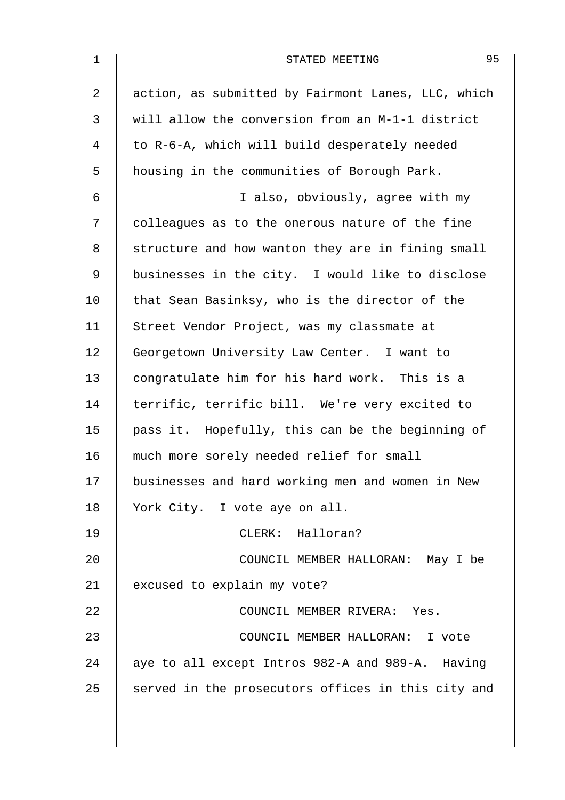| $\mathbf{1}$   | 95<br>STATED MEETING                               |
|----------------|----------------------------------------------------|
| $\overline{a}$ | action, as submitted by Fairmont Lanes, LLC, which |
| 3              | will allow the conversion from an M-1-1 district   |
| 4              | to R-6-A, which will build desperately needed      |
| 5              | housing in the communities of Borough Park.        |
| 6              | I also, obviously, agree with my                   |
| 7              | colleagues as to the onerous nature of the fine    |
| 8              | structure and how wanton they are in fining small  |
| 9              | businesses in the city. I would like to disclose   |
| 10             | that Sean Basinksy, who is the director of the     |
| 11             | Street Vendor Project, was my classmate at         |
| 12             | Georgetown University Law Center. I want to        |
| 13             | congratulate him for his hard work. This is a      |
| 14             | terrific, terrific bill. We're very excited to     |
| 15             | pass it. Hopefully, this can be the beginning of   |
| 16             | much more sorely needed relief for small           |
| 17             | businesses and hard working men and women in New   |
| 18             | York City. I vote aye on all.                      |
| 19             | CLERK: Halloran?                                   |
| 20             | COUNCIL MEMBER HALLORAN: May I be                  |
| 21             | excused to explain my vote?                        |
| 22             | COUNCIL MEMBER RIVERA: Yes.                        |
| 23             | COUNCIL MEMBER HALLORAN: I vote                    |
| 24             | aye to all except Intros 982-A and 989-A. Having   |
| 25             | served in the prosecutors offices in this city and |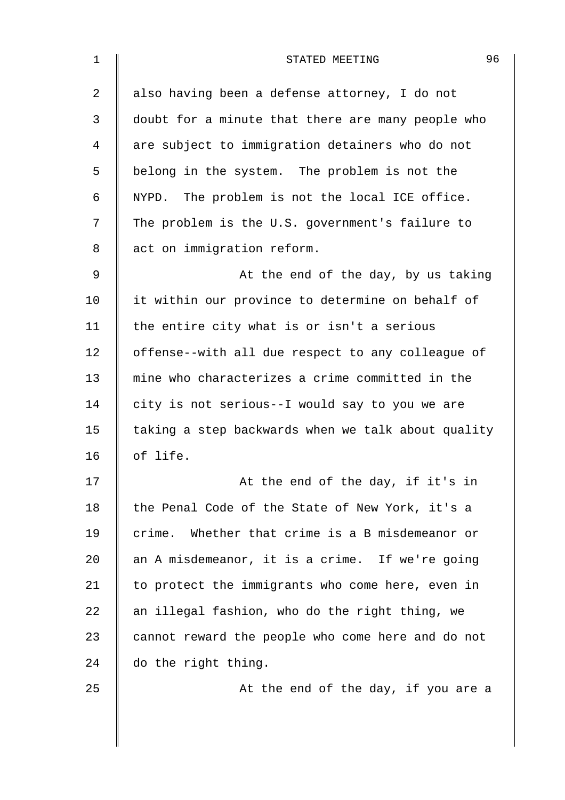| $\mathbf 1$    | 96<br>STATED MEETING                               |
|----------------|----------------------------------------------------|
| $\overline{2}$ | also having been a defense attorney, I do not      |
| 3              | doubt for a minute that there are many people who  |
| 4              | are subject to immigration detainers who do not    |
| 5              | belong in the system. The problem is not the       |
| 6              | NYPD. The problem is not the local ICE office.     |
| 7              | The problem is the U.S. government's failure to    |
| 8              | act on immigration reform.                         |
| 9              | At the end of the day, by us taking                |
| 10             | it within our province to determine on behalf of   |
| 11             | the entire city what is or isn't a serious         |
| 12             | offense--with all due respect to any colleague of  |
| 13             | mine who characterizes a crime committed in the    |
| 14             | city is not serious--I would say to you we are     |
| 15             | taking a step backwards when we talk about quality |
| 16             | of life.                                           |
| 17             | At the end of the day, if it's in                  |
| 18             | the Penal Code of the State of New York, it's a    |
| 19             | crime. Whether that crime is a B misdemeanor or    |
| 20             | an A misdemeanor, it is a crime. If we're going    |
| 21             | to protect the immigrants who come here, even in   |
| 22             | an illegal fashion, who do the right thing, we     |
| 23             | cannot reward the people who come here and do not  |
| 24             | do the right thing.                                |
| 25             | At the end of the day, if you are a                |
|                |                                                    |
|                |                                                    |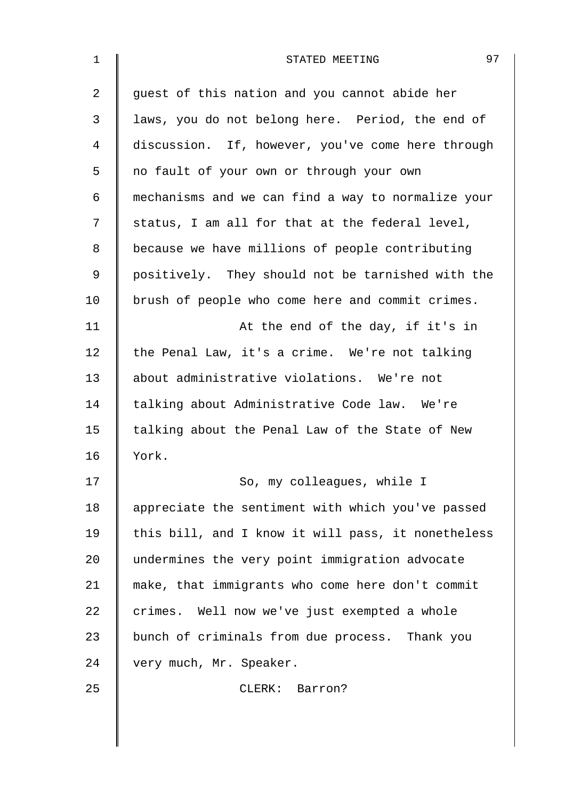| 1  | 97<br>STATED MEETING                               |
|----|----------------------------------------------------|
| 2  | guest of this nation and you cannot abide her      |
| 3  | laws, you do not belong here. Period, the end of   |
| 4  | discussion. If, however, you've come here through  |
| 5  | no fault of your own or through your own           |
| 6  | mechanisms and we can find a way to normalize your |
| 7  | status, I am all for that at the federal level,    |
| 8  | because we have millions of people contributing    |
| 9  | positively. They should not be tarnished with the  |
| 10 | brush of people who come here and commit crimes.   |
| 11 | At the end of the day, if it's in                  |
| 12 | the Penal Law, it's a crime. We're not talking     |
| 13 | about administrative violations. We're not         |
| 14 | talking about Administrative Code law. We're       |
| 15 | talking about the Penal Law of the State of New    |
| 16 | York.                                              |
| 17 | So, my colleagues, while I                         |
| 18 | appreciate the sentiment with which you've passed  |
| 19 | this bill, and I know it will pass, it nonetheless |
| 20 | undermines the very point immigration advocate     |
| 21 | make, that immigrants who come here don't commit   |
| 22 | crimes. Well now we've just exempted a whole       |
| 23 | bunch of criminals from due process. Thank you     |
| 24 | very much, Mr. Speaker.                            |
| 25 | CLERK: Barron?                                     |
|    |                                                    |
|    |                                                    |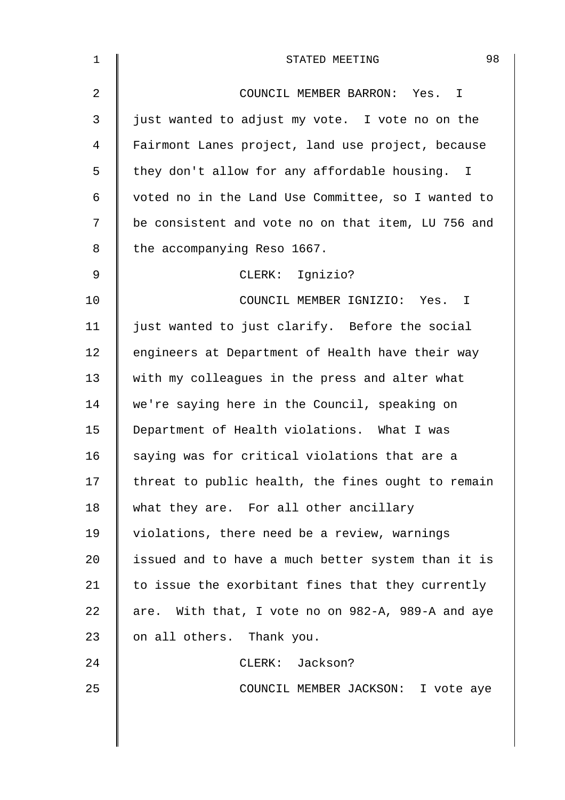| $\mathbf 1$    | 98<br>STATED MEETING                               |
|----------------|----------------------------------------------------|
| $\overline{2}$ | COUNCIL MEMBER BARRON: Yes. I                      |
| 3              | just wanted to adjust my vote. I vote no on the    |
| $\overline{4}$ | Fairmont Lanes project, land use project, because  |
| 5              | they don't allow for any affordable housing. I     |
| $\epsilon$     | voted no in the Land Use Committee, so I wanted to |
| 7              | be consistent and vote no on that item, LU 756 and |
| 8              | the accompanying Reso 1667.                        |
| $\mathsf 9$    | CLERK: Ignizio?                                    |
| 10             | COUNCIL MEMBER IGNIZIO: Yes. I                     |
| 11             | just wanted to just clarify. Before the social     |
| 12             | engineers at Department of Health have their way   |
| 13             | with my colleagues in the press and alter what     |
| 14             | we're saying here in the Council, speaking on      |
| 15             | Department of Health violations. What I was        |
| 16             | saying was for critical violations that are a      |
| 17             | threat to public health, the fines ought to remain |
| 18             | what they are. For all other ancillary             |
| 19             | violations, there need be a review, warnings       |
| 20             | issued and to have a much better system than it is |
| 21             | to issue the exorbitant fines that they currently  |
| 22             | are. With that, I vote no on 982-A, 989-A and aye  |
| 23             | on all others. Thank you.                          |
| 24             | CLERK: Jackson?                                    |
| 25             | COUNCIL MEMBER JACKSON: I vote aye                 |
|                |                                                    |
|                |                                                    |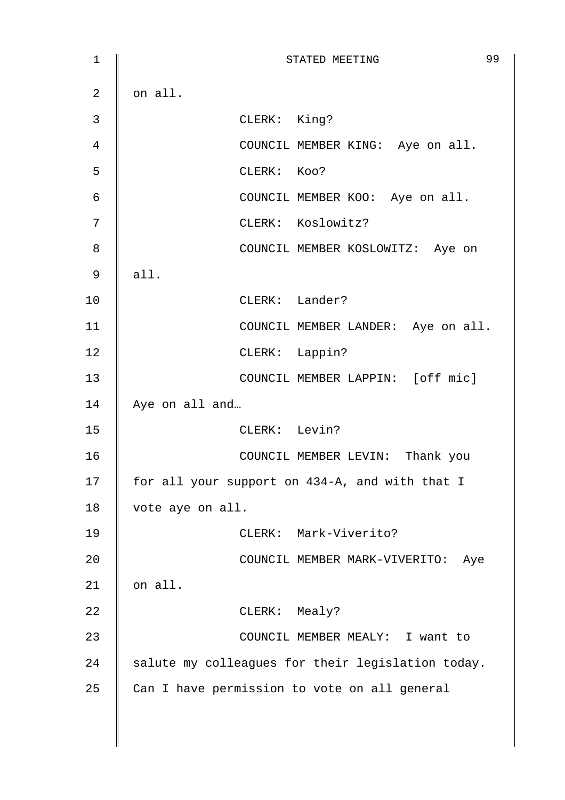1 || STATED MEETING 99  $2 \parallel$  on all. 3 CLERK: King? 4 | COUNCIL MEMBER KING: Aye on all. 5 CLERK: Koo? 6 || COUNCIL MEMBER KOO: Aye on all. 7 | CLERK: Koslowitz? 8 COUNCIL MEMBER KOSLOWITZ: Aye on  $9 \parallel$  all. 10 || CLERK: Lander? 11 | COUNCIL MEMBER LANDER: Aye on all. 12 CLERK: Lappin? 13 COUNCIL MEMBER LAPPIN: [off mic] 14 Aye on all and... 15 CLERK: Levin? 16 COUNCIL MEMBER LEVIN: Thank you 17 | for all your support on 434-A, and with that I 18 vote aye on all. 19 CLERK: Mark-Viverito? 20 | COUNCIL MEMBER MARK-VIVERITO: Aye  $21$  on all. 22 **CLERK:** Mealy? 23 | COUNCIL MEMBER MEALY: I want to 24  $\parallel$  salute my colleagues for their legislation today. 25  $\parallel$  Can I have permission to vote on all general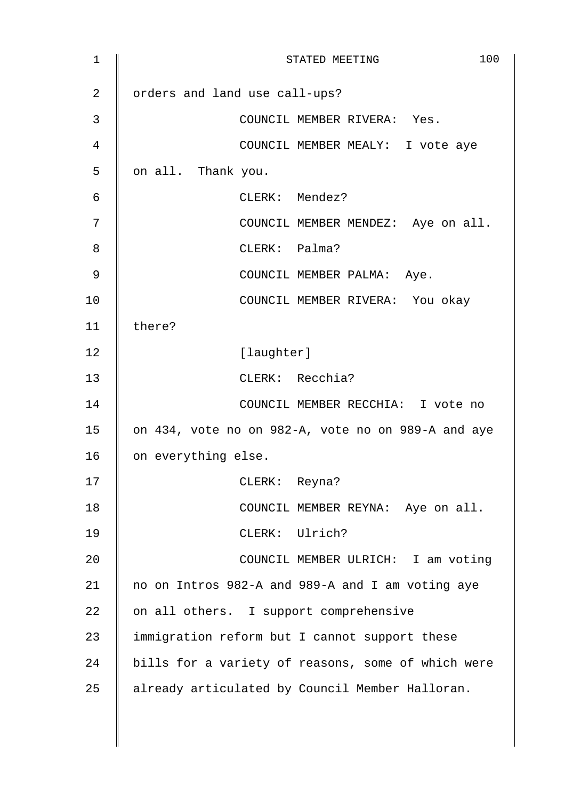| 1  | 100<br>STATED MEETING                              |
|----|----------------------------------------------------|
| 2  | orders and land use call-ups?                      |
| 3  | COUNCIL MEMBER RIVERA: Yes.                        |
| 4  | COUNCIL MEMBER MEALY: I vote aye                   |
| 5  | on all. Thank you.                                 |
| 6  | CLERK: Mendez?                                     |
| 7  | COUNCIL MEMBER MENDEZ: Aye on all.                 |
| 8  | CLERK: Palma?                                      |
| 9  | COUNCIL MEMBER PALMA: Aye.                         |
| 10 | COUNCIL MEMBER RIVERA: You okay                    |
| 11 | there?                                             |
| 12 | [laughter]                                         |
| 13 | CLERK: Recchia?                                    |
| 14 | COUNCIL MEMBER RECCHIA: I vote no                  |
| 15 | on 434, vote no on 982-A, vote no on 989-A and aye |
| 16 | on everything else.                                |
| 17 | CLERK: Reyna?                                      |
| 18 | COUNCIL MEMBER REYNA: Aye on all.                  |
| 19 | CLERK: Ulrich?                                     |
| 20 | COUNCIL MEMBER ULRICH: I am voting                 |
| 21 | no on Intros 982-A and 989-A and I am voting aye   |
| 22 | on all others. I support comprehensive             |
| 23 | immigration reform but I cannot support these      |
| 24 | bills for a variety of reasons, some of which were |
| 25 | already articulated by Council Member Halloran.    |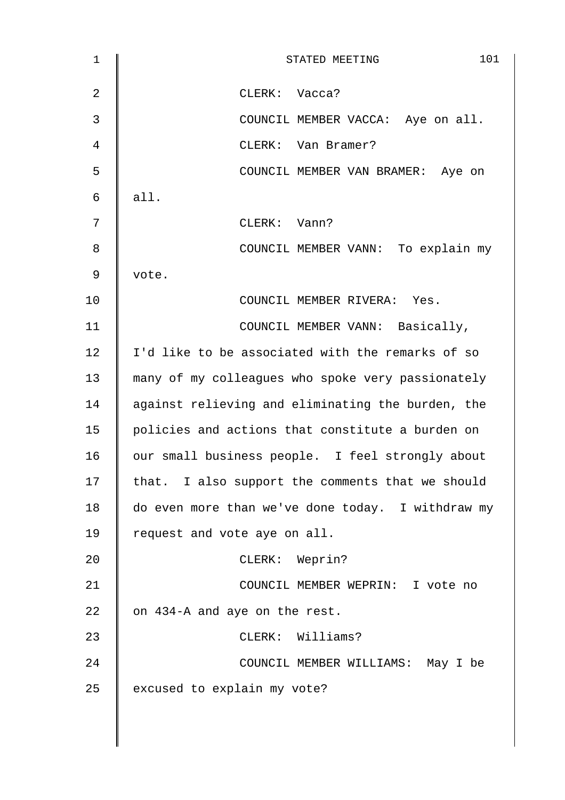| $\mathbf 1$    | 101<br>STATED MEETING                             |
|----------------|---------------------------------------------------|
| $\overline{2}$ | CLERK: Vacca?                                     |
| $\mathbf{3}$   | COUNCIL MEMBER VACCA: Aye on all.                 |
| 4              | CLERK: Van Bramer?                                |
| 5              | COUNCIL MEMBER VAN BRAMER: Aye on                 |
| 6              | all.                                              |
| 7              | CLERK: Vann?                                      |
| 8              | COUNCIL MEMBER VANN: To explain my                |
| 9              | vote.                                             |
| 10             | COUNCIL MEMBER RIVERA: Yes.                       |
| 11             | COUNCIL MEMBER VANN: Basically,                   |
| 12             | I'd like to be associated with the remarks of so  |
| 13             | many of my colleagues who spoke very passionately |
| 14             | against relieving and eliminating the burden, the |
| 15             | policies and actions that constitute a burden on  |
| 16             | our small business people. I feel strongly about  |
| 17             | that. I also support the comments that we should  |
| 18             | do even more than we've done today. I withdraw my |
| 19             | request and vote aye on all.                      |
| 20             | CLERK: Weprin?                                    |
| 21             | COUNCIL MEMBER WEPRIN: I vote no                  |
| 22             | on 434-A and aye on the rest.                     |
| 23             | CLERK: Williams?                                  |
| 24             | COUNCIL MEMBER WILLIAMS: May I be                 |
| 25             | excused to explain my vote?                       |
|                |                                                   |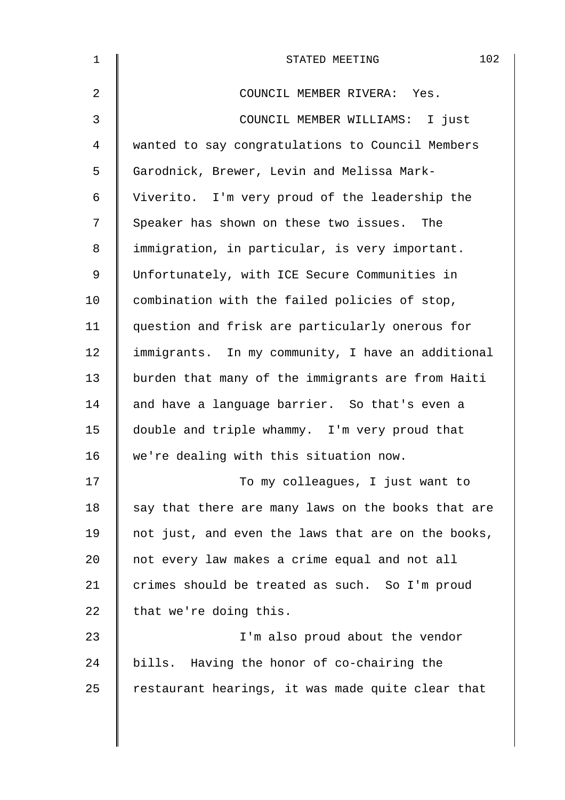| $\mathbf{1}$   | 102<br>STATED MEETING                              |
|----------------|----------------------------------------------------|
| $\overline{2}$ | COUNCIL MEMBER RIVERA: Yes.                        |
| 3              | COUNCIL MEMBER WILLIAMS: I just                    |
| 4              | wanted to say congratulations to Council Members   |
| 5              | Garodnick, Brewer, Levin and Melissa Mark-         |
| 6              | Viverito. I'm very proud of the leadership the     |
| 7              | Speaker has shown on these two issues. The         |
| 8              | immigration, in particular, is very important.     |
| 9              | Unfortunately, with ICE Secure Communities in      |
| 10             | combination with the failed policies of stop,      |
| 11             | question and frisk are particularly onerous for    |
| 12             | immigrants. In my community, I have an additional  |
| 13             | burden that many of the immigrants are from Haiti  |
| 14             | and have a language barrier. So that's even a      |
| 15             | double and triple whammy. I'm very proud that      |
| 16             | we're dealing with this situation now.             |
| 17             | To my colleagues, I just want to                   |
| 18             | say that there are many laws on the books that are |
| 19             | not just, and even the laws that are on the books, |
| 20             | not every law makes a crime equal and not all      |
| 21             | crimes should be treated as such. So I'm proud     |
| 22             | that we're doing this.                             |
| 23             | I'm also proud about the vendor                    |
| 24             | bills. Having the honor of co-chairing the         |
| 25             | restaurant hearings, it was made quite clear that  |
|                |                                                    |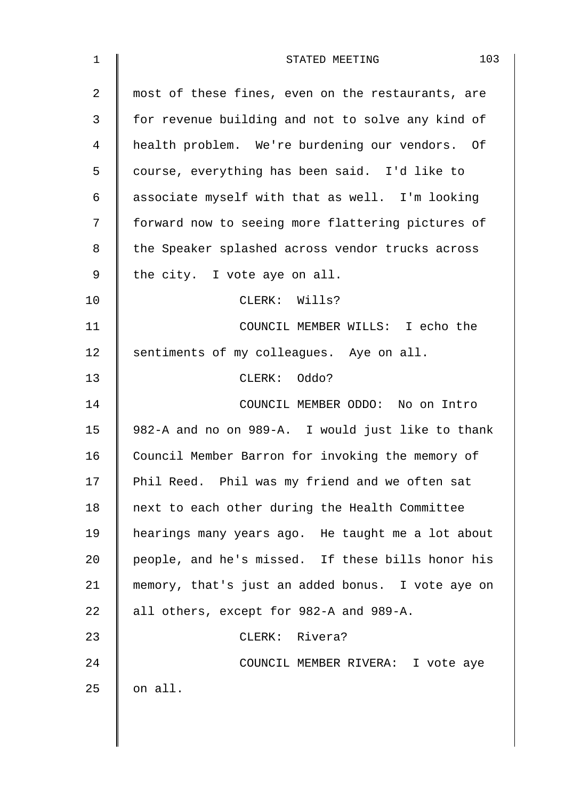| $\mathbf 1$    | 103<br>STATED MEETING                             |
|----------------|---------------------------------------------------|
| $\overline{a}$ | most of these fines, even on the restaurants, are |
| 3              | for revenue building and not to solve any kind of |
| 4              | health problem. We're burdening our vendors. Of   |
| 5              | course, everything has been said. I'd like to     |
| 6              | associate myself with that as well. I'm looking   |
| 7              | forward now to seeing more flattering pictures of |
| 8              | the Speaker splashed across vendor trucks across  |
| 9              | the city. I vote aye on all.                      |
| 10             | CLERK: Wills?                                     |
| 11             | COUNCIL MEMBER WILLS: I echo the                  |
| 12             | sentiments of my colleagues. Aye on all.          |
| 13             | CLERK: Oddo?                                      |
| 14             | COUNCIL MEMBER ODDO: No on Intro                  |
| 15             | 982-A and no on 989-A. I would just like to thank |
| 16             | Council Member Barron for invoking the memory of  |
| 17             | Phil Reed. Phil was my friend and we often sat    |
| 18             | next to each other during the Health Committee    |
| 19             | hearings many years ago. He taught me a lot about |
| 20             | people, and he's missed. If these bills honor his |
| 21             | memory, that's just an added bonus. I vote aye on |
| 22             | all others, except for 982-A and 989-A.           |
| 23             | CLERK: Rivera?                                    |
| 24             | COUNCIL MEMBER RIVERA: I vote aye                 |
| 25             | on all.                                           |
|                |                                                   |
|                |                                                   |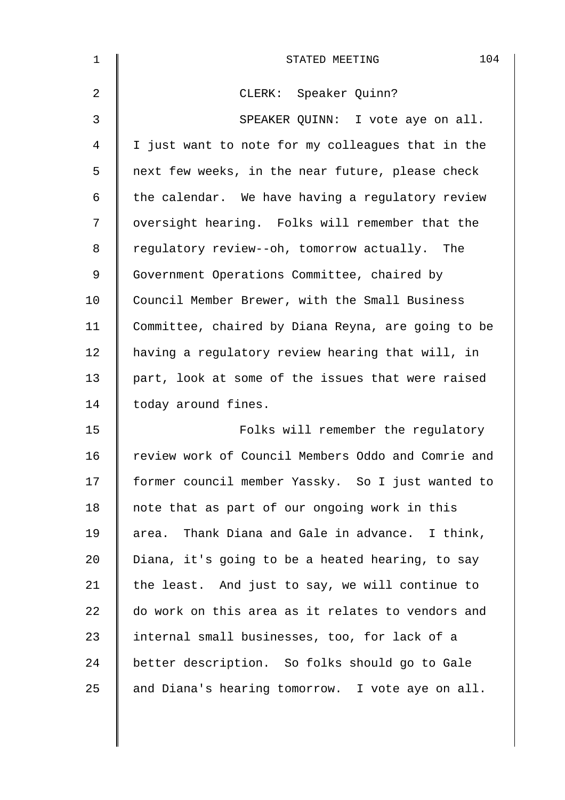| $\mathbf 1$    | 104<br>STATED MEETING                              |
|----------------|----------------------------------------------------|
| $\overline{2}$ | CLERK: Speaker Quinn?                              |
| $\mathfrak{Z}$ | SPEAKER QUINN: I vote aye on all.                  |
| 4              | I just want to note for my colleagues that in the  |
| 5              | next few weeks, in the near future, please check   |
| 6              | the calendar. We have having a regulatory review   |
| 7              | oversight hearing. Folks will remember that the    |
| 8              | regulatory review--oh, tomorrow actually. The      |
| 9              | Government Operations Committee, chaired by        |
| 10             | Council Member Brewer, with the Small Business     |
| 11             | Committee, chaired by Diana Reyna, are going to be |
| 12             | having a regulatory review hearing that will, in   |
| 13             | part, look at some of the issues that were raised  |
| 14             | today around fines.                                |
| 15             | Folks will remember the regulatory                 |
| 16             | review work of Council Members Oddo and Comrie and |
| 17             | former council member Yassky. So I just wanted to  |
| 18             | note that as part of our ongoing work in this      |
| 19             | Thank Diana and Gale in advance. I think,<br>area. |
| 20             | Diana, it's going to be a heated hearing, to say   |
| 21             | the least. And just to say, we will continue to    |
| 22             | do work on this area as it relates to vendors and  |
| 23             | internal small businesses, too, for lack of a      |
| 24             | better description. So folks should go to Gale     |
| 25             | and Diana's hearing tomorrow. I vote aye on all.   |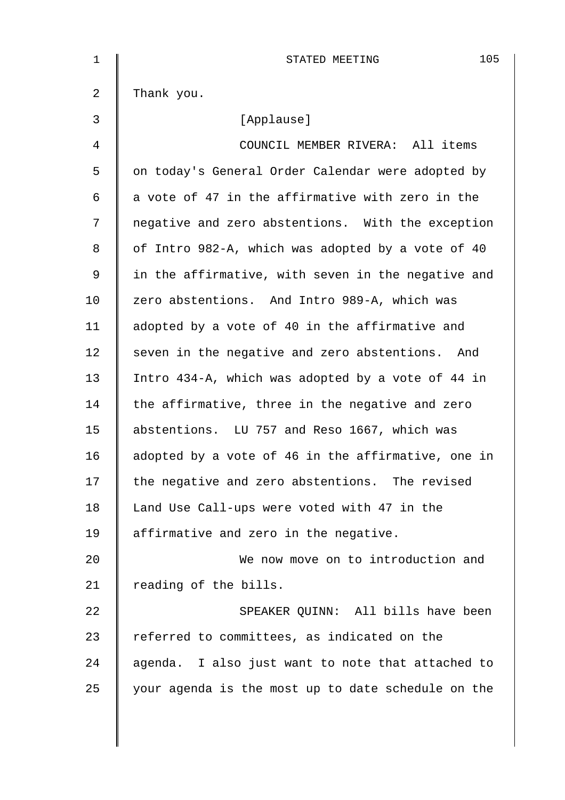| 1  | 105<br>STATED MEETING                              |
|----|----------------------------------------------------|
| 2  | Thank you.                                         |
| 3  | [Applause]                                         |
| 4  | COUNCIL MEMBER RIVERA: All items                   |
| 5  | on today's General Order Calendar were adopted by  |
| 6  | a vote of 47 in the affirmative with zero in the   |
| 7  | negative and zero abstentions. With the exception  |
| 8  | of Intro 982-A, which was adopted by a vote of 40  |
| 9  | in the affirmative, with seven in the negative and |
| 10 | zero abstentions. And Intro 989-A, which was       |
| 11 | adopted by a vote of 40 in the affirmative and     |
| 12 | seven in the negative and zero abstentions. And    |
| 13 | Intro 434-A, which was adopted by a vote of 44 in  |
| 14 | the affirmative, three in the negative and zero    |
| 15 | abstentions. LU 757 and Reso 1667, which was       |
| 16 | adopted by a vote of 46 in the affirmative, one in |
| 17 | the negative and zero abstentions. The revised     |
| 18 | Land Use Call-ups were voted with 47 in the        |
| 19 | affirmative and zero in the negative.              |
| 20 | We now move on to introduction and                 |
| 21 | reading of the bills.                              |
| 22 | SPEAKER QUINN: All bills have been                 |
| 23 | referred to committees, as indicated on the        |
| 24 | agenda. I also just want to note that attached to  |
| 25 | your agenda is the most up to date schedule on the |
|    |                                                    |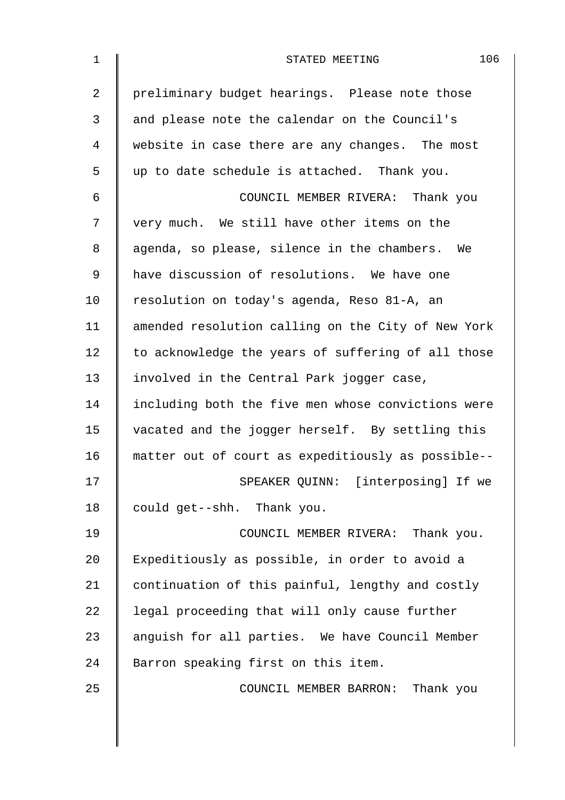| $\mathbf 1$    | 106<br>STATED MEETING                              |
|----------------|----------------------------------------------------|
| $\overline{2}$ | preliminary budget hearings. Please note those     |
| 3              | and please note the calendar on the Council's      |
| 4              | website in case there are any changes. The most    |
| 5              | up to date schedule is attached. Thank you.        |
| 6              | COUNCIL MEMBER RIVERA: Thank you                   |
| 7              | very much. We still have other items on the        |
| 8              | agenda, so please, silence in the chambers. We     |
| $\mathsf 9$    | have discussion of resolutions. We have one        |
| 10             | resolution on today's agenda, Reso 81-A, an        |
| 11             | amended resolution calling on the City of New York |
| 12             | to acknowledge the years of suffering of all those |
| 13             | involved in the Central Park jogger case,          |
| 14             | including both the five men whose convictions were |
| 15             | vacated and the jogger herself. By settling this   |
| 16             | matter out of court as expeditiously as possible-- |
| 17             | SPEAKER QUINN: [interposing] If we                 |
| 18             | could get--shh. Thank you.                         |
| 19             | COUNCIL MEMBER RIVERA: Thank you.                  |
| 20             | Expeditiously as possible, in order to avoid a     |
| 21             | continuation of this painful, lengthy and costly   |
| 22             | legal proceeding that will only cause further      |
| 23             | anguish for all parties. We have Council Member    |
| 24             | Barron speaking first on this item.                |
| 25             | COUNCIL MEMBER BARRON: Thank you                   |
|                |                                                    |
|                |                                                    |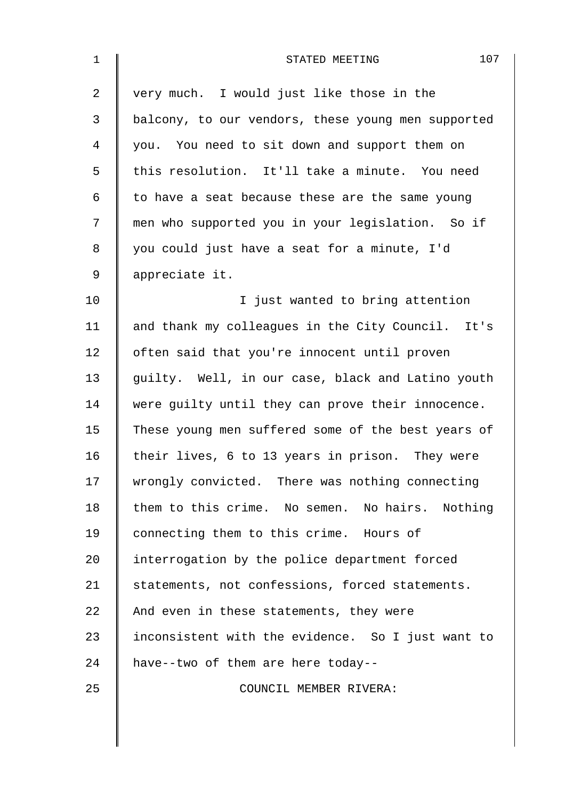| $\mathbf 1$    | 107<br>STATED MEETING                              |
|----------------|----------------------------------------------------|
| $\overline{a}$ | very much. I would just like those in the          |
| 3              | balcony, to our vendors, these young men supported |
| 4              | you. You need to sit down and support them on      |
| 5              | this resolution. It'll take a minute. You need     |
| 6              | to have a seat because these are the same young    |
| 7              | men who supported you in your legislation. So if   |
| 8              | you could just have a seat for a minute, I'd       |
| $\mathsf 9$    | appreciate it.                                     |
| 10             | I just wanted to bring attention                   |
| 11             | and thank my colleagues in the City Council. It's  |
| 12             | often said that you're innocent until proven       |
| 13             | guilty. Well, in our case, black and Latino youth  |
| 14             | were guilty until they can prove their innocence.  |
| 15             | These young men suffered some of the best years of |
| 16             | their lives, 6 to 13 years in prison. They were    |
| 17             | wrongly convicted. There was nothing connecting    |
| 18             | them to this crime. No semen. No hairs. Nothing    |
| 19             | connecting them to this crime. Hours of            |
| 20             | interrogation by the police department forced      |
| 21             | statements, not confessions, forced statements.    |
| 22             | And even in these statements, they were            |
| 23             | inconsistent with the evidence. So I just want to  |
| 24             | have--two of them are here today--                 |
| 25             | COUNCIL MEMBER RIVERA:                             |
|                |                                                    |
|                |                                                    |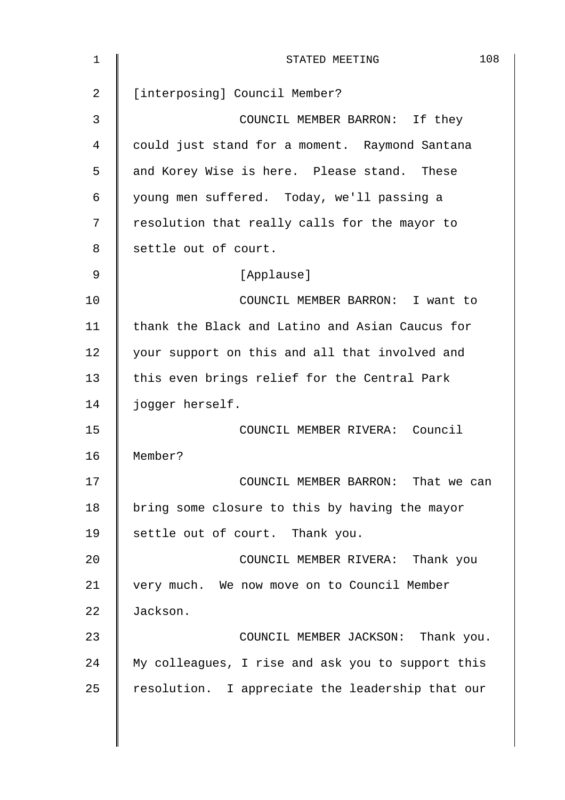| 1              | 108<br>STATED MEETING                             |
|----------------|---------------------------------------------------|
| $\overline{a}$ | [interposing] Council Member?                     |
| 3              | COUNCIL MEMBER BARRON: If they                    |
| 4              | could just stand for a moment. Raymond Santana    |
| 5              | and Korey Wise is here. Please stand. These       |
| 6              | young men suffered. Today, we'll passing a        |
| 7              | resolution that really calls for the mayor to     |
| 8              | settle out of court.                              |
| 9              | [Applause]                                        |
| 10             | COUNCIL MEMBER BARRON: I want to                  |
| 11             | thank the Black and Latino and Asian Caucus for   |
| 12             | your support on this and all that involved and    |
| 13             | this even brings relief for the Central Park      |
| 14             | jogger herself.                                   |
| 15             | COUNCIL MEMBER RIVERA: Council                    |
| 16             | Member?                                           |
| 17             | COUNCIL MEMBER BARRON: That we can                |
| 18             | bring some closure to this by having the mayor    |
| 19             | settle out of court. Thank you.                   |
| 20             | COUNCIL MEMBER RIVERA: Thank you                  |
| 21             | very much. We now move on to Council Member       |
| 22             | Jackson.                                          |
| 23             | COUNCIL MEMBER JACKSON: Thank you.                |
| 24             | My colleagues, I rise and ask you to support this |
| 25             | resolution. I appreciate the leadership that our  |
|                |                                                   |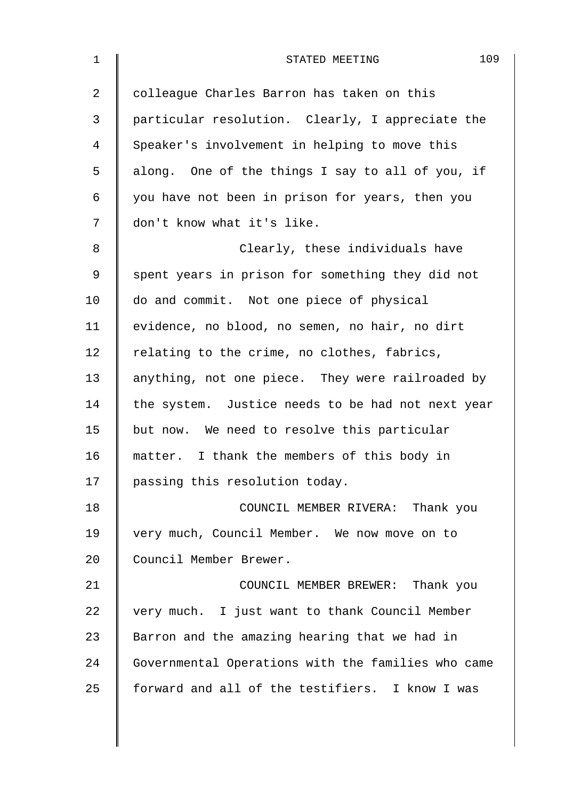| $\mathbf 1$    | 109<br>STATED MEETING                              |
|----------------|----------------------------------------------------|
| $\overline{2}$ | colleague Charles Barron has taken on this         |
| 3              | particular resolution. Clearly, I appreciate the   |
| 4              | Speaker's involvement in helping to move this      |
| 5              | along. One of the things I say to all of you, if   |
| 6              | you have not been in prison for years, then you    |
| 7              | don't know what it's like.                         |
| 8              | Clearly, these individuals have                    |
| 9              | spent years in prison for something they did not   |
| 10             | do and commit. Not one piece of physical           |
| 11             | evidence, no blood, no semen, no hair, no dirt     |
| 12             | relating to the crime, no clothes, fabrics,        |
| 13             | anything, not one piece. They were railroaded by   |
| 14             | the system. Justice needs to be had not next year  |
| 15             | but now. We need to resolve this particular        |
| 16             | matter. I thank the members of this body in        |
| 17             | passing this resolution today.                     |
| 18             | COUNCIL MEMBER RIVERA: Thank you                   |
| 19             | very much, Council Member. We now move on to       |
| 20             | Council Member Brewer.                             |
| 21             | COUNCIL MEMBER BREWER: Thank you                   |
| 22             | very much. I just want to thank Council Member     |
| 23             | Barron and the amazing hearing that we had in      |
| 24             | Governmental Operations with the families who came |
| 25             | forward and all of the testifiers. I know I was    |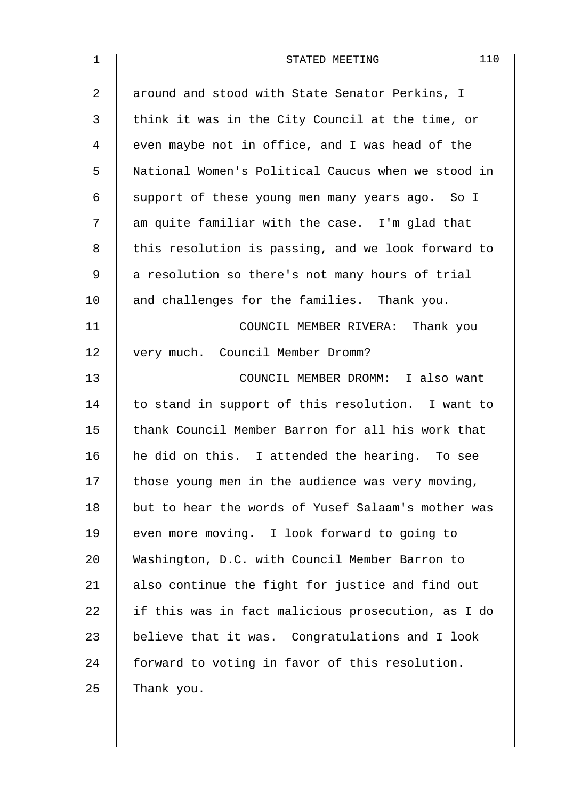| $\mathbf{1}$   | 110<br>STATED MEETING                              |
|----------------|----------------------------------------------------|
| $\overline{2}$ | around and stood with State Senator Perkins, I     |
| 3              | think it was in the City Council at the time, or   |
| 4              | even maybe not in office, and I was head of the    |
| 5              | National Women's Political Caucus when we stood in |
| 6              | support of these young men many years ago. So I    |
| 7              | am quite familiar with the case. I'm glad that     |
| 8              | this resolution is passing, and we look forward to |
| 9              | a resolution so there's not many hours of trial    |
| 10             | and challenges for the families. Thank you.        |
| 11             | COUNCIL MEMBER RIVERA: Thank you                   |
| 12             | very much. Council Member Dromm?                   |
| 13             | COUNCIL MEMBER DROMM: I also want                  |
| 14             | to stand in support of this resolution. I want to  |
| 15             | thank Council Member Barron for all his work that  |
| 16             | he did on this. I attended the hearing. To see     |
| 17             | those young men in the audience was very moving,   |
| 18             | but to hear the words of Yusef Salaam's mother was |
| 19             | even more moving. I look forward to going to       |
| 20             | Washington, D.C. with Council Member Barron to     |
| 21             | also continue the fight for justice and find out   |
| 22             | if this was in fact malicious prosecution, as I do |
| 23             | believe that it was. Congratulations and I look    |
| 24             | forward to voting in favor of this resolution.     |
| 25             | Thank you.                                         |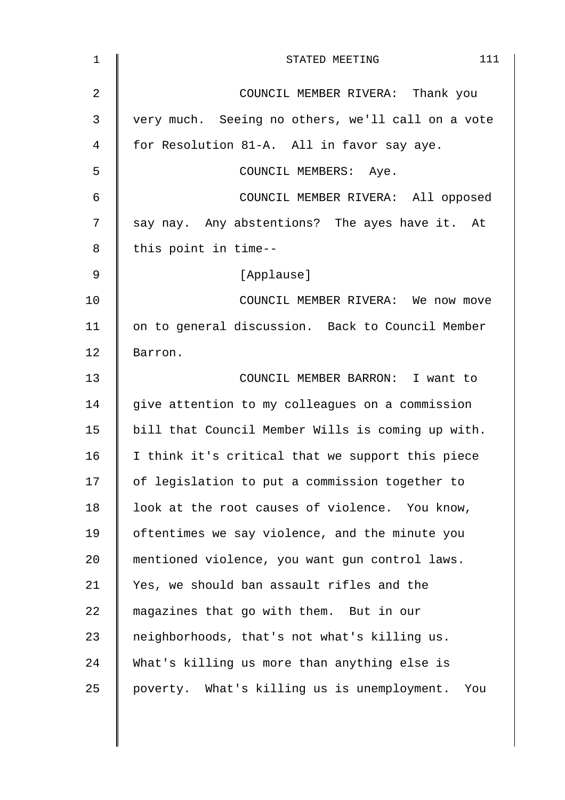| $\mathbf{1}$   | 111<br>STATED MEETING                              |
|----------------|----------------------------------------------------|
| $\overline{2}$ | COUNCIL MEMBER RIVERA: Thank you                   |
| 3              | very much. Seeing no others, we'll call on a vote  |
| 4              | for Resolution 81-A. All in favor say aye.         |
| 5              | COUNCIL MEMBERS: Aye.                              |
| 6              | COUNCIL MEMBER RIVERA: All opposed                 |
| 7              | say nay. Any abstentions? The ayes have it. At     |
| 8              | this point in time--                               |
| 9              | [Applause]                                         |
| 10             | COUNCIL MEMBER RIVERA: We now move                 |
| 11             | on to general discussion. Back to Council Member   |
| 12             | Barron.                                            |
| 13             | COUNCIL MEMBER BARRON: I want to                   |
| 14             | give attention to my colleagues on a commission    |
| 15             | bill that Council Member Wills is coming up with.  |
| 16             | I think it's critical that we support this piece   |
| 17             | of legislation to put a commission together to     |
| 18             | look at the root causes of violence. You know,     |
| 19             | oftentimes we say violence, and the minute you     |
| 20             | mentioned violence, you want gun control laws.     |
| 21             | Yes, we should ban assault rifles and the          |
| 22             | magazines that go with them. But in our            |
| 23             | neighborhoods, that's not what's killing us.       |
| 24             | What's killing us more than anything else is       |
| 25             | poverty. What's killing us is unemployment.<br>You |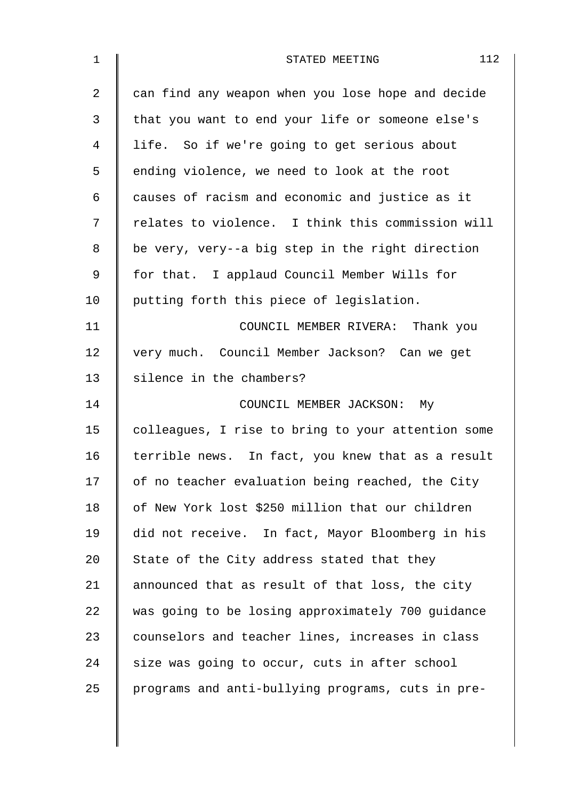| $\mathbf 1$    | 112<br>STATED MEETING                              |
|----------------|----------------------------------------------------|
| $\overline{2}$ | can find any weapon when you lose hope and decide  |
| 3              | that you want to end your life or someone else's   |
| 4              | life. So if we're going to get serious about       |
| 5              | ending violence, we need to look at the root       |
| 6              | causes of racism and economic and justice as it    |
| 7              | relates to violence. I think this commission will  |
| 8              | be very, very--a big step in the right direction   |
| 9              | for that. I applaud Council Member Wills for       |
| 10             | putting forth this piece of legislation.           |
| 11             | COUNCIL MEMBER RIVERA: Thank you                   |
| 12             | very much. Council Member Jackson? Can we get      |
| 13             | silence in the chambers?                           |
| 14             | COUNCIL MEMBER JACKSON: My                         |
| 15             | colleagues, I rise to bring to your attention some |
| 16             | terrible news. In fact, you knew that as a result  |
| 17             | of no teacher evaluation being reached, the City   |
| 18             | of New York lost \$250 million that our children   |
| 19             | did not receive. In fact, Mayor Bloomberg in his   |
| 20             | State of the City address stated that they         |
| 21             | announced that as result of that loss, the city    |
| 22             | was going to be losing approximately 700 guidance  |
| 23             | counselors and teacher lines, increases in class   |
| 24             | size was going to occur, cuts in after school      |
| 25             | programs and anti-bullying programs, cuts in pre-  |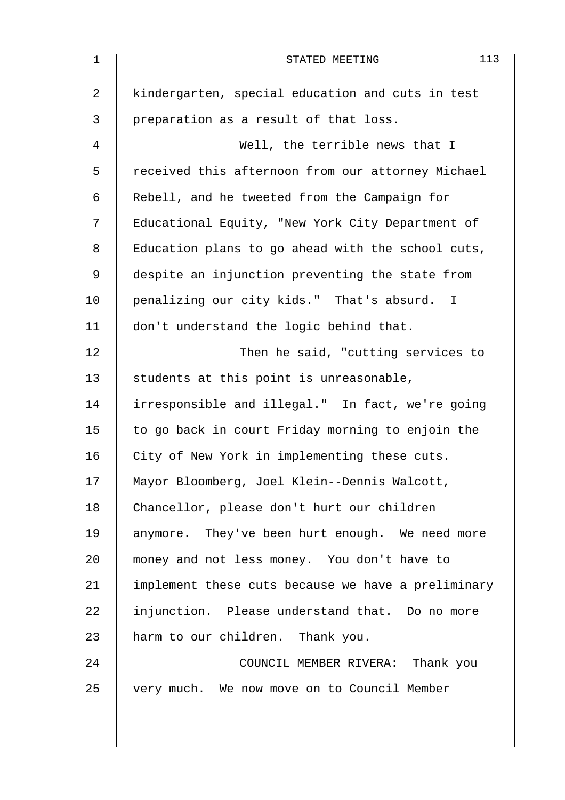| $\mathbf 1$    | 113<br>STATED MEETING                              |
|----------------|----------------------------------------------------|
| $\overline{2}$ | kindergarten, special education and cuts in test   |
| 3              | preparation as a result of that loss.              |
| 4              | Well, the terrible news that I                     |
| 5              | received this afternoon from our attorney Michael  |
| 6              | Rebell, and he tweeted from the Campaign for       |
| 7              | Educational Equity, "New York City Department of   |
| 8              | Education plans to go ahead with the school cuts,  |
| 9              | despite an injunction preventing the state from    |
| 10             | penalizing our city kids." That's absurd. I        |
| 11             | don't understand the logic behind that.            |
| 12             | Then he said, "cutting services to                 |
| 13             | students at this point is unreasonable,            |
| 14             | irresponsible and illegal." In fact, we're going   |
| 15             | to go back in court Friday morning to enjoin the   |
| 16             | City of New York in implementing these cuts.       |
| 17             | Mayor Bloomberg, Joel Klein--Dennis Walcott,       |
| 18             | Chancellor, please don't hurt our children         |
| 19             | anymore. They've been hurt enough. We need more    |
| 20             | money and not less money. You don't have to        |
| 21             | implement these cuts because we have a preliminary |
| 22             | injunction. Please understand that. Do no more     |
| 23             | harm to our children. Thank you.                   |
| 24             | COUNCIL MEMBER RIVERA: Thank you                   |
| 25             | very much. We now move on to Council Member        |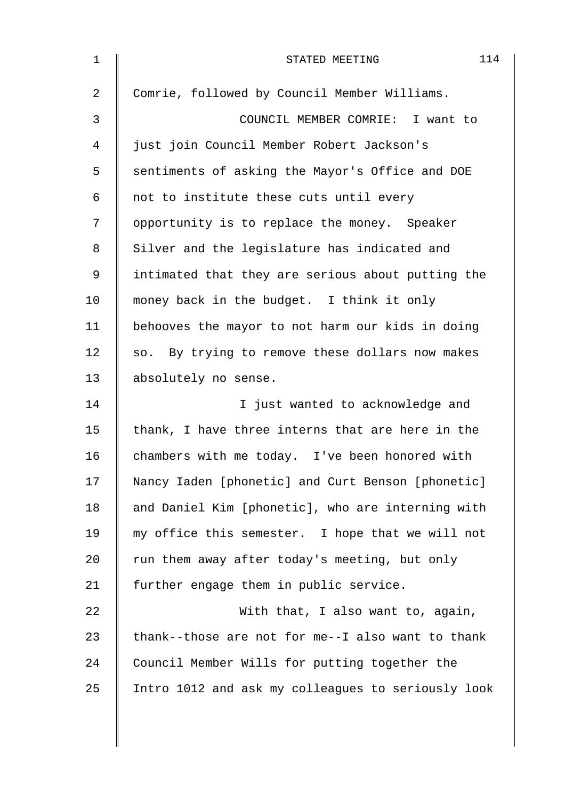| $\mathbf 1$    | 114<br>STATED MEETING                              |
|----------------|----------------------------------------------------|
| $\overline{a}$ | Comrie, followed by Council Member Williams.       |
| 3              | COUNCIL MEMBER COMRIE: I want to                   |
| 4              | just join Council Member Robert Jackson's          |
| 5              | sentiments of asking the Mayor's Office and DOE    |
| 6              | not to institute these cuts until every            |
| 7              | opportunity is to replace the money. Speaker       |
| 8              | Silver and the legislature has indicated and       |
| 9              | intimated that they are serious about putting the  |
| 10             | money back in the budget. I think it only          |
| 11             | behooves the mayor to not harm our kids in doing   |
| 12             | so. By trying to remove these dollars now makes    |
| 13             | absolutely no sense.                               |
| 14             | I just wanted to acknowledge and                   |
| 15             | thank, I have three interns that are here in the   |
| 16             | chambers with me today. I've been honored with     |
| 17             | Nancy Iaden [phonetic] and Curt Benson [phonetic]  |
| 18             | and Daniel Kim [phonetic], who are interning with  |
| 19             | my office this semester. I hope that we will not   |
| 20             | run them away after today's meeting, but only      |
| 21             | further engage them in public service.             |
| 22             | With that, I also want to, again,                  |
| 23             | thank--those are not for me--I also want to thank  |
| 24             | Council Member Wills for putting together the      |
| 25             | Intro 1012 and ask my colleagues to seriously look |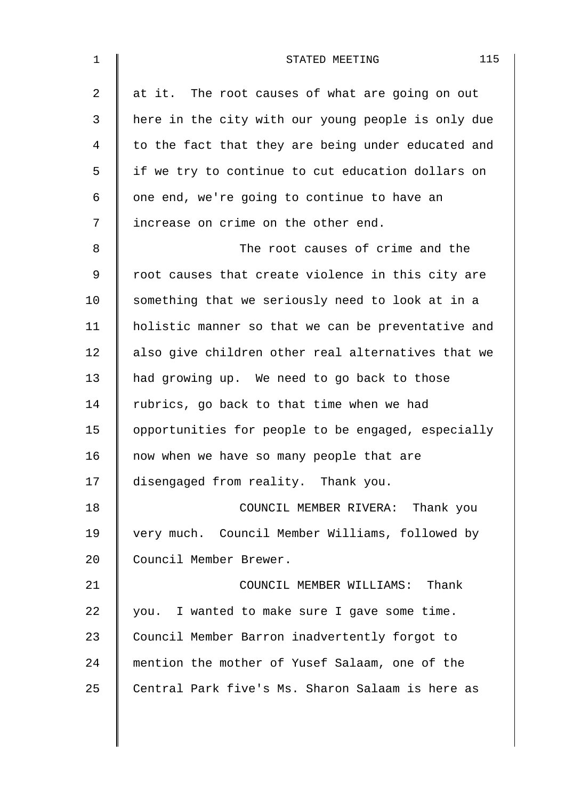| $\mathbf 1$    | 115<br>STATED MEETING                              |
|----------------|----------------------------------------------------|
| $\overline{2}$ | at it. The root causes of what are going on out    |
| 3              | here in the city with our young people is only due |
| 4              | to the fact that they are being under educated and |
| 5              | if we try to continue to cut education dollars on  |
| 6              | one end, we're going to continue to have an        |
| 7              | increase on crime on the other end.                |
| 8              | The root causes of crime and the                   |
| 9              | root causes that create violence in this city are  |
| 10             | something that we seriously need to look at in a   |
| 11             | holistic manner so that we can be preventative and |
| 12             | also give children other real alternatives that we |
| 13             | had growing up. We need to go back to those        |
| 14             | rubrics, go back to that time when we had          |
| 15             | opportunities for people to be engaged, especially |
| 16             | now when we have so many people that are           |
| 17             | disengaged from reality. Thank you.                |
| 18             | COUNCIL MEMBER RIVERA: Thank you                   |
| 19             | very much. Council Member Williams, followed by    |
| 20             | Council Member Brewer.                             |
| 21             | COUNCIL MEMBER WILLIAMS: Thank                     |
| 22             | you. I wanted to make sure I gave some time.       |
| 23             | Council Member Barron inadvertently forgot to      |
| 24             | mention the mother of Yusef Salaam, one of the     |
| 25             | Central Park five's Ms. Sharon Salaam is here as   |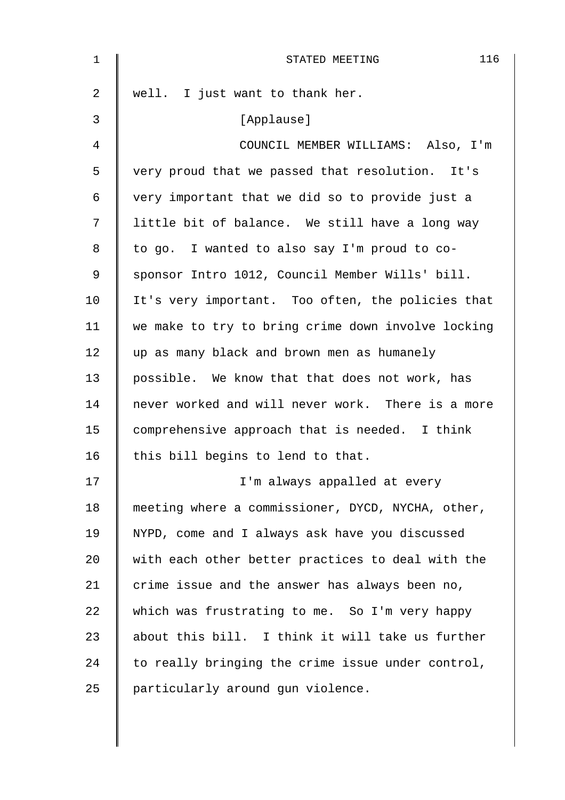| $\mathbf 1$ | 116<br>STATED MEETING                              |
|-------------|----------------------------------------------------|
| 2           | well. I just want to thank her.                    |
| 3           | [Applause]                                         |
| 4           | COUNCIL MEMBER WILLIAMS: Also, I'm                 |
| 5           | very proud that we passed that resolution. It's    |
| 6           | very important that we did so to provide just a    |
| 7           | little bit of balance. We still have a long way    |
| 8           | to go. I wanted to also say I'm proud to co-       |
| 9           | sponsor Intro 1012, Council Member Wills' bill.    |
| 10          | It's very important. Too often, the policies that  |
| 11          | we make to try to bring crime down involve locking |
| 12          | up as many black and brown men as humanely         |
| 13          | possible. We know that that does not work, has     |
| 14          | never worked and will never work. There is a more  |
| 15          | comprehensive approach that is needed. I think     |
| 16          | this bill begins to lend to that.                  |
| 17          | I'm always appalled at every                       |
| 18          | meeting where a commissioner, DYCD, NYCHA, other,  |
| 19          | NYPD, come and I always ask have you discussed     |
| 20          | with each other better practices to deal with the  |
| 21          | crime issue and the answer has always been no,     |
| 22          | which was frustrating to me. So I'm very happy     |
| 23          | about this bill. I think it will take us further   |
| 24          | to really bringing the crime issue under control,  |
| 25          | particularly around gun violence.                  |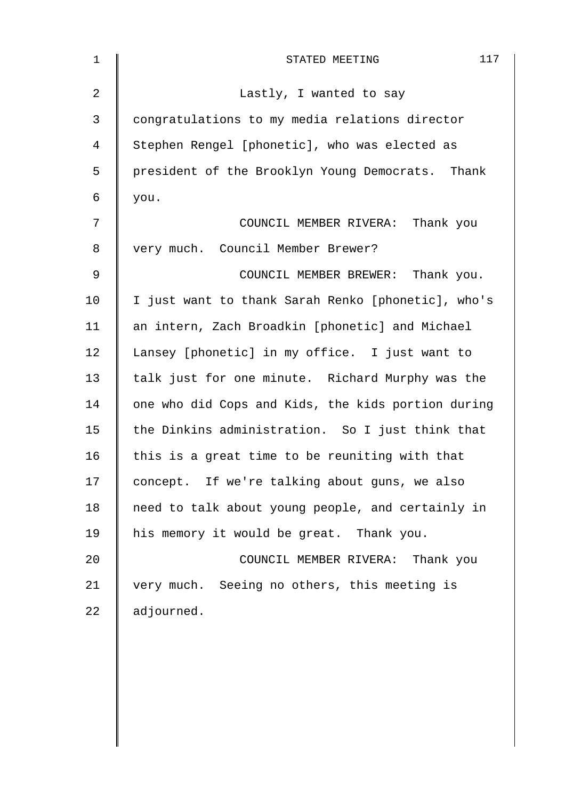| 1              | 117<br>STATED MEETING                              |
|----------------|----------------------------------------------------|
| $\overline{2}$ | Lastly, I wanted to say                            |
| 3              | congratulations to my media relations director     |
| 4              | Stephen Rengel [phonetic], who was elected as      |
| 5              | president of the Brooklyn Young Democrats. Thank   |
| 6              | you.                                               |
| 7              | COUNCIL MEMBER RIVERA: Thank you                   |
| 8              | very much. Council Member Brewer?                  |
| 9              | COUNCIL MEMBER BREWER: Thank you.                  |
| 10             | I just want to thank Sarah Renko [phonetic], who's |
| 11             | an intern, Zach Broadkin [phonetic] and Michael    |
| 12             | Lansey [phonetic] in my office. I just want to     |
| 13             | talk just for one minute. Richard Murphy was the   |
| 14             | one who did Cops and Kids, the kids portion during |
| 15             | the Dinkins administration. So I just think that   |
| 16             | this is a great time to be reuniting with that     |
| 17             | concept. If we're talking about guns, we also      |
| 18             | need to talk about young people, and certainly in  |
| 19             | his memory it would be great. Thank you.           |
| 20             | COUNCIL MEMBER RIVERA: Thank you                   |
| 21             | very much. Seeing no others, this meeting is       |
| 22             | adjourned.                                         |
|                |                                                    |
|                |                                                    |